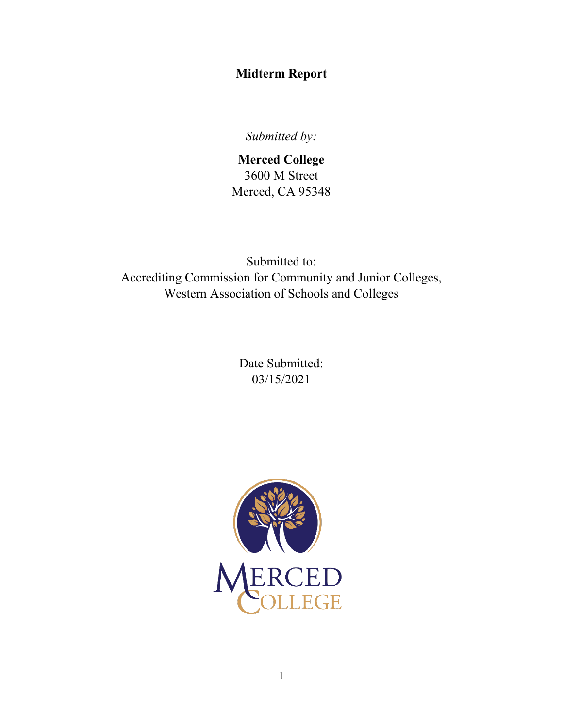# **Midterm Report**

*Submitted by:*

**Merced College** 3600 M Street Merced, CA 95348

Submitted to: Accrediting Commission for Community and Junior Colleges, Western Association of Schools and Colleges

> Date Submitted: 03/15/2021

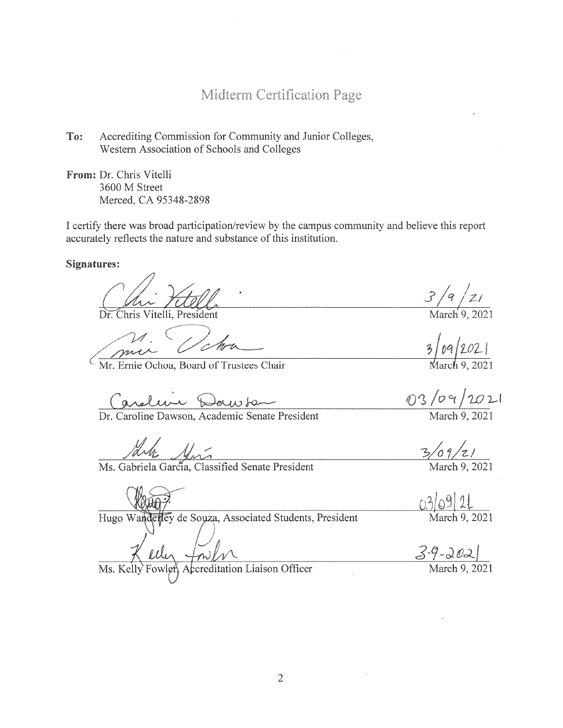Midterm Certification Page

To: Accrediting Commission for Community and Junior Colleges, Western Association of Schools and Colleges

From: Dr. Chris Vitelli 3600 M Street Merced, CA 95348-2898

I certify there was broad participation/review by the campus community and believe this report accurately reflects the nature and substance of this institution.

**Signatures:** 

Dr. Chris Vitelli, President

Mr. Ernie Ochoa, Board of Trustees Chair

Caroline Deux La

Aut<br>Ms. Gabriela Garcia, Classified Senate President

Hugo Wanderley de Souza, Associated Students, President

 $\frac{3}{4} \frac{21}{20}$ <br>March 9, 2021

 $3/09/2021$ 

03/09/2021

March 9. 2021

 $\frac{3}{9}$  /z/<br>March 9, 2021

03/09/21 March 9, 2021

 $\frac{3-9-002}{\text{March }9,2021}$ 

 $\frac{1}{\sqrt{N}}$ creditation Liaison Officer Ms. Kelly Fowler

 $\overline{2}$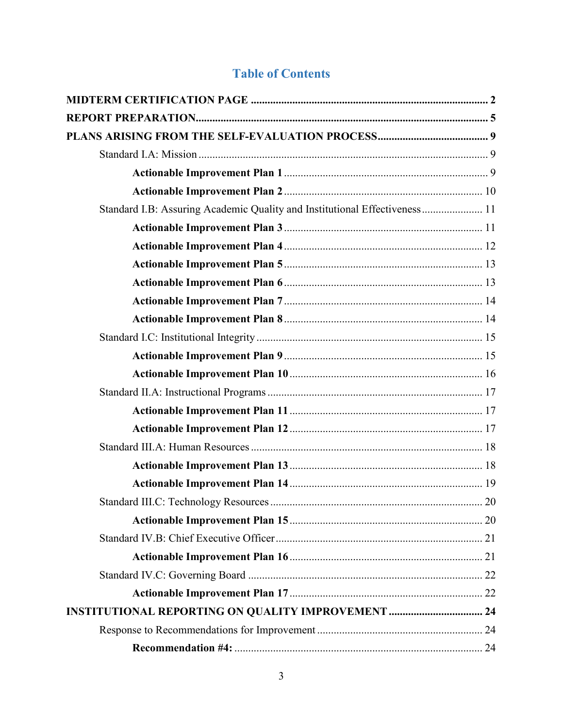# **Table of Contents**

| Standard I.B: Assuring Academic Quality and Institutional Effectiveness 11 |  |
|----------------------------------------------------------------------------|--|
|                                                                            |  |
|                                                                            |  |
|                                                                            |  |
|                                                                            |  |
|                                                                            |  |
|                                                                            |  |
|                                                                            |  |
|                                                                            |  |
|                                                                            |  |
|                                                                            |  |
|                                                                            |  |
|                                                                            |  |
|                                                                            |  |
|                                                                            |  |
|                                                                            |  |
|                                                                            |  |
|                                                                            |  |
|                                                                            |  |
|                                                                            |  |
|                                                                            |  |
|                                                                            |  |
| <b>INSTITUTIONAL REPORTING ON QUALITY IMPROVEMENT  24</b>                  |  |
|                                                                            |  |
|                                                                            |  |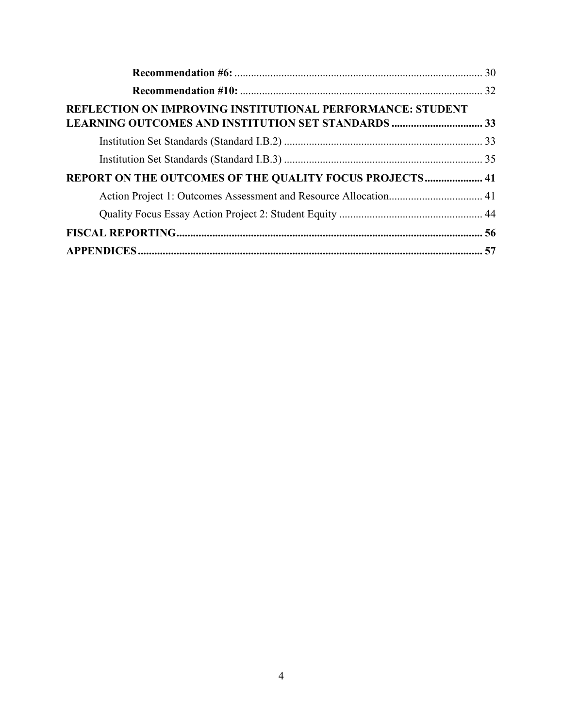| REFLECTION ON IMPROVING INSTITUTIONAL PERFORMANCE: STUDENT       |  |
|------------------------------------------------------------------|--|
|                                                                  |  |
|                                                                  |  |
| REPORT ON THE OUTCOMES OF THE QUALITY FOCUS PROJECTS 41          |  |
| Action Project 1: Outcomes Assessment and Resource Allocation 41 |  |
|                                                                  |  |
|                                                                  |  |
|                                                                  |  |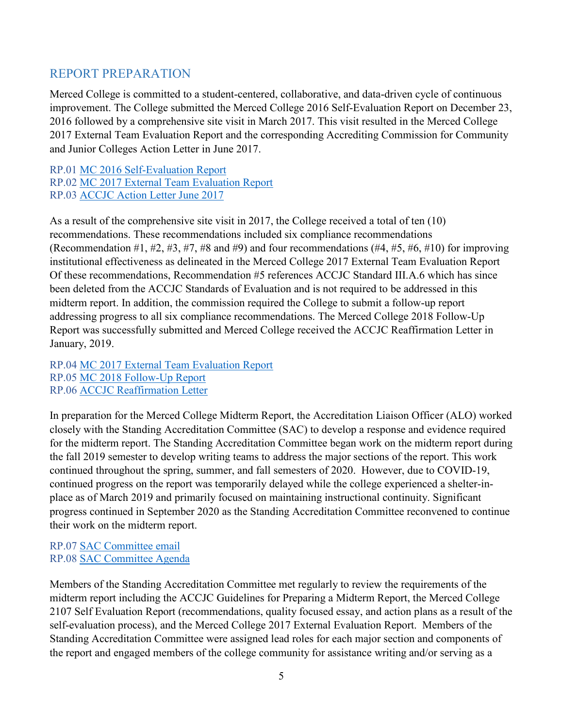# <span id="page-4-0"></span>REPORT PREPARATION

Merced College is committed to a student-centered, collaborative, and data-driven cycle of continuous improvement. The College submitted the Merced College 2016 Self-Evaluation Report on December 23, 2016 followed by a comprehensive site visit in March 2017. This visit resulted in the Merced College 2017 External Team Evaluation Report and the corresponding Accrediting Commission for Community and Junior Colleges Action Letter in June 2017.

RP.01 MC 2016 Self-Evaluation Report RP.02 MC 2017 External Team Evaluation Report RP.03 ACCJC Action Letter June 2017

As a result of the comprehensive site visit in 2017, the College received a total of ten (10) recommendations. These recommendations included six compliance recommendations (Recommendation #1, #2, #3, #7, #8 and #9) and four recommendations  $(#4, #5, #6, #10)$  for improving institutional effectiveness as delineated in the Merced College 2017 External Team Evaluation Report Of these recommendations, Recommendation #5 references ACCJC Standard III.A.6 which has since been deleted from the ACCJC Standards of Evaluation and is not required to be addressed in this midterm report. In addition, the commission required the College to submit a follow-up report addressing progress to all six compliance recommendations. The Merced College 2018 Follow-Up Report was successfully submitted and Merced College received the ACCJC Reaffirmation Letter in January, 2019.

RP.04 MC 2017 External Team Evaluation Report RP.05 MC 2018 Follow-Up Report RP.06 ACCJC Reaffirmation Letter

In preparation for the Merced College Midterm Report, the Accreditation Liaison Officer (ALO) worked closely with the Standing Accreditation Committee (SAC) to develop a response and evidence required for the midterm report. The Standing Accreditation Committee began work on the midterm report during the fall 2019 semester to develop writing teams to address the major sections of the report. This work continued throughout the spring, summer, and fall semesters of 2020. However, due to COVID-19, continued progress on the report was temporarily delayed while the college experienced a shelter-inplace as of March 2019 and primarily focused on maintaining instructional continuity. Significant progress continued in September 2020 as the Standing Accreditation Committee reconvened to continue their work on the midterm report.

## RP.07 SAC Committee email RP.08 SAC Committee Agenda

Members of the Standing Accreditation Committee met regularly to review the requirements of the midterm report including the ACCJC Guidelines for Preparing a Midterm Report, the Merced College 2107 Self Evaluation Report (recommendations, quality focused essay, and action plans as a result of the self-evaluation process), and the Merced College 2017 External Evaluation Report. Members of the Standing Accreditation Committee were assigned lead roles for each major section and components of the report and engaged members of the college community for assistance writing and/or serving as a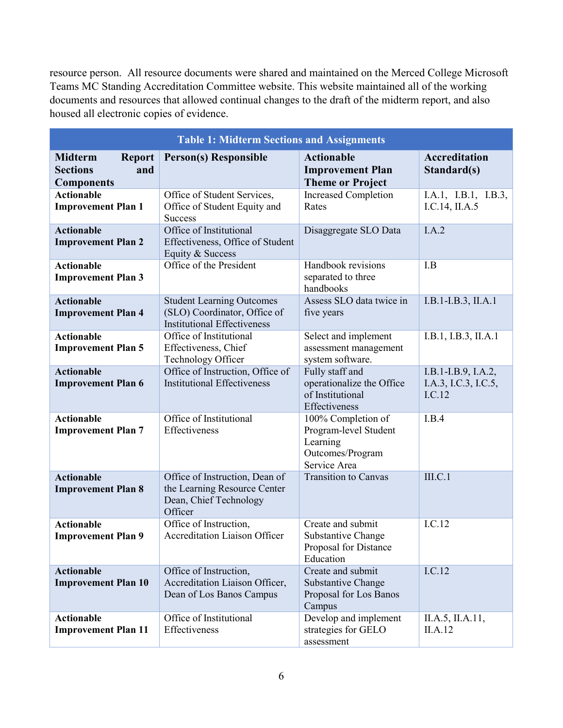resource person. All resource documents were shared and maintained on the Merced College Microsoft Teams MC Standing Accreditation Committee website. This website maintained all of the working documents and resources that allowed continual changes to the draft of the midterm report, and also housed all electronic copies of evidence.

| <b>Table 1: Midterm Sections and Assignments</b>                                                                                                         |                                                                                      |                                                                                             |                                                       |  |  |
|----------------------------------------------------------------------------------------------------------------------------------------------------------|--------------------------------------------------------------------------------------|---------------------------------------------------------------------------------------------|-------------------------------------------------------|--|--|
| <b>Midterm</b><br><b>Report</b><br><b>Sections</b><br>and<br><b>Components</b>                                                                           | <b>Person(s) Responsible</b>                                                         | <b>Actionable</b><br><b>Improvement Plan</b><br><b>Theme or Project</b>                     | <b>Accreditation</b><br>Standard(s)                   |  |  |
| <b>Actionable</b><br><b>Improvement Plan 1</b>                                                                                                           | Office of Student Services,<br>Office of Student Equity and<br><b>Success</b>        | <b>Increased Completion</b><br>Rates                                                        | I.A.1, I.B.1, I.B.3,<br>I.C.14, II.A.5                |  |  |
| <b>Actionable</b><br><b>Improvement Plan 2</b>                                                                                                           | Office of Institutional<br>Effectiveness, Office of Student<br>Equity & Success      | Disaggregate SLO Data                                                                       | I.A.2                                                 |  |  |
| <b>Actionable</b><br><b>Improvement Plan 3</b>                                                                                                           | Office of the President                                                              | Handbook revisions<br>separated to three<br>handbooks                                       | I.B                                                   |  |  |
| <b>Actionable</b><br><b>Student Learning Outcomes</b><br>(SLO) Coordinator, Office of<br><b>Improvement Plan 4</b><br><b>Institutional Effectiveness</b> |                                                                                      | Assess SLO data twice in<br>five years                                                      | I.B.1-I.B.3, II.A.1                                   |  |  |
| <b>Actionable</b><br><b>Improvement Plan 5</b>                                                                                                           | Office of Institutional<br>Effectiveness, Chief<br>Technology Officer                | Select and implement<br>assessment management<br>system software.                           | I.B.1, I.B.3, II.A.1                                  |  |  |
| Office of Instruction, Office of<br><b>Actionable</b><br><b>Institutional Effectiveness</b><br><b>Improvement Plan 6</b>                                 |                                                                                      | Fully staff and<br>operationalize the Office<br>of Institutional<br>Effectiveness           | I.B.1-I.B.9, I.A.2,<br>I.A.3, I.C.3, I.C.5,<br>I.C.12 |  |  |
| <b>Actionable</b><br><b>Improvement Plan 7</b>                                                                                                           | Office of Institutional<br>Effectiveness                                             | 100% Completion of<br>Program-level Student<br>Learning<br>Outcomes/Program<br>Service Area | I.B.4                                                 |  |  |
| <b>Actionable</b><br>Office of Instruction, Dean of<br>the Learning Resource Center<br><b>Improvement Plan 8</b><br>Dean, Chief Technology<br>Officer    |                                                                                      | <b>Transition to Canvas</b>                                                                 | III.C.1                                               |  |  |
| Office of Instruction,<br><b>Actionable</b><br><b>Accreditation Liaison Officer</b><br><b>Improvement Plan 9</b>                                         |                                                                                      | Create and submit<br>Substantive Change<br>Proposal for Distance<br>Education               | I.C.12                                                |  |  |
| <b>Actionable</b><br><b>Improvement Plan 10</b>                                                                                                          | Office of Instruction,<br>Accreditation Liaison Officer,<br>Dean of Los Banos Campus | Create and submit<br>Substantive Change<br>Proposal for Los Banos<br>Campus                 | I.C.12                                                |  |  |
| <b>Actionable</b><br><b>Improvement Plan 11</b>                                                                                                          | Office of Institutional<br>Effectiveness                                             | Develop and implement<br>strategies for GELO<br>assessment                                  | II.A.5, II.A.11,<br>II.A.12                           |  |  |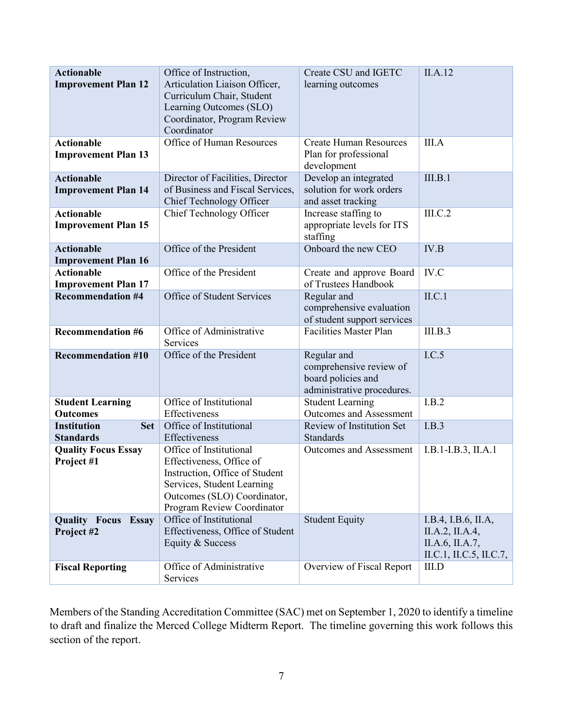| <b>Actionable</b><br><b>Improvement Plan 12</b>      | Create CSU and IGETC<br>Office of Instruction,<br>Articulation Liaison Officer,<br>learning outcomes<br>Curriculum Chair, Student<br>Learning Outcomes (SLO)<br>Coordinator, Program Review<br>Coordinator |                                                                                            | II.A.12                                                                              |
|------------------------------------------------------|------------------------------------------------------------------------------------------------------------------------------------------------------------------------------------------------------------|--------------------------------------------------------------------------------------------|--------------------------------------------------------------------------------------|
| <b>Actionable</b><br><b>Improvement Plan 13</b>      | Office of Human Resources                                                                                                                                                                                  | <b>Create Human Resources</b><br>Plan for professional<br>development                      | III.A                                                                                |
| <b>Actionable</b><br><b>Improvement Plan 14</b>      | Director of Facilities, Director<br>of Business and Fiscal Services,<br>Chief Technology Officer                                                                                                           | Develop an integrated<br>solution for work orders<br>and asset tracking                    | III.B.1                                                                              |
| <b>Actionable</b><br><b>Improvement Plan 15</b>      | Chief Technology Officer                                                                                                                                                                                   | Increase staffing to<br>appropriate levels for ITS<br>staffing                             | III.C.2                                                                              |
| <b>Actionable</b><br><b>Improvement Plan 16</b>      | Office of the President                                                                                                                                                                                    | Onboard the new CEO                                                                        | IV.B                                                                                 |
| <b>Actionable</b><br><b>Improvement Plan 17</b>      | Office of the President                                                                                                                                                                                    | Create and approve Board<br>of Trustees Handbook                                           | IV.C                                                                                 |
| <b>Recommendation #4</b>                             | Office of Student Services                                                                                                                                                                                 | Regular and<br>comprehensive evaluation<br>of student support services                     | ILC.1                                                                                |
| <b>Recommendation #6</b>                             | Office of Administrative<br>Services                                                                                                                                                                       | <b>Facilities Master Plan</b>                                                              | III.B.3                                                                              |
| Office of the President<br><b>Recommendation #10</b> |                                                                                                                                                                                                            | Regular and<br>comprehensive review of<br>board policies and<br>administrative procedures. | I.C.5                                                                                |
| <b>Student Learning</b><br><b>Outcomes</b>           | Office of Institutional<br>Effectiveness                                                                                                                                                                   |                                                                                            | I.B.2                                                                                |
| <b>Institution</b><br><b>Set</b><br><b>Standards</b> | Office of Institutional<br>Effectiveness                                                                                                                                                                   | Review of Institution Set<br>Standards                                                     | I.B.3                                                                                |
| <b>Quality Focus Essay</b><br>Project #1             | Office of Institutional<br>Effectiveness, Office of<br>Instruction, Office of Student<br>Services, Student Learning<br>Outcomes (SLO) Coordinator,<br>Program Review Coordinator                           | <b>Outcomes and Assessment</b>                                                             | $I.B.1-I.B.3, II.A.1$                                                                |
| <b>Quality Focus Essay</b><br>Project #2             | Office of Institutional<br>Effectiveness, Office of Student<br>Equity & Success                                                                                                                            | <b>Student Equity</b>                                                                      | I.B.4, I.B.6, II.A,<br>II.A.2, II.A.4,<br>II.A.6, II.A.7,<br>II.C.1, II.C.5, II.C.7, |
| <b>Fiscal Reporting</b>                              | Office of Administrative<br>Services                                                                                                                                                                       | Overview of Fiscal Report                                                                  | III.D                                                                                |

Members of the Standing Accreditation Committee (SAC) met on September 1, 2020 to identify a timeline to draft and finalize the Merced College Midterm Report. The timeline governing this work follows this section of the report.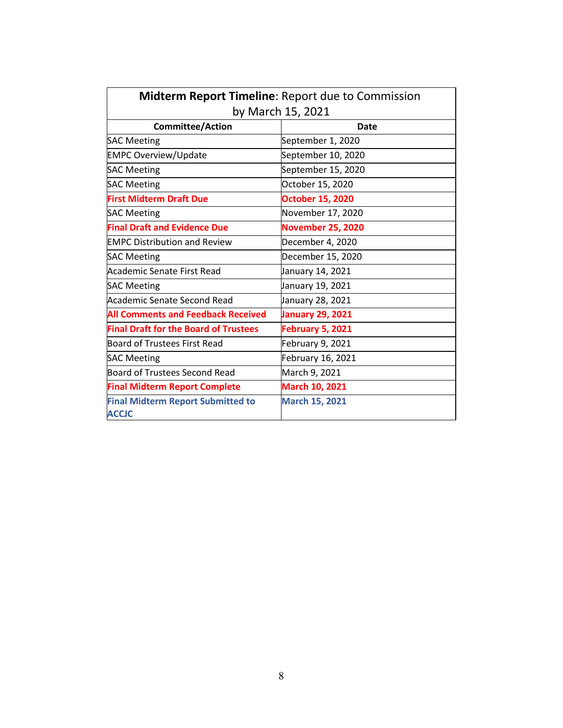| Midterm Report Timeline: Report due to Commission        |                          |  |  |  |
|----------------------------------------------------------|--------------------------|--|--|--|
|                                                          | by March 15, 2021        |  |  |  |
| <b>Committee/Action</b>                                  | <b>Date</b>              |  |  |  |
| <b>SAC Meeting</b>                                       | September 1, 2020        |  |  |  |
| <b>EMPC Overview/Update</b>                              | September 10, 2020       |  |  |  |
| <b>SAC Meeting</b>                                       | September 15, 2020       |  |  |  |
| <b>SAC Meeting</b>                                       | October 15, 2020         |  |  |  |
| <b>First Midterm Draft Due</b>                           | <b>October 15, 2020</b>  |  |  |  |
| <b>SAC Meeting</b>                                       | November 17, 2020        |  |  |  |
| <b>Final Draft and Evidence Due</b>                      | <b>November 25, 2020</b> |  |  |  |
| <b>EMPC Distribution and Review</b>                      | December 4, 2020         |  |  |  |
| <b>SAC Meeting</b>                                       | December 15, 2020        |  |  |  |
| Academic Senate First Read                               | January 14, 2021         |  |  |  |
| <b>SAC Meeting</b>                                       | January 19, 2021         |  |  |  |
| Academic Senate Second Read                              | January 28, 2021         |  |  |  |
| <b>All Comments and Feedback Received</b>                | <b>January 29, 2021</b>  |  |  |  |
| <b>Final Draft for the Board of Trustees</b>             | <b>February 5, 2021</b>  |  |  |  |
| <b>Board of Trustees First Read</b>                      | February 9, 2021         |  |  |  |
| <b>SAC Meeting</b>                                       | February 16, 2021        |  |  |  |
| <b>Board of Trustees Second Read</b>                     | March 9, 2021            |  |  |  |
| <b>Final Midterm Report Complete</b>                     | <b>March 10, 2021</b>    |  |  |  |
| <b>Final Midterm Report Submitted to</b><br><b>ACCJC</b> | <b>March 15, 2021</b>    |  |  |  |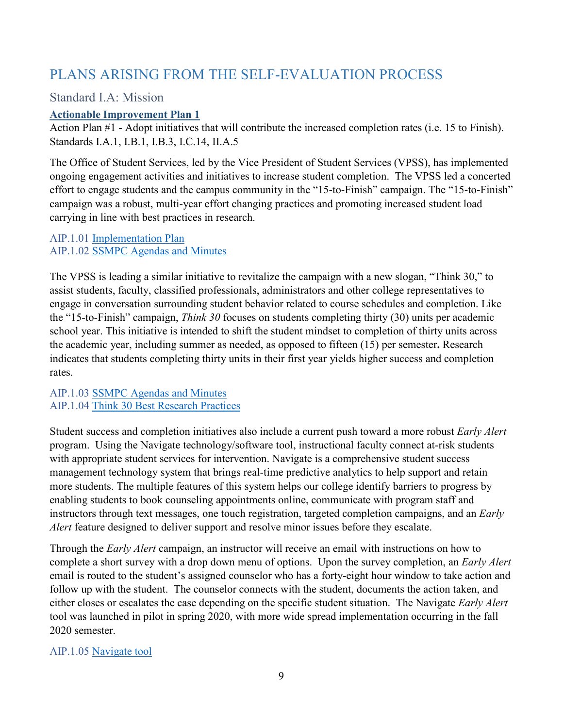# <span id="page-8-0"></span>PLANS ARISING FROM THE SELF-EVALUATION PROCESS

# <span id="page-8-1"></span>Standard I.A: Mission

## <span id="page-8-2"></span>**Actionable Improvement Plan 1**

Action Plan #1 - Adopt initiatives that will contribute the increased completion rates (i.e. 15 to Finish). Standards I.A.1, I.B.1, I.B.3, I.C.14, II.A.5

The Office of Student Services, led by the Vice President of Student Services (VPSS), has implemented ongoing engagement activities and initiatives to increase student completion. The VPSS led a concerted effort to engage students and the campus community in the "15-to-Finish" campaign. The "15-to-Finish" campaign was a robust, multi-year effort changing practices and promoting increased student load carrying in line with best practices in research.

#### AIP.1.01 Implementation Plan AIP.1.02 SSMPC Agendas and Minutes

The VPSS is leading a similar initiative to revitalize the campaign with a new slogan, "Think 30," to assist students, faculty, classified professionals, administrators and other college representatives to engage in conversation surrounding student behavior related to course schedules and completion. Like the "15-to-Finish" campaign, *Think 30* focuses on students completing thirty (30) units per academic school year. This initiative is intended to shift the student mindset to completion of thirty units across the academic year, including summer as needed, as opposed to fifteen (15) per semester**.** Research indicates that students completing thirty units in their first year yields higher success and completion rates.

## AIP.1.03 SSMPC Agendas and Minutes AIP.1.04 Think 30 Best Research Practices

Student success and completion initiatives also include a current push toward a more robust *Early Alert*  program. Using the Navigate technology/software tool, instructional faculty connect at-risk students with appropriate student services for intervention. Navigate is a comprehensive student success management technology system that brings real-time predictive analytics to help support and retain more students. The multiple features of this system helps our college identify barriers to progress by enabling students to book counseling appointments online, communicate with program staff and instructors through text messages, one touch registration, targeted completion campaigns, and an *Early Alert* feature designed to deliver support and resolve minor issues before they escalate.

Through the *Early Alert* campaign, an instructor will receive an email with instructions on how to complete a short survey with a drop down menu of options. Upon the survey completion, an *Early Alert* email is routed to the student's assigned counselor who has a forty-eight hour window to take action and follow up with the student. The counselor connects with the student, documents the action taken, and either closes or escalates the case depending on the specific student situation. The Navigate *Early Alert* tool was launched in pilot in spring 2020, with more wide spread implementation occurring in the fall 2020 semester.

## AIP.1.05 Navigate tool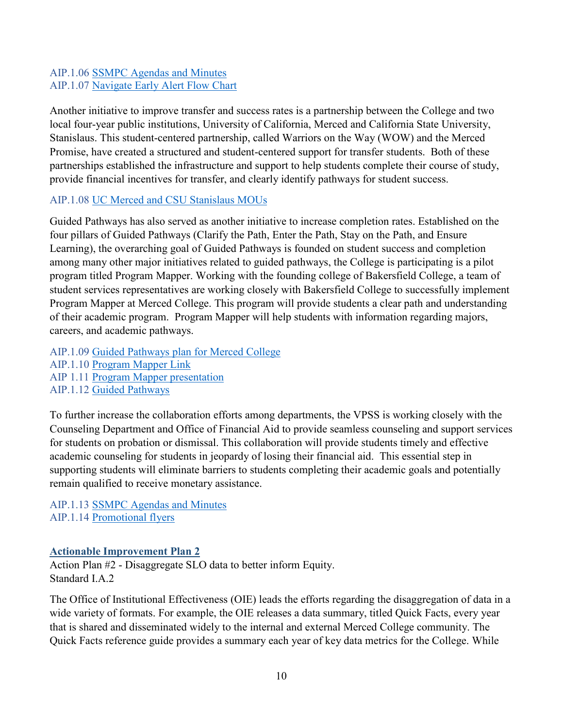## AIP.1.06 SSMPC Agendas and Minutes AIP.1.07 Navigate Early Alert Flow Chart

Another initiative to improve transfer and success rates is a partnership between the College and two local four-year public institutions, University of California, Merced and California State University, Stanislaus. This student-centered partnership, called Warriors on the Way (WOW) and the Merced Promise, have created a structured and student-centered support for transfer students. Both of these partnerships established the infrastructure and support to help students complete their course of study, provide financial incentives for transfer, and clearly identify pathways for student success.

## AIP.1.08 UC Merced and CSU Stanislaus MOUs

Guided Pathways has also served as another initiative to increase completion rates. Established on the four pillars of Guided Pathways (Clarify the Path, Enter the Path, Stay on the Path, and Ensure Learning), the overarching goal of Guided Pathways is founded on student success and completion among many other major initiatives related to guided pathways, the College is participating is a pilot program titled Program Mapper. Working with the founding college of Bakersfield College, a team of student services representatives are working closely with Bakersfield College to successfully implement Program Mapper at Merced College. This program will provide students a clear path and understanding of their academic program. Program Mapper will help students with information regarding majors, careers, and academic pathways.

AIP.1.09 Guided Pathways plan for Merced College AIP.1.10 Program Mapper Link AIP 1.11 Program Mapper presentation AIP.1.12 Guided Pathways

To further increase the collaboration efforts among departments, the VPSS is working closely with the Counseling Department and Office of Financial Aid to provide seamless counseling and support services for students on probation or dismissal. This collaboration will provide students timely and effective academic counseling for students in jeopardy of losing their financial aid. This essential step in supporting students will eliminate barriers to students completing their academic goals and potentially remain qualified to receive monetary assistance.

AIP.1.13 SSMPC Agendas and Minutes AIP.1.14 Promotional flyers

## <span id="page-9-0"></span>**Actionable Improvement Plan 2**

Action Plan #2 - Disaggregate SLO data to better inform Equity. Standard I.A.2

The Office of Institutional Effectiveness (OIE) leads the efforts regarding the disaggregation of data in a wide variety of formats. For example, the OIE releases a data summary, titled Quick Facts, every year that is shared and disseminated widely to the internal and external Merced College community. The Quick Facts reference guide provides a summary each year of key data metrics for the College. While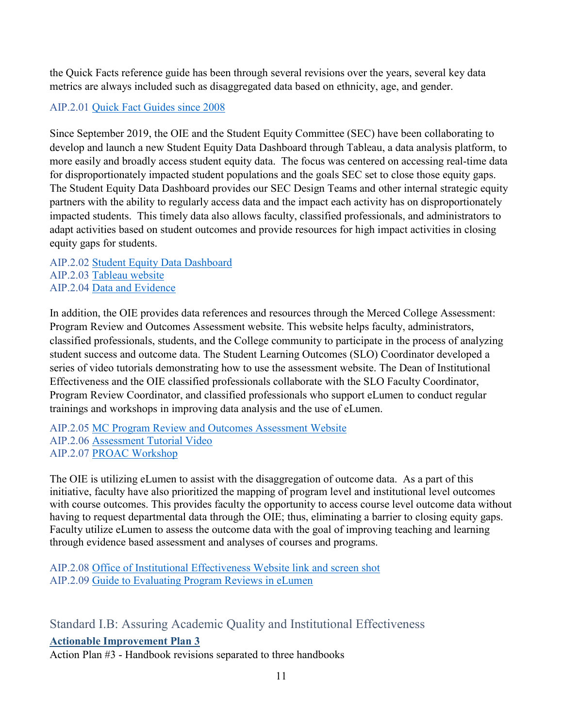the Quick Facts reference guide has been through several revisions over the years, several key data metrics are always included such as disaggregated data based on ethnicity, age, and gender.

## AIP.2.01 Quick Fact Guides since 2008

Since September 2019, the OIE and the Student Equity Committee (SEC) have been collaborating to develop and launch a new Student Equity Data Dashboard through Tableau, a data analysis platform, to more easily and broadly access student equity data. The focus was centered on accessing real-time data for disproportionately impacted student populations and the goals SEC set to close those equity gaps. The Student Equity Data Dashboard provides our SEC Design Teams and other internal strategic equity partners with the ability to regularly access data and the impact each activity has on disproportionately impacted students. This timely data also allows faculty, classified professionals, and administrators to adapt activities based on student outcomes and provide resources for high impact activities in closing equity gaps for students.

AIP.2.02 Student Equity Data Dashboard AIP.2.03 Tableau website AIP.2.04 Data and Evidence

In addition, the OIE provides data references and resources through the Merced College Assessment: Program Review and Outcomes Assessment website. This website helps faculty, administrators, classified professionals, students, and the College community to participate in the process of analyzing student success and outcome data. The Student Learning Outcomes (SLO) Coordinator developed a series of video tutorials demonstrating how to use the assessment website. The Dean of Institutional Effectiveness and the OIE classified professionals collaborate with the SLO Faculty Coordinator, Program Review Coordinator, and classified professionals who support eLumen to conduct regular trainings and workshops in improving data analysis and the use of eLumen.

AIP.2.05 MC Program Review and Outcomes Assessment Website AIP.2.06 Assessment Tutorial Video AIP.2.07 PROAC Workshop

The OIE is utilizing eLumen to assist with the disaggregation of outcome data. As a part of this initiative, faculty have also prioritized the mapping of program level and institutional level outcomes with course outcomes. This provides faculty the opportunity to access course level outcome data without having to request departmental data through the OIE; thus, eliminating a barrier to closing equity gaps. Faculty utilize eLumen to assess the outcome data with the goal of improving teaching and learning through evidence based assessment and analyses of courses and programs.

AIP.2.08 Office of Institutional Effectiveness Website link and screen shot AIP.2.09 Guide to Evaluating Program Reviews in eLumen

<span id="page-10-1"></span><span id="page-10-0"></span>Standard I.B: Assuring Academic Quality and Institutional Effectiveness **Actionable Improvement Plan 3**

Action Plan #3 - Handbook revisions separated to three handbooks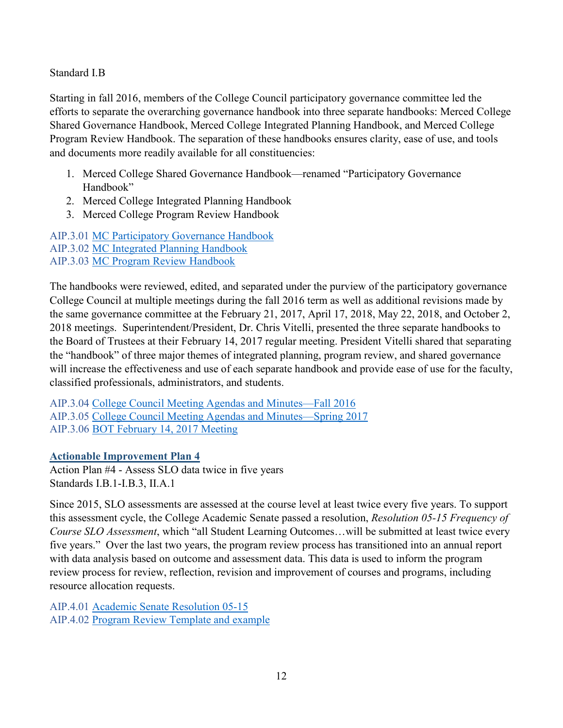Standard I.B

Starting in fall 2016, members of the College Council participatory governance committee led the efforts to separate the overarching governance handbook into three separate handbooks: Merced College Shared Governance Handbook, Merced College Integrated Planning Handbook, and Merced College Program Review Handbook. The separation of these handbooks ensures clarity, ease of use, and tools and documents more readily available for all constituencies:

- 1. Merced College Shared Governance Handbook—renamed "Participatory Governance Handbook"
- 2. Merced College Integrated Planning Handbook
- 3. Merced College Program Review Handbook

AIP.3.01 MC Participatory Governance Handbook AIP.3.02 MC Integrated Planning Handbook AIP.3.03 MC Program Review Handbook

The handbooks were reviewed, edited, and separated under the purview of the participatory governance College Council at multiple meetings during the fall 2016 term as well as additional revisions made by the same governance committee at the February 21, 2017, April 17, 2018, May 22, 2018, and October 2, 2018 meetings. Superintendent/President, Dr. Chris Vitelli, presented the three separate handbooks to the Board of Trustees at their February 14, 2017 regular meeting. President Vitelli shared that separating the "handbook" of three major themes of integrated planning, program review, and shared governance will increase the effectiveness and use of each separate handbook and provide ease of use for the faculty, classified professionals, administrators, and students.

AIP.3.04 College Council Meeting Agendas and Minutes—Fall 2016 AIP.3.05 College Council Meeting Agendas and Minutes—Spring 2017 AIP.3.06 BOT February 14, 2017 Meeting

## <span id="page-11-0"></span>**Actionable Improvement Plan 4**

Action Plan #4 - Assess SLO data twice in five years Standards I.B.1-I.B.3, II.A.1

Since 2015, SLO assessments are assessed at the course level at least twice every five years. To support this assessment cycle, the College Academic Senate passed a resolution, *Resolution 05-15 Frequency of Course SLO Assessment*, which "all Student Learning Outcomes…will be submitted at least twice every five years." Over the last two years, the program review process has transitioned into an annual report with data analysis based on outcome and assessment data. This data is used to inform the program review process for review, reflection, revision and improvement of courses and programs, including resource allocation requests.

AIP.4.01 Academic Senate Resolution 05-15 AIP.4.02 Program Review Template and example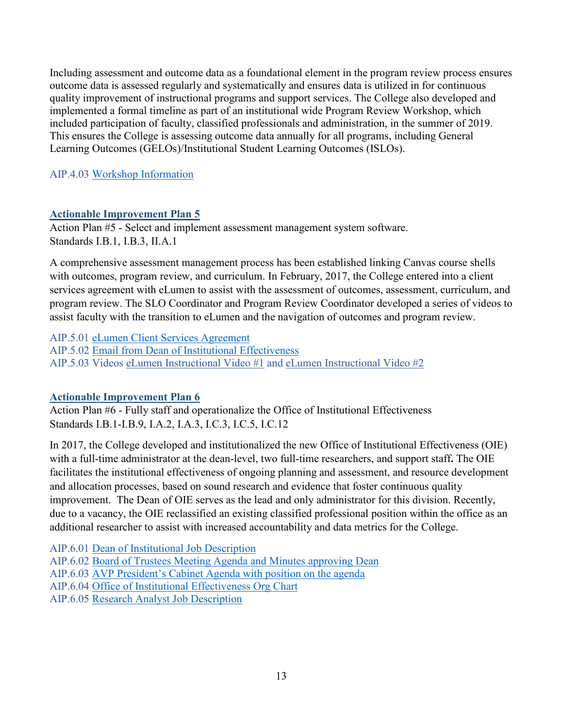Including assessment and outcome data as a foundational element in the program review process ensures outcome data is assessed regularly and systematically and ensures data is utilized in for continuous quality improvement of instructional programs and support services. The College also developed and implemented a formal timeline as part of an institutional wide Program Review Workshop, which included participation of faculty, classified professionals and administration, in the summer of 2019. This ensures the College is assessing outcome data annually for all programs, including General Learning Outcomes (GELOs)/Institutional Student Learning Outcomes (ISLOs).

## AIP.4.03 Workshop Information

## <span id="page-12-0"></span>**Actionable Improvement Plan 5**

Action Plan #5 - Select and implement assessment management system software. Standards I.B.1, I.B.3, II.A.1

A comprehensive assessment management process has been established linking Canvas course shells with outcomes, program review, and curriculum. In February, 2017, the College entered into a client services agreement with eLumen to assist with the assessment of outcomes, assessment, curriculum, and program review. The SLO Coordinator and Program Review Coordinator developed a series of videos to assist faculty with the transition to eLumen and the navigation of outcomes and program review.

AIP.5.01 eLumen Client Services Agreement AIP.5.02 Email from Dean of Institutional Effectiveness AIP.5.03 Videos [eLumen Instructional](https://www.youtube.com/watch?v=k_UYxxqKbxw&feature=youtu.be) Video #1 and [eLumen Instructional Video #2](https://www.youtube.com/watch?v=jLuOMHWMsJY&feature=youtu.be)

## <span id="page-12-1"></span>**Actionable Improvement Plan 6**

Action Plan #6 - Fully staff and operationalize the Office of Institutional Effectiveness Standards I.B.1-I.B.9, I.A.2, I.A.3, I.C.3, I.C.5, I.C.12

In 2017, the College developed and institutionalized the new Office of Institutional Effectiveness (OIE) with a full-time administrator at the dean-level, two full-time researchers, and support staff**.** The OIE facilitates the institutional effectiveness of ongoing planning and assessment, and resource development and allocation processes, based on sound research and evidence that foster continuous quality improvement. The Dean of OIE serves as the lead and only administrator for this division. Recently, due to a vacancy, the OIE reclassified an existing classified professional position within the office as an additional researcher to assist with increased accountability and data metrics for the College.

AIP.6.01 Dean of Institutional Job Description AIP.6.02 Board of Trustees Meeting Agenda and Minutes approving Dean AIP.6.03 AVP President's Cabinet Agenda with position on the agenda AIP.6.04 Office of Institutional Effectiveness Org Chart AIP.6.05 Research Analyst Job Description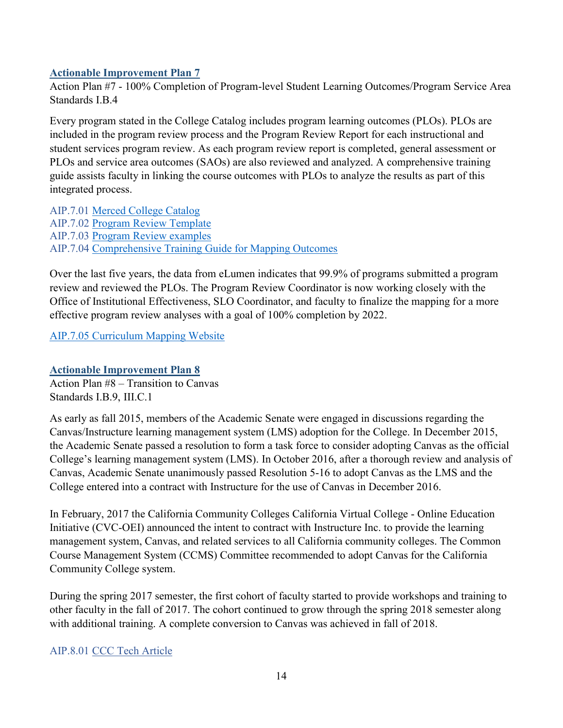## <span id="page-13-0"></span>**Actionable Improvement Plan 7**

Action Plan #7 - 100% Completion of Program-level Student Learning Outcomes/Program Service Area Standards I.B.4

Every program stated in the College Catalog includes program learning outcomes (PLOs). PLOs are included in the program review process and the Program Review Report for each instructional and student services program review. As each program review report is completed, general assessment or PLOs and service area outcomes (SAOs) are also reviewed and analyzed. A comprehensive training guide assists faculty in linking the course outcomes with PLOs to analyze the results as part of this integrated process.

AIP.7.01 Merced College Catalog AIP.7.02 Program Review Template AIP.7.03 Program Review examples AIP.7.04 Comprehensive Training Guide for Mapping Outcomes

Over the last five years, the data from eLumen indicates that 99.9% of programs submitted a program review and reviewed the PLOs. The Program Review Coordinator is now working closely with the Office of Institutional Effectiveness, SLO Coordinator, and faculty to finalize the mapping for a more effective program review analyses with a goal of 100% completion by 2022.

AIP.7.05 Curriculum Mapping Website

### <span id="page-13-1"></span>**Actionable Improvement Plan 8**

Action Plan #8 – Transition to Canvas Standards I.B.9, III.C.1

As early as fall 2015, members of the Academic Senate were engaged in discussions regarding the Canvas/Instructure learning management system (LMS) adoption for the College. In December 2015, the Academic Senate passed a resolution to form a task force to consider adopting Canvas as the official College's learning management system (LMS). In October 2016, after a thorough review and analysis of Canvas, Academic Senate unanimously passed Resolution 5-16 to adopt Canvas as the LMS and the College entered into a contract with Instructure for the use of Canvas in December 2016.

In February, 2017 the California Community Colleges California Virtual College - Online Education Initiative (CVC-OEI) announced the intent to contract with Instructure Inc. to provide the learning management system, Canvas, and related services to all California community colleges. The Common Course Management System (CCMS) Committee recommended to adopt Canvas for the California Community College system.

During the spring 2017 semester, the first cohort of faculty started to provide workshops and training to other faculty in the fall of 2017. The cohort continued to grow through the spring 2018 semester along with additional training. A complete conversion to Canvas was achieved in fall of 2018.

## AIP.8.01 CCC Tech Article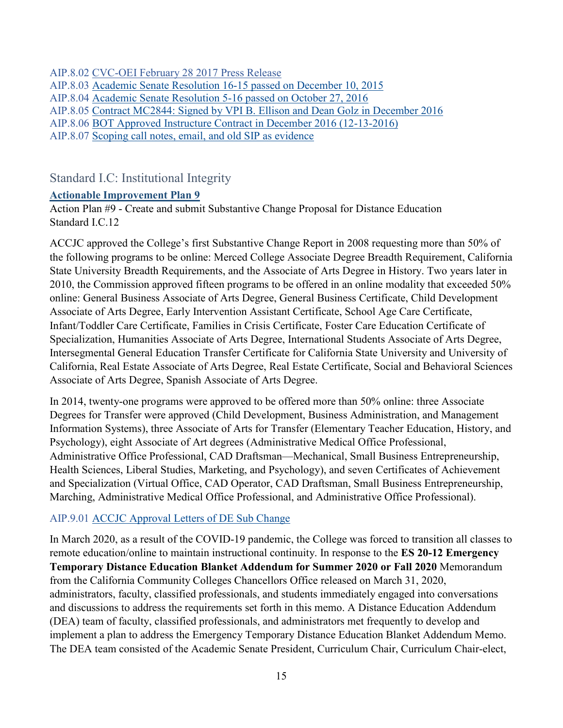AIP.8.02 CVC-OEI February 28 2017 Press Release AIP.8.03 Academic Senate Resolution 16-15 passed on December 10, 2015 AIP.8.04 Academic Senate Resolution 5-16 passed on October 27, 2016 AIP.8.05 Contract MC2844: Signed by VPI B. Ellison and Dean Golz in December 2016 AIP.8.06 BOT Approved Instructure Contract in December 2016 (12-13-2016) AIP.8.07 Scoping call notes, email, and old SIP as evidence

## <span id="page-14-0"></span>Standard I.C: Institutional Integrity

#### <span id="page-14-1"></span>**Actionable Improvement Plan 9**

Action Plan #9 - Create and submit Substantive Change Proposal for Distance Education Standard I.C.12

ACCJC approved the College's first Substantive Change Report in 2008 requesting more than 50% of the following programs to be online: Merced College Associate Degree Breadth Requirement, California State University Breadth Requirements, and the Associate of Arts Degree in History. Two years later in 2010, the Commission approved fifteen programs to be offered in an online modality that exceeded 50% online: General Business Associate of Arts Degree, General Business Certificate, Child Development Associate of Arts Degree, Early Intervention Assistant Certificate, School Age Care Certificate, Infant/Toddler Care Certificate, Families in Crisis Certificate, Foster Care Education Certificate of Specialization, Humanities Associate of Arts Degree, International Students Associate of Arts Degree, Intersegmental General Education Transfer Certificate for California State University and University of California, Real Estate Associate of Arts Degree, Real Estate Certificate, Social and Behavioral Sciences Associate of Arts Degree, Spanish Associate of Arts Degree.

In 2014, twenty-one programs were approved to be offered more than 50% online: three Associate Degrees for Transfer were approved (Child Development, Business Administration, and Management Information Systems), three Associate of Arts for Transfer (Elementary Teacher Education, History, and Psychology), eight Associate of Art degrees (Administrative Medical Office Professional, Administrative Office Professional, CAD Draftsman—Mechanical, Small Business Entrepreneurship, Health Sciences, Liberal Studies, Marketing, and Psychology), and seven Certificates of Achievement and Specialization (Virtual Office, CAD Operator, CAD Draftsman, Small Business Entrepreneurship, Marching, Administrative Medical Office Professional, and Administrative Office Professional).

## AIP.9.01 ACCJC Approval Letters of DE Sub Change

In March 2020, as a result of the COVID-19 pandemic, the College was forced to transition all classes to remote education/online to maintain instructional continuity. In response to the **ES 20-12 Emergency Temporary Distance Education Blanket Addendum for Summer 2020 or Fall 2020** Memorandum from the California Community Colleges Chancellors Office released on March 31, 2020, administrators, faculty, classified professionals, and students immediately engaged into conversations and discussions to address the requirements set forth in this memo. A Distance Education Addendum (DEA) team of faculty, classified professionals, and administrators met frequently to develop and implement a plan to address the Emergency Temporary Distance Education Blanket Addendum Memo. The DEA team consisted of the Academic Senate President, Curriculum Chair, Curriculum Chair-elect,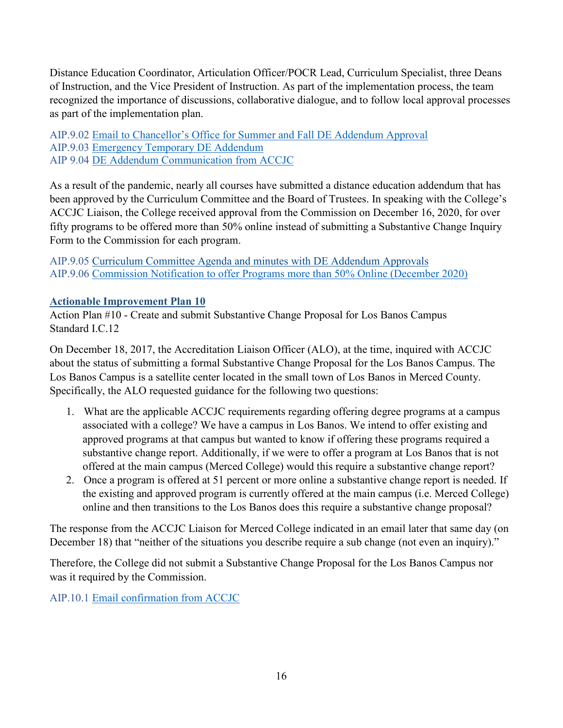Distance Education Coordinator, Articulation Officer/POCR Lead, Curriculum Specialist, three Deans of Instruction, and the Vice President of Instruction. As part of the implementation process, the team recognized the importance of discussions, collaborative dialogue, and to follow local approval processes as part of the implementation plan.

AIP.9.02 Email to Chancellor's Office for Summer and Fall DE Addendum Approval AIP.9.03 Emergency Temporary DE Addendum AIP 9.04 DE Addendum Communication from ACCJC

As a result of the pandemic, nearly all courses have submitted a distance education addendum that has been approved by the Curriculum Committee and the Board of Trustees. In speaking with the College's ACCJC Liaison, the College received approval from the Commission on December 16, 2020, for over fifty programs to be offered more than 50% online instead of submitting a Substantive Change Inquiry Form to the Commission for each program.

AIP.9.05 Curriculum Committee Agenda and minutes with DE Addendum Approvals AIP.9.06 Commission Notification to offer Programs more than 50% Online (December 2020)

## <span id="page-15-0"></span>**Actionable Improvement Plan 10**

Action Plan #10 - Create and submit Substantive Change Proposal for Los Banos Campus Standard I.C.12

On December 18, 2017, the Accreditation Liaison Officer (ALO), at the time, inquired with ACCJC about the status of submitting a formal Substantive Change Proposal for the Los Banos Campus. The Los Banos Campus is a satellite center located in the small town of Los Banos in Merced County. Specifically, the ALO requested guidance for the following two questions:

- 1. What are the applicable ACCJC requirements regarding offering degree programs at a campus associated with a college? We have a campus in Los Banos. We intend to offer existing and approved programs at that campus but wanted to know if offering these programs required a substantive change report. Additionally, if we were to offer a program at Los Banos that is not offered at the main campus (Merced College) would this require a substantive change report?
- 2. Once a program is offered at 51 percent or more online a substantive change report is needed. If the existing and approved program is currently offered at the main campus (i.e. Merced College) online and then transitions to the Los Banos does this require a substantive change proposal?

The response from the ACCJC Liaison for Merced College indicated in an email later that same day (on December 18) that "neither of the situations you describe require a sub change (not even an inquiry)."

Therefore, the College did not submit a Substantive Change Proposal for the Los Banos Campus nor was it required by the Commission.

AIP.10.1 Email confirmation from ACCJC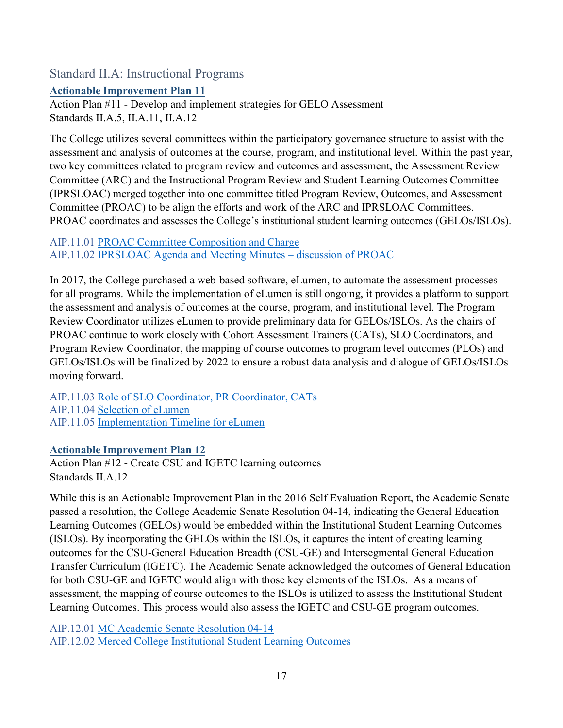<span id="page-16-0"></span>Standard II.A: Instructional Programs

<span id="page-16-1"></span>**Actionable Improvement Plan 11**

Action Plan #11 - Develop and implement strategies for GELO Assessment Standards II.A.5, II.A.11, II.A.12

The College utilizes several committees within the participatory governance structure to assist with the assessment and analysis of outcomes at the course, program, and institutional level. Within the past year, two key committees related to program review and outcomes and assessment, the Assessment Review Committee (ARC) and the Instructional Program Review and Student Learning Outcomes Committee (IPRSLOAC) merged together into one committee titled Program Review, Outcomes, and Assessment Committee (PROAC) to be align the efforts and work of the ARC and IPRSLOAC Committees. PROAC coordinates and assesses the College's institutional student learning outcomes (GELOs/ISLOs).

AIP.11.01 PROAC Committee Composition and Charge AIP.11.02 IPRSLOAC Agenda and Meeting Minutes – discussion of PROAC

In 2017, the College purchased a web-based software, eLumen, to automate the assessment processes for all programs. While the implementation of eLumen is still ongoing, it provides a platform to support the assessment and analysis of outcomes at the course, program, and institutional level. The Program Review Coordinator utilizes eLumen to provide preliminary data for GELOs/ISLOs. As the chairs of PROAC continue to work closely with Cohort Assessment Trainers (CATs), SLO Coordinators, and Program Review Coordinator, the mapping of course outcomes to program level outcomes (PLOs) and GELOs/ISLOs will be finalized by 2022 to ensure a robust data analysis and dialogue of GELOs/ISLOs moving forward.

AIP.11.03 Role of SLO Coordinator, PR Coordinator, CATs AIP.11.04 Selection of eLumen AIP.11.05 Implementation Timeline for eLumen

## <span id="page-16-2"></span>**Actionable Improvement Plan 12**

Action Plan #12 - Create CSU and IGETC learning outcomes Standards II.A.12

While this is an Actionable Improvement Plan in the 2016 Self Evaluation Report, the Academic Senate passed a resolution, the College Academic Senate Resolution 04-14, indicating the General Education Learning Outcomes (GELOs) would be embedded within the Institutional Student Learning Outcomes (ISLOs). By incorporating the GELOs within the ISLOs, it captures the intent of creating learning outcomes for the CSU-General Education Breadth (CSU-GE) and Intersegmental General Education Transfer Curriculum (IGETC). The Academic Senate acknowledged the outcomes of General Education for both CSU-GE and IGETC would align with those key elements of the ISLOs. As a means of assessment, the mapping of course outcomes to the ISLOs is utilized to assess the Institutional Student Learning Outcomes. This process would also assess the IGETC and CSU-GE program outcomes.

AIP.12.01 MC Academic Senate Resolution 04-14 AIP.12.02 Merced College Institutional Student Learning Outcomes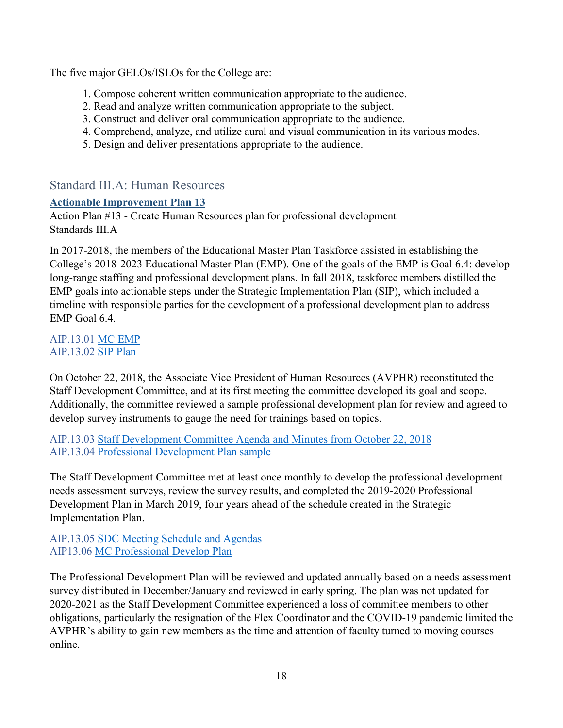The five major GELOs/ISLOs for the College are:

- 1. Compose coherent written communication appropriate to the audience.
- 2. Read and analyze written communication appropriate to the subject.
- 3. Construct and deliver oral communication appropriate to the audience.
- 4. Comprehend, analyze, and utilize aural and visual communication in its various modes.
- 5. Design and deliver presentations appropriate to the audience.

# <span id="page-17-0"></span>Standard III.A: Human Resources

## <span id="page-17-1"></span>**Actionable Improvement Plan 13**

Action Plan #13 - Create Human Resources plan for professional development Standards III.A

In 2017-2018, the members of the Educational Master Plan Taskforce assisted in establishing the College's 2018-2023 Educational Master Plan (EMP). One of the goals of the EMP is Goal 6.4: develop long-range staffing and professional development plans. In fall 2018, taskforce members distilled the EMP goals into actionable steps under the Strategic Implementation Plan (SIP), which included a timeline with responsible parties for the development of a professional development plan to address EMP Goal 6.4.

## AIP.13.01 MC EMP AIP.13.02 SIP Plan

On October 22, 2018, the Associate Vice President of Human Resources (AVPHR) reconstituted the Staff Development Committee, and at its first meeting the committee developed its goal and scope. Additionally, the committee reviewed a sample professional development plan for review and agreed to develop survey instruments to gauge the need for trainings based on topics.

AIP.13.03 Staff Development Committee Agenda and Minutes from October 22, 2018 AIP.13.04 Professional Development Plan sample

The Staff Development Committee met at least once monthly to develop the professional development needs assessment surveys, review the survey results, and completed the 2019-2020 Professional Development Plan in March 2019, four years ahead of the schedule created in the Strategic Implementation Plan.

AIP.13.05 SDC Meeting Schedule and Agendas AIP13.06 MC Professional Develop Plan

The Professional Development Plan will be reviewed and updated annually based on a needs assessment survey distributed in December/January and reviewed in early spring. The plan was not updated for 2020-2021 as the Staff Development Committee experienced a loss of committee members to other obligations, particularly the resignation of the Flex Coordinator and the COVID-19 pandemic limited the AVPHR's ability to gain new members as the time and attention of faculty turned to moving courses online.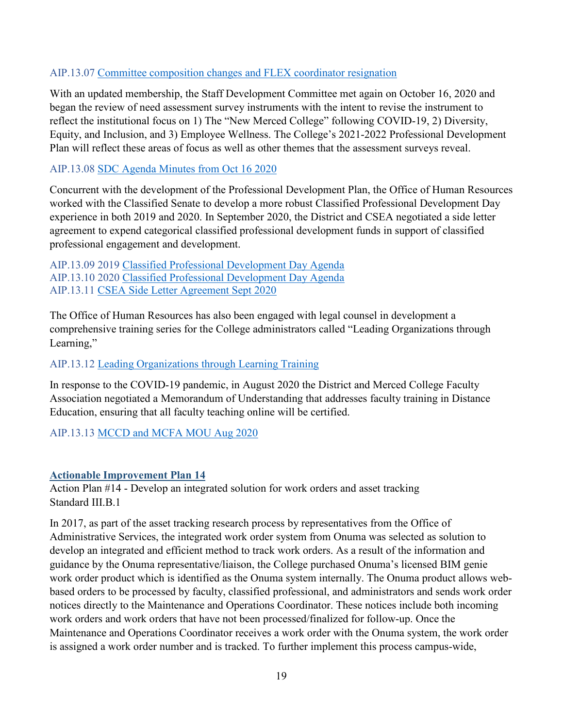## AIP.13.07 Committee composition changes and FLEX coordinator resignation

With an updated membership, the Staff Development Committee met again on October 16, 2020 and began the review of need assessment survey instruments with the intent to revise the instrument to reflect the institutional focus on 1) The "New Merced College" following COVID-19, 2) Diversity, Equity, and Inclusion, and 3) Employee Wellness. The College's 2021-2022 Professional Development Plan will reflect these areas of focus as well as other themes that the assessment surveys reveal.

## AIP.13.08 SDC Agenda Minutes from Oct 16 2020

Concurrent with the development of the Professional Development Plan, the Office of Human Resources worked with the Classified Senate to develop a more robust Classified Professional Development Day experience in both 2019 and 2020. In September 2020, the District and CSEA negotiated a side letter agreement to expend categorical classified professional development funds in support of classified professional engagement and development.

AIP.13.09 2019 Classified Professional Development Day Agenda AIP.13.10 2020 Classified Professional Development Day Agenda AIP.13.11 CSEA Side Letter Agreement Sept 2020

The Office of Human Resources has also been engaged with legal counsel in development a comprehensive training series for the College administrators called "Leading Organizations through Learning,"

## AIP.13.12 Leading Organizations through Learning Training

In response to the COVID-19 pandemic, in August 2020 the District and Merced College Faculty Association negotiated a Memorandum of Understanding that addresses faculty training in Distance Education, ensuring that all faculty teaching online will be certified.

AIP.13.13 MCCD and MCFA MOU Aug 2020

## <span id="page-18-0"></span>**Actionable Improvement Plan 14**

Action Plan #14 - Develop an integrated solution for work orders and asset tracking Standard III.B.1

In 2017, as part of the asset tracking research process by representatives from the Office of Administrative Services, the integrated work order system from Onuma was selected as solution to develop an integrated and efficient method to track work orders. As a result of the information and guidance by the Onuma representative/liaison, the College purchased Onuma's licensed BIM genie work order product which is identified as the Onuma system internally. The Onuma product allows webbased orders to be processed by faculty, classified professional, and administrators and sends work order notices directly to the Maintenance and Operations Coordinator. These notices include both incoming work orders and work orders that have not been processed/finalized for follow-up. Once the Maintenance and Operations Coordinator receives a work order with the Onuma system, the work order is assigned a work order number and is tracked. To further implement this process campus-wide,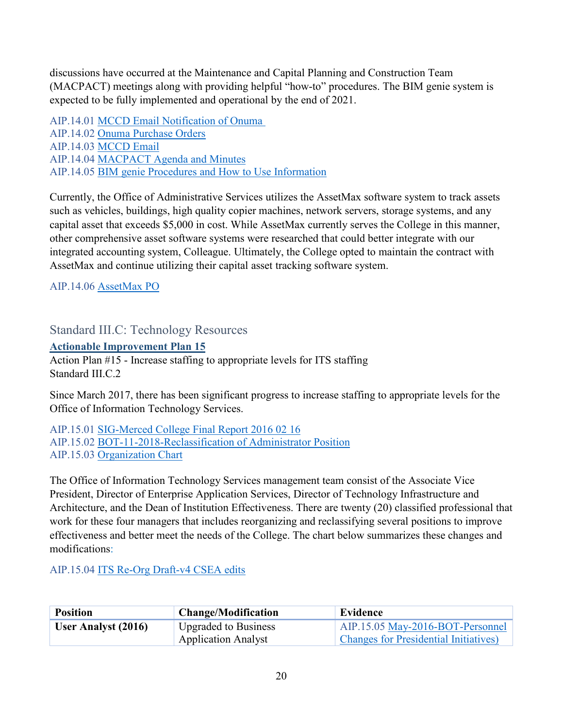discussions have occurred at the Maintenance and Capital Planning and Construction Team (MACPACT) meetings along with providing helpful "how-to" procedures. The BIM genie system is expected to be fully implemented and operational by the end of 2021.

AIP.14.01 MCCD Email Notification of Onuma AIP.14.02 Onuma Purchase Orders AIP.14.03 MCCD Email AIP.14.04 MACPACT Agenda and Minutes AIP.14.05 BIM genie Procedures and How to Use Information

Currently, the Office of Administrative Services utilizes the AssetMax software system to track assets such as vehicles, buildings, high quality copier machines, network servers, storage systems, and any capital asset that exceeds \$5,000 in cost. While AssetMax currently serves the College in this manner, other comprehensive asset software systems were researched that could better integrate with our integrated accounting system, Colleague. Ultimately, the College opted to maintain the contract with AssetMax and continue utilizing their capital asset tracking software system.

AIP.14.06 AssetMax PO

<span id="page-19-0"></span>Standard III.C: Technology Resources

<span id="page-19-1"></span>**Actionable Improvement Plan 15**

Action Plan #15 - Increase staffing to appropriate levels for ITS staffing Standard III.C.2

Since March 2017, there has been significant progress to increase staffing to appropriate levels for the Office of Information Technology Services.

AIP.15.01 SIG-Merced College Final Report 2016 02 16 AIP.15.02 BOT-11-2018-Reclassification of Administrator Position AIP.15.03 Organization Chart

The Office of Information Technology Services management team consist of the Associate Vice President, Director of Enterprise Application Services, Director of Technology Infrastructure and Architecture, and the Dean of Institution Effectiveness. There are twenty (20) classified professional that work for these four managers that includes reorganizing and reclassifying several positions to improve effectiveness and better meet the needs of the College. The chart below summarizes these changes and modifications:

AIP.15.04 ITS Re-Org Draft-v4 CSEA edits

| <b>Position</b>     | <b>Change/Modification</b>  | Evidence                                      |
|---------------------|-----------------------------|-----------------------------------------------|
| User Analyst (2016) | <b>Upgraded to Business</b> | AIP.15.05 May-2016-BOT-Personnel              |
|                     | <b>Application Analyst</b>  | <b>Changes for Presidential Initiatives</b> ) |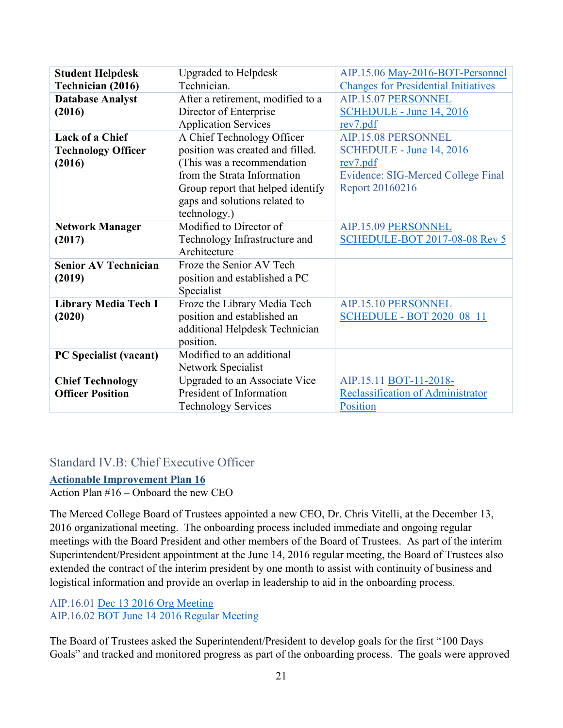| <b>Student Helpdesk</b>     | <b>Upgraded to Helpdesk</b>       | AIP.15.06 May-2016-BOT-Personnel            |
|-----------------------------|-----------------------------------|---------------------------------------------|
| Technician (2016)           | Technician.                       | <b>Changes for Presidential Initiatives</b> |
| <b>Database Analyst</b>     | After a retirement, modified to a | AIP.15.07 PERSONNEL                         |
| (2016)                      | Director of Enterprise            | SCHEDULE - June 14, 2016                    |
|                             | <b>Application Services</b>       | rev7.pdf                                    |
| <b>Lack of a Chief</b>      | A Chief Technology Officer        | AIP.15.08 PERSONNEL                         |
| <b>Technology Officer</b>   | position was created and filled.  | SCHEDULE - June 14, 2016                    |
| (2016)                      | (This was a recommendation        | rev7.pdf                                    |
|                             | from the Strata Information       | Evidence: SIG-Merced College Final          |
|                             | Group report that helped identify | Report 20160216                             |
|                             | gaps and solutions related to     |                                             |
|                             | technology.)                      |                                             |
| <b>Network Manager</b>      | Modified to Director of           | AIP.15.09 PERSONNEL                         |
| (2017)                      | Technology Infrastructure and     | <b>SCHEDULE-BOT 2017-08-08 Rev 5</b>        |
|                             | Architecture                      |                                             |
| <b>Senior AV Technician</b> | Froze the Senior AV Tech          |                                             |
| (2019)                      | position and established a PC     |                                             |
|                             | Specialist                        |                                             |
| <b>Library Media Tech I</b> | Froze the Library Media Tech      | AIP.15.10 PERSONNEL                         |
| (2020)                      | position and established an       | <b>SCHEDULE - BOT 2020 08 11</b>            |
|                             | additional Helpdesk Technician    |                                             |
|                             | position.                         |                                             |
| PC Specialist (vacant)      | Modified to an additional         |                                             |
|                             | Network Specialist                |                                             |
| <b>Chief Technology</b>     | Upgraded to an Associate Vice     | AIP.15.11 BOT-11-2018-                      |
| <b>Officer Position</b>     | President of Information          | Reclassification of Administrator           |
|                             | <b>Technology Services</b>        | Position                                    |

## <span id="page-20-0"></span>Standard IV.B: Chief Executive Officer

## <span id="page-20-1"></span>**Actionable Improvement Plan 16**

Action Plan #16 – Onboard the new CEO

The Merced College Board of Trustees appointed a new CEO, Dr. Chris Vitelli, at the December 13, 2016 organizational meeting. The onboarding process included immediate and ongoing regular meetings with the Board President and other members of the Board of Trustees. As part of the interim Superintendent/President appointment at the June 14, 2016 regular meeting, the Board of Trustees also extended the contract of the interim president by one month to assist with continuity of business and logistical information and provide an overlap in leadership to aid in the onboarding process.

# AIP.16.01 Dec 13 2016 Org Meeting

AIP.16.02 BOT June 14 2016 Regular Meeting

The Board of Trustees asked the Superintendent/President to develop goals for the first "100 Days Goals" and tracked and monitored progress as part of the onboarding process. The goals were approved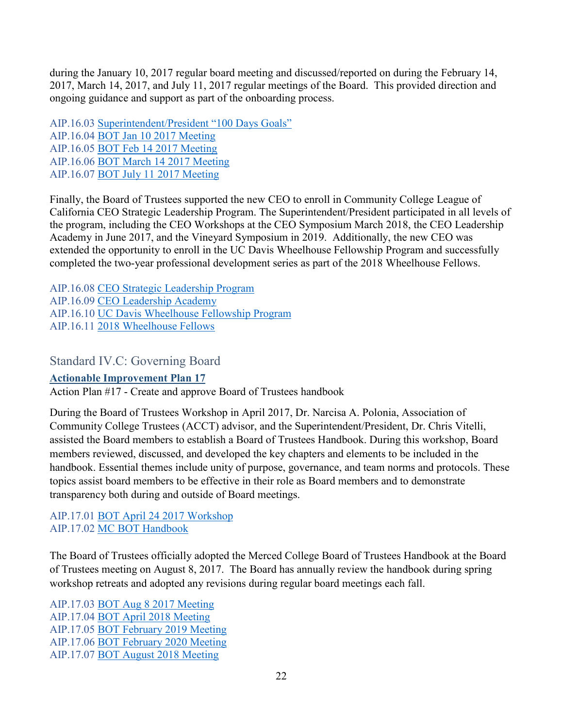during the January 10, 2017 regular board meeting and discussed/reported on during the February 14, 2017, March 14, 2017, and July 11, 2017 regular meetings of the Board. This provided direction and ongoing guidance and support as part of the onboarding process.

AIP.16.03 Superintendent/President "100 Days Goals" AIP.16.04 BOT Jan 10 2017 Meeting AIP.16.05 BOT Feb 14 2017 Meeting AIP.16.06 BOT March 14 2017 Meeting AIP.16.07 BOT July 11 2017 Meeting

Finally, the Board of Trustees supported the new CEO to enroll in Community College League of California CEO Strategic Leadership Program. The Superintendent/President participated in all levels of the program, including the CEO Workshops at the CEO Symposium March 2018, the CEO Leadership Academy in June 2017, and the Vineyard Symposium in 2019. Additionally, the new CEO was extended the opportunity to enroll in the UC Davis Wheelhouse Fellowship Program and successfully completed the two-year professional development series as part of the 2018 Wheelhouse Fellows.

AIP.16.08 CEO Strategic Leadership Program AIP.16.09 CEO Leadership Academy AIP.16.10 UC Davis Wheelhouse Fellowship Program AIP.16.11 2018 Wheelhouse Fellows

<span id="page-21-0"></span>Standard IV.C: Governing Board

## <span id="page-21-1"></span>**Actionable Improvement Plan 17**

Action Plan #17 - Create and approve Board of Trustees handbook

During the Board of Trustees Workshop in April 2017, Dr. Narcisa A. Polonia, Association of Community College Trustees (ACCT) advisor, and the Superintendent/President, Dr. Chris Vitelli, assisted the Board members to establish a Board of Trustees Handbook. During this workshop, Board members reviewed, discussed, and developed the key chapters and elements to be included in the handbook. Essential themes include unity of purpose, governance, and team norms and protocols. These topics assist board members to be effective in their role as Board members and to demonstrate transparency both during and outside of Board meetings.

AIP.17.01 BOT April 24 2017 Workshop AIP.17.02 MC BOT Handbook

The Board of Trustees officially adopted the Merced College Board of Trustees Handbook at the Board of Trustees meeting on August 8, 2017. The Board has annually review the handbook during spring workshop retreats and adopted any revisions during regular board meetings each fall.

AIP.17.03 BOT Aug 8 2017 Meeting AIP.17.04 BOT April 2018 Meeting AIP.17.05 BOT February 2019 Meeting AIP.17.06 BOT February 2020 Meeting AIP.17.07 BOT August 2018 Meeting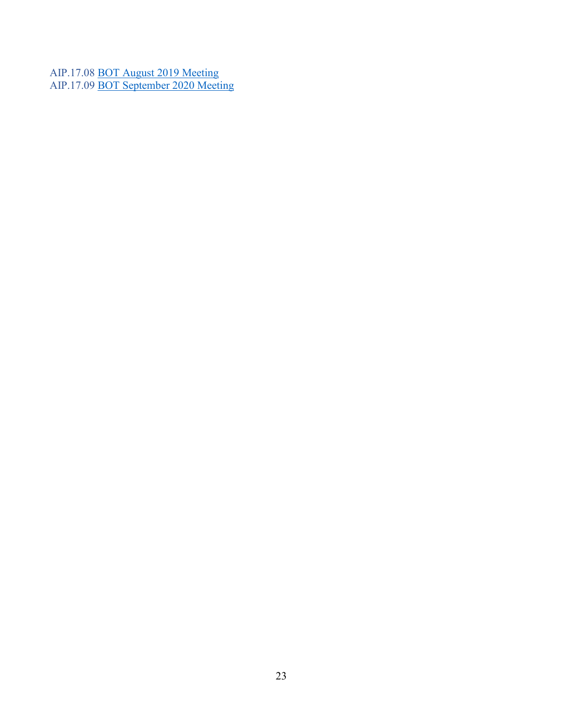AIP.17.08 **BOT August 2019 Meeting** AIP.17.09 **BOT September 2020 Meeting**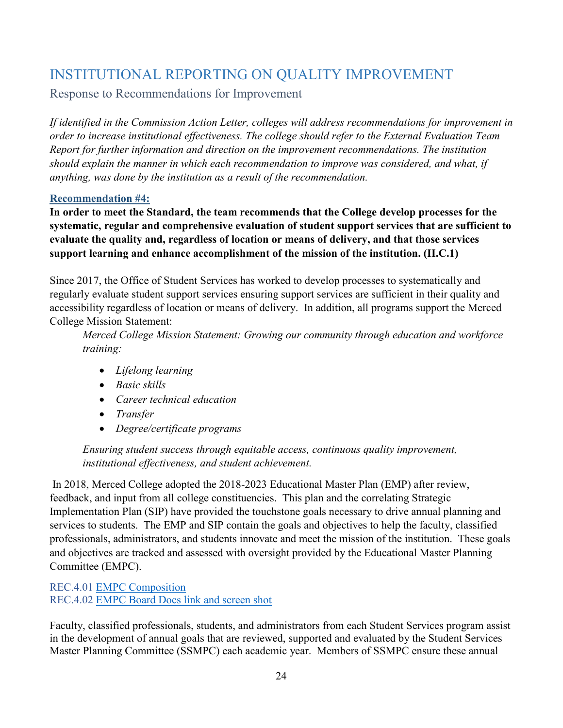# <span id="page-23-0"></span>INSTITUTIONAL REPORTING ON QUALITY IMPROVEMENT

<span id="page-23-1"></span>Response to Recommendations for Improvement

*If identified in the Commission Action Letter, colleges will address recommendations for improvement in order to increase institutional effectiveness. The college should refer to the External Evaluation Team Report for further information and direction on the improvement recommendations. The institution should explain the manner in which each recommendation to improve was considered, and what, if anything, was done by the institution as a result of the recommendation.*

## <span id="page-23-2"></span>**Recommendation #4:**

**In order to meet the Standard, the team recommends that the College develop processes for the systematic, regular and comprehensive evaluation of student support services that are sufficient to evaluate the quality and, regardless of location or means of delivery, and that those services support learning and enhance accomplishment of the mission of the institution. (II.C.1)**

Since 2017, the Office of Student Services has worked to develop processes to systematically and regularly evaluate student support services ensuring support services are sufficient in their quality and accessibility regardless of location or means of delivery. In addition, all programs support the Merced College Mission Statement:

*Merced College Mission Statement: Growing our community through education and workforce training:*

- *Lifelong learning*
- *Basic skills*
- *Career technical education*
- *Transfer*
- *Degree/certificate programs*

*Ensuring student success through equitable access, continuous quality improvement, institutional effectiveness, and student achievement.*

In 2018, Merced College adopted the 2018-2023 Educational Master Plan (EMP) after review, feedback, and input from all college constituencies. This plan and the correlating Strategic Implementation Plan (SIP) have provided the touchstone goals necessary to drive annual planning and services to students. The EMP and SIP contain the goals and objectives to help the faculty, classified professionals, administrators, and students innovate and meet the mission of the institution. These goals and objectives are tracked and assessed with oversight provided by the Educational Master Planning Committee (EMPC).

REC.4.01 EMPC Composition REC.4.02 EMPC Board Docs link and screen shot

Faculty, classified professionals, students, and administrators from each Student Services program assist in the development of annual goals that are reviewed, supported and evaluated by the Student Services Master Planning Committee (SSMPC) each academic year. Members of SSMPC ensure these annual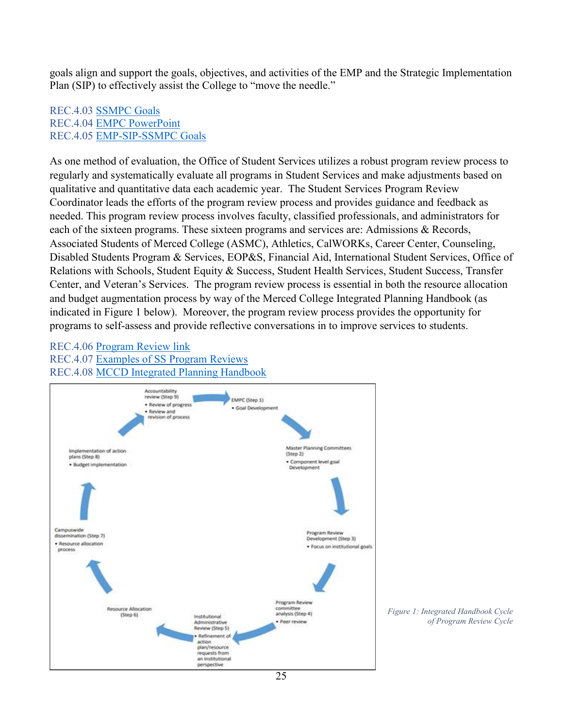goals align and support the goals, objectives, and activities of the EMP and the Strategic Implementation Plan (SIP) to effectively assist the College to "move the needle."

## REC.4.03 SSMPC Goals REC.4.04 EMPC PowerPoint REC.4.05 EMP-SIP-SSMPC Goals

As one method of evaluation, the Office of Student Services utilizes a robust program review process to regularly and systematically evaluate all programs in Student Services and make adjustments based on qualitative and quantitative data each academic year. The Student Services Program Review Coordinator leads the efforts of the program review process and provides guidance and feedback as needed. This program review process involves faculty, classified professionals, and administrators for each of the sixteen programs. These sixteen programs and services are: Admissions & Records, Associated Students of Merced College (ASMC), Athletics, CalWORKs, Career Center, Counseling, Disabled Students Program & Services, EOP&S, Financial Aid, International Student Services, Office of Relations with Schools, Student Equity & Success, Student Health Services, Student Success, Transfer Center, and Veteran's Services. The program review process is essential in both the resource allocation and budget augmentation process by way of the Merced College Integrated Planning Handbook (as indicated in Figure 1 below). Moreover, the program review process provides the opportunity for programs to self-assess and provide reflective conversations in to improve services to students.

#### REC.4.06 Program Review link REC.4.07 Examples of SS Program Reviews REC.4.08 MCCD Integrated Planning Handbook



 *Figure 1: Integrated Handbook Cycle of Program Review Cycle*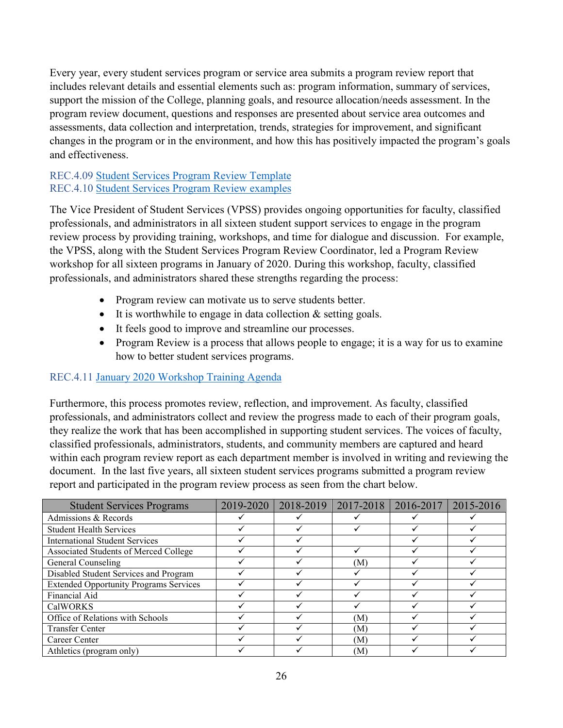Every year, every student services program or service area submits a program review report that includes relevant details and essential elements such as: program information, summary of services, support the mission of the College, planning goals, and resource allocation/needs assessment. In the program review document, questions and responses are presented about service area outcomes and assessments, data collection and interpretation, trends, strategies for improvement, and significant changes in the program or in the environment, and how this has positively impacted the program's goals and effectiveness.

## REC.4.09 Student Services Program Review Template REC.4.10 Student Services Program Review examples

The Vice President of Student Services (VPSS) provides ongoing opportunities for faculty, classified professionals, and administrators in all sixteen student support services to engage in the program review process by providing training, workshops, and time for dialogue and discussion. For example, the VPSS, along with the Student Services Program Review Coordinator, led a Program Review workshop for all sixteen programs in January of 2020. During this workshop, faculty, classified professionals, and administrators shared these strengths regarding the process:

- Program review can motivate us to serve students better.
- It is worthwhile to engage in data collection & setting goals.
- It feels good to improve and streamline our processes.
- Program Review is a process that allows people to engage; it is a way for us to examine how to better student services programs.

## REC.4.11 January 2020 Workshop Training Agenda

Furthermore, this process promotes review, reflection, and improvement. As faculty, classified professionals, and administrators collect and review the progress made to each of their program goals, they realize the work that has been accomplished in supporting student services. The voices of faculty, classified professionals, administrators, students, and community members are captured and heard within each program review report as each department member is involved in writing and reviewing the document. In the last five years, all sixteen student services programs submitted a program review report and participated in the program review process as seen from the chart below.

| <b>Student Services Programs</b>              | 2019-2020 | 2018-2019   2017-2018 | 2016-2017 | 2015-2016 |
|-----------------------------------------------|-----------|-----------------------|-----------|-----------|
| Admissions & Records                          |           |                       |           |           |
| <b>Student Health Services</b>                |           |                       |           |           |
| <b>International Student Services</b>         |           |                       |           |           |
| Associated Students of Merced College         |           |                       |           |           |
| General Counseling                            |           | (M)                   |           |           |
| Disabled Student Services and Program         |           |                       |           |           |
| <b>Extended Opportunity Programs Services</b> |           |                       |           |           |
| Financial Aid                                 |           |                       |           |           |
| <b>CalWORKS</b>                               |           |                       |           |           |
| Office of Relations with Schools              |           | (M)                   |           |           |
| <b>Transfer Center</b>                        |           | (M)                   |           |           |
| Career Center                                 |           | (M)                   |           |           |
| Athletics (program only)                      |           | (M)                   |           |           |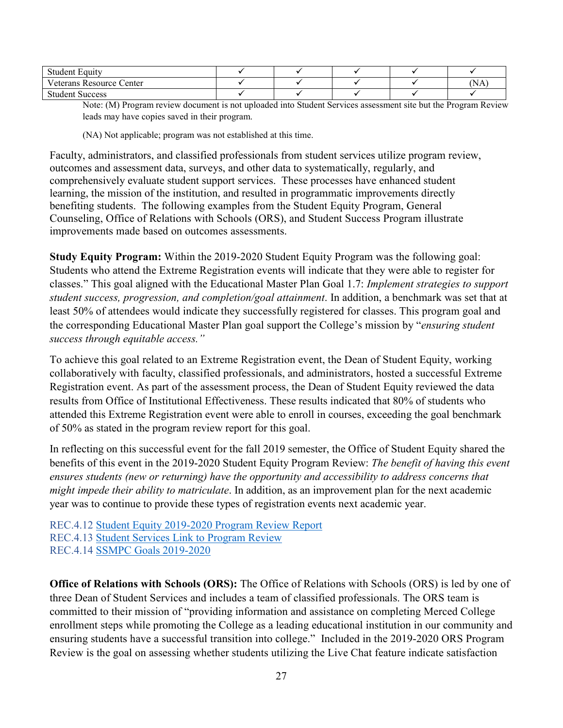| $\blacksquare$<br>Student.<br><b>Equity</b> |  |  |      |
|---------------------------------------------|--|--|------|
| T<br>Veterans Resource Center               |  |  | (NA) |
| Student.<br>Success                         |  |  |      |

Note: (M) Program review document is not uploaded into Student Services assessment site but the Program Review leads may have copies saved in their program.

(NA) Not applicable; program was not established at this time.

Faculty, administrators, and classified professionals from student services utilize program review, outcomes and assessment data, surveys, and other data to systematically, regularly, and comprehensively evaluate student support services. These processes have enhanced student learning, the mission of the institution, and resulted in programmatic improvements directly benefiting students. The following examples from the Student Equity Program, General Counseling, Office of Relations with Schools (ORS), and Student Success Program illustrate improvements made based on outcomes assessments.

**Study Equity Program:** Within the 2019-2020 Student Equity Program was the following goal: Students who attend the Extreme Registration events will indicate that they were able to register for classes." This goal aligned with the Educational Master Plan Goal 1.7: *Implement strategies to support student success, progression, and completion/goal attainment*. In addition, a benchmark was set that at least 50% of attendees would indicate they successfully registered for classes. This program goal and the corresponding Educational Master Plan goal support the College's mission by "*ensuring student success through equitable access."*

To achieve this goal related to an Extreme Registration event, the Dean of Student Equity, working collaboratively with faculty, classified professionals, and administrators, hosted a successful Extreme Registration event. As part of the assessment process, the Dean of Student Equity reviewed the data results from Office of Institutional Effectiveness. These results indicated that 80% of students who attended this Extreme Registration event were able to enroll in courses, exceeding the goal benchmark of 50% as stated in the program review report for this goal.

In reflecting on this successful event for the fall 2019 semester, the Office of Student Equity shared the benefits of this event in the 2019-2020 Student Equity Program Review: *The benefit of having this event ensures students (new or returning) have the opportunity and accessibility to address concerns that might impede their ability to matriculate*. In addition, as an improvement plan for the next academic year was to continue to provide these types of registration events next academic year.

REC.4.12 Student Equity 2019-2020 Program Review Report REC.4.13 Student Services Link to Program Review REC.4.14 SSMPC Goals 2019-2020

**Office of Relations with Schools (ORS):** The Office of Relations with Schools (ORS) is led by one of three Dean of Student Services and includes a team of classified professionals. The ORS team is committed to their mission of "providing information and assistance on completing Merced College enrollment steps while promoting the College as a leading educational institution in our community and ensuring students have a successful transition into college." Included in the 2019-2020 ORS Program Review is the goal on assessing whether students utilizing the Live Chat feature indicate satisfaction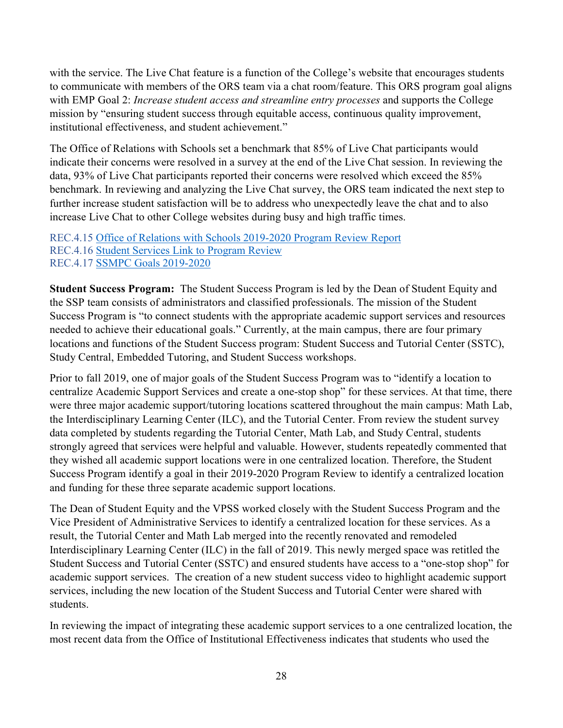with the service. The Live Chat feature is a function of the College's website that encourages students to communicate with members of the ORS team via a chat room/feature. This ORS program goal aligns with EMP Goal 2: *Increase student access and streamline entry processes* and supports the College mission by "ensuring student success through equitable access, continuous quality improvement, institutional effectiveness, and student achievement."

The Office of Relations with Schools set a benchmark that 85% of Live Chat participants would indicate their concerns were resolved in a survey at the end of the Live Chat session. In reviewing the data, 93% of Live Chat participants reported their concerns were resolved which exceed the 85% benchmark. In reviewing and analyzing the Live Chat survey, the ORS team indicated the next step to further increase student satisfaction will be to address who unexpectedly leave the chat and to also increase Live Chat to other College websites during busy and high traffic times.

REC.4.15 Office of Relations with Schools 2019-2020 Program Review Report REC.4.16 Student Services Link to Program Review REC.4.17 SSMPC Goals 2019-2020

**Student Success Program:** The Student Success Program is led by the Dean of Student Equity and the SSP team consists of administrators and classified professionals. The mission of the Student Success Program is "to connect students with the appropriate academic support services and resources needed to achieve their educational goals." Currently, at the main campus, there are four primary locations and functions of the Student Success program: Student Success and Tutorial Center (SSTC), Study Central, Embedded Tutoring, and Student Success workshops.

Prior to fall 2019, one of major goals of the Student Success Program was to "identify a location to centralize Academic Support Services and create a one-stop shop" for these services. At that time, there were three major academic support/tutoring locations scattered throughout the main campus: Math Lab, the Interdisciplinary Learning Center (ILC), and the Tutorial Center. From review the student survey data completed by students regarding the Tutorial Center, Math Lab, and Study Central, students strongly agreed that services were helpful and valuable. However, students repeatedly commented that they wished all academic support locations were in one centralized location. Therefore, the Student Success Program identify a goal in their 2019-2020 Program Review to identify a centralized location and funding for these three separate academic support locations.

The Dean of Student Equity and the VPSS worked closely with the Student Success Program and the Vice President of Administrative Services to identify a centralized location for these services. As a result, the Tutorial Center and Math Lab merged into the recently renovated and remodeled Interdisciplinary Learning Center (ILC) in the fall of 2019. This newly merged space was retitled the Student Success and Tutorial Center (SSTC) and ensured students have access to a "one-stop shop" for academic support services. The creation of a new student success video to highlight academic support services, including the new location of the Student Success and Tutorial Center were shared with students.

In reviewing the impact of integrating these academic support services to a one centralized location, the most recent data from the Office of Institutional Effectiveness indicates that students who used the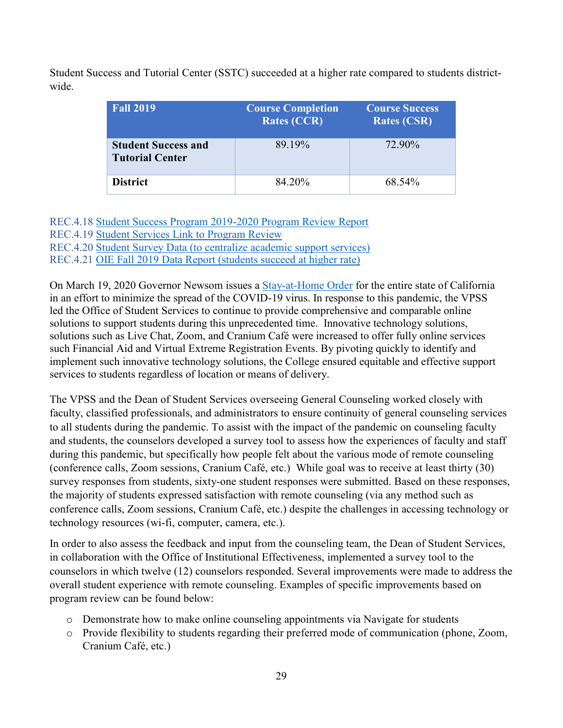Student Success and Tutorial Center (SSTC) succeeded at a higher rate compared to students districtwide.

| <b>Fall 2019</b>                                     | <b>Course Completion</b><br><b>Rates (CCR)</b> | <b>Course Success</b><br><b>Rates (CSR)</b> |
|------------------------------------------------------|------------------------------------------------|---------------------------------------------|
| <b>Student Success and</b><br><b>Tutorial Center</b> | 89.19%                                         | 72.90%                                      |
| <b>District</b>                                      | 84.20%                                         | 68.54%                                      |

REC.4.18 Student Success Program 2019-2020 Program Review Report REC.4.19 Student Services Link to Program Review REC.4.20 Student Survey Data (to centralize academic support services) REC.4.21 OIE Fall 2019 Data Report (students succeed at higher rate)

On March 19, 2020 Governor Newsom issues a [Stay-at-Home Order](https://www.gov.ca.gov/2020/03/19/governor-gavin-newsom-issues-stay-at-home-order/) for the entire state of California in an effort to minimize the spread of the COVID-19 virus. In response to this pandemic, the VPSS led the Office of Student Services to continue to provide comprehensive and comparable online solutions to support students during this unprecedented time. Innovative technology solutions, solutions such as Live Chat, Zoom, and Cranium Café were increased to offer fully online services such Financial Aid and Virtual Extreme Registration Events. By pivoting quickly to identify and implement such innovative technology solutions, the College ensured equitable and effective support services to students regardless of location or means of delivery.

The VPSS and the Dean of Student Services overseeing General Counseling worked closely with faculty, classified professionals, and administrators to ensure continuity of general counseling services to all students during the pandemic. To assist with the impact of the pandemic on counseling faculty and students, the counselors developed a survey tool to assess how the experiences of faculty and staff during this pandemic, but specifically how people felt about the various mode of remote counseling (conference calls, Zoom sessions, Cranium Café, etc.) While goal was to receive at least thirty (30) survey responses from students, sixty-one student responses were submitted. Based on these responses, the majority of students expressed satisfaction with remote counseling (via any method such as conference calls, Zoom sessions, Cranium Café, etc.) despite the challenges in accessing technology or technology resources (wi-fi, computer, camera, etc.).

In order to also assess the feedback and input from the counseling team, the Dean of Student Services, in collaboration with the Office of Institutional Effectiveness, implemented a survey tool to the counselors in which twelve (12) counselors responded. Several improvements were made to address the overall student experience with remote counseling. Examples of specific improvements based on program review can be found below:

- o Demonstrate how to make online counseling appointments via Navigate for students
- o Provide flexibility to students regarding their preferred mode of communication (phone, Zoom, Cranium Café, etc.)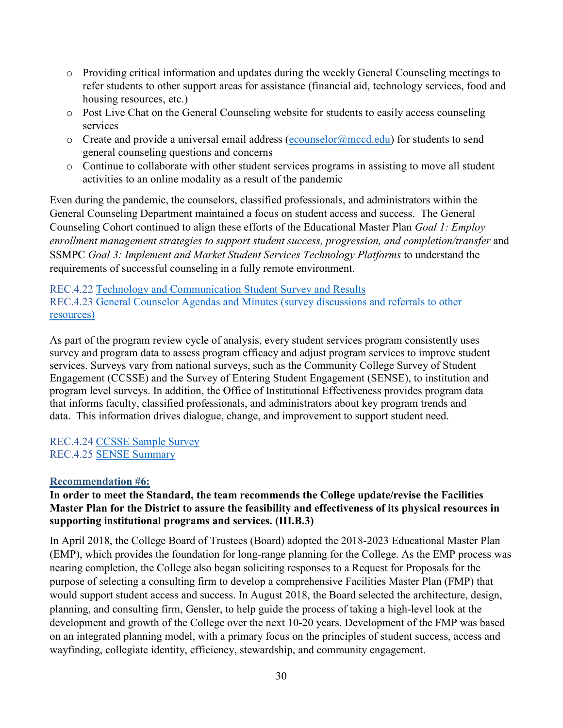- o Providing critical information and updates during the weekly General Counseling meetings to refer students to other support areas for assistance (financial aid, technology services, food and housing resources, etc.)
- o Post Live Chat on the General Counseling website for students to easily access counseling services
- $\circ$  Create and provide a universal email address [\(ecounselor@mccd.edu\)](mailto:ecounselor@mccd.edu) for students to send general counseling questions and concerns
- o Continue to collaborate with other student services programs in assisting to move all student activities to an online modality as a result of the pandemic

Even during the pandemic, the counselors, classified professionals, and administrators within the General Counseling Department maintained a focus on student access and success. The General Counseling Cohort continued to align these efforts of the Educational Master Plan *Goal 1: Employ enrollment management strategies to support student success, progression, and completion/transfer* and SSMPC *Goal 3: Implement and Market Student Services Technology Platforms* to understand the requirements of successful counseling in a fully remote environment.

REC.4.22 Technology and Communication Student Survey and Results REC.4.23 General Counselor Agendas and Minutes (survey discussions and referrals to other resources)

As part of the program review cycle of analysis, every student services program consistently uses survey and program data to assess program efficacy and adjust program services to improve student services. Surveys vary from national surveys, such as the Community College Survey of Student Engagement (CCSSE) and the Survey of Entering Student Engagement (SENSE), to institution and program level surveys. In addition, the Office of Institutional Effectiveness provides program data that informs faculty, classified professionals, and administrators about key program trends and data. This information drives dialogue, change, and improvement to support student need.

REC.4.24 CCSSE Sample Survey REC.4.25 SENSE Summary

## <span id="page-29-0"></span>**Recommendation #6:**

## **In order to meet the Standard, the team recommends the College update/revise the Facilities Master Plan for the District to assure the feasibility and effectiveness of its physical resources in supporting institutional programs and services. (III.B.3)**

In April 2018, the College Board of Trustees (Board) adopted the 2018-2023 Educational Master Plan (EMP), which provides the foundation for long-range planning for the College. As the EMP process was nearing completion, the College also began soliciting responses to a Request for Proposals for the purpose of selecting a consulting firm to develop a comprehensive Facilities Master Plan (FMP) that would support student access and success. In August 2018, the Board selected the architecture, design, planning, and consulting firm, Gensler, to help guide the process of taking a high-level look at the development and growth of the College over the next 10-20 years. Development of the FMP was based on an integrated planning model, with a primary focus on the principles of student success, access and wayfinding, collegiate identity, efficiency, stewardship, and community engagement.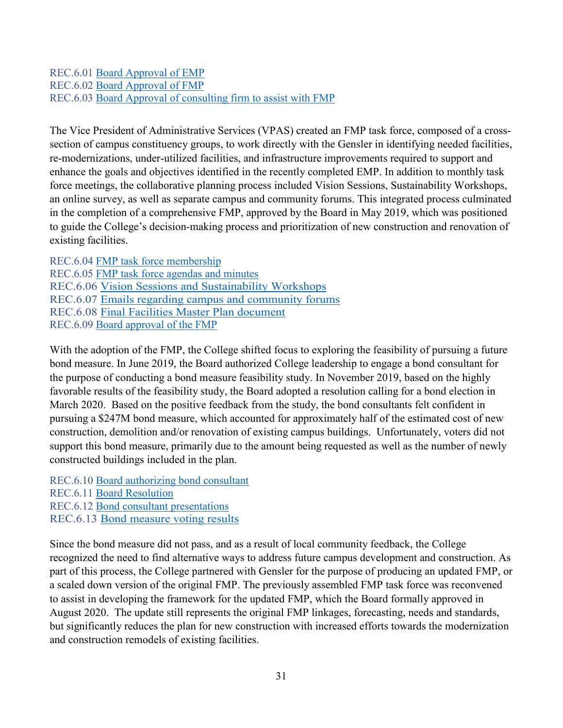### REC.6.01 Board Approval of EMP REC.6.02 Board Approval of FMP REC.6.03 Board Approval of consulting firm to assist with FMP

The Vice President of Administrative Services (VPAS) created an FMP task force, composed of a crosssection of campus constituency groups, to work directly with the Gensler in identifying needed facilities, re-modernizations, under-utilized facilities, and infrastructure improvements required to support and enhance the goals and objectives identified in the recently completed EMP. In addition to monthly task force meetings, the collaborative planning process included Vision Sessions, Sustainability Workshops, an online survey, as well as separate campus and community forums. This integrated process culminated in the completion of a comprehensive FMP, approved by the Board in May 2019, which was positioned to guide the College's decision-making process and prioritization of new construction and renovation of existing facilities.

REC.6.04 FMP task force membership REC.6.05 FMP task force agendas and minutes REC.6.06 Vision Sessions and Sustainability Workshops REC.6.07 Emails regarding campus and community forums REC.6.08 Final Facilities Master Plan document REC.6.09 Board approval of the FMP

With the adoption of the FMP, the College shifted focus to exploring the feasibility of pursuing a future bond measure. In June 2019, the Board authorized College leadership to engage a bond consultant for the purpose of conducting a bond measure feasibility study. In November 2019, based on the highly favorable results of the feasibility study, the Board adopted a resolution calling for a bond election in March 2020. Based on the positive feedback from the study, the bond consultants felt confident in pursuing a \$247M bond measure, which accounted for approximately half of the estimated cost of new construction, demolition and/or renovation of existing campus buildings. Unfortunately, voters did not support this bond measure, primarily due to the amount being requested as well as the number of newly constructed buildings included in the plan.

REC.6.10 Board authorizing bond consultant REC.6.11 Board Resolution REC.6.12 Bond consultant presentations REC.6.13 Bond measure voting results

Since the bond measure did not pass, and as a result of local community feedback, the College recognized the need to find alternative ways to address future campus development and construction. As part of this process, the College partnered with Gensler for the purpose of producing an updated FMP, or a scaled down version of the original FMP. The previously assembled FMP task force was reconvened to assist in developing the framework for the updated FMP, which the Board formally approved in August 2020. The update still represents the original FMP linkages, forecasting, needs and standards, but significantly reduces the plan for new construction with increased efforts towards the modernization and construction remodels of existing facilities.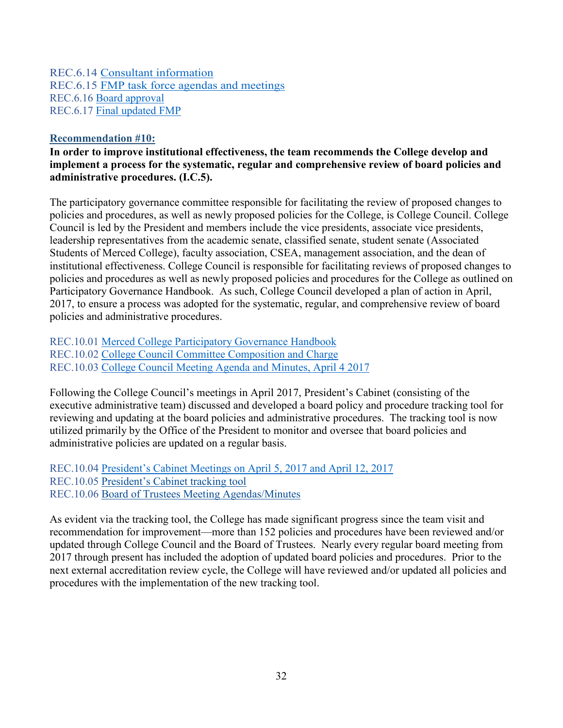REC.6.14 Consultant information REC.6.15 FMP task force agendas and meetings REC.6.16 Board approval REC.6.17 Final updated FMP

#### <span id="page-31-0"></span>**Recommendation #10:**

**In order to improve institutional effectiveness, the team recommends the College develop and implement a process for the systematic, regular and comprehensive review of board policies and administrative procedures. (I.C.5).**

The participatory governance committee responsible for facilitating the review of proposed changes to policies and procedures, as well as newly proposed policies for the College, is College Council. College Council is led by the President and members include the vice presidents, associate vice presidents, leadership representatives from the academic senate, classified senate, student senate (Associated Students of Merced College), faculty association, CSEA, management association, and the dean of institutional effectiveness. College Council is responsible for facilitating reviews of proposed changes to policies and procedures as well as newly proposed policies and procedures for the College as outlined on Participatory Governance Handbook. As such, College Council developed a plan of action in April, 2017, to ensure a process was adopted for the systematic, regular, and comprehensive review of board policies and administrative procedures.

REC.10.01 Merced College Participatory Governance Handbook REC.10.02 College Council Committee Composition and Charge REC.10.03 College Council Meeting Agenda and Minutes, April 4 2017

Following the College Council's meetings in April 2017, President's Cabinet (consisting of the executive administrative team) discussed and developed a board policy and procedure tracking tool for reviewing and updating at the board policies and administrative procedures. The tracking tool is now utilized primarily by the Office of the President to monitor and oversee that board policies and administrative policies are updated on a regular basis.

REC.10.04 President's Cabinet Meetings on April 5, 2017 and April 12, 2017 REC.10.05 President's Cabinet tracking tool REC.10.06 Board of Trustees Meeting Agendas/Minutes

As evident via the tracking tool, the College has made significant progress since the team visit and recommendation for improvement—more than 152 policies and procedures have been reviewed and/or updated through College Council and the Board of Trustees. Nearly every regular board meeting from 2017 through present has included the adoption of updated board policies and procedures. Prior to the next external accreditation review cycle, the College will have reviewed and/or updated all policies and procedures with the implementation of the new tracking tool.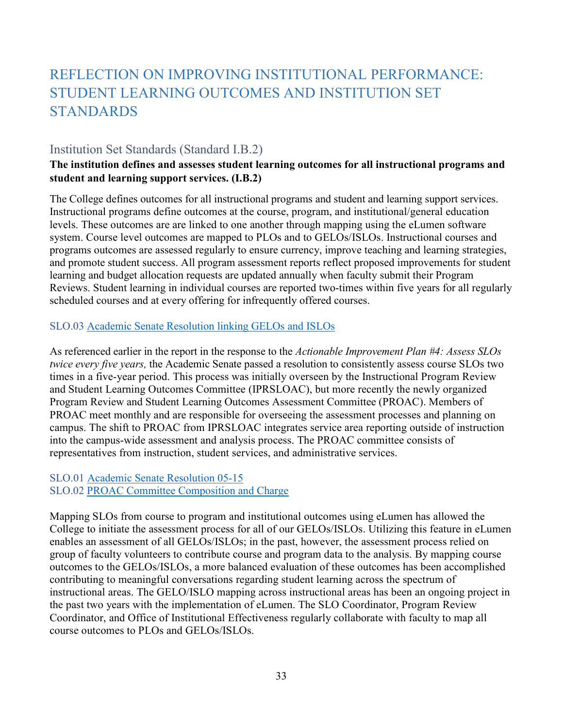# <span id="page-32-0"></span>REFLECTION ON IMPROVING INSTITUTIONAL PERFORMANCE: STUDENT LEARNING OUTCOMES AND INSTITUTION SET STANDARDS

# <span id="page-32-1"></span>Institution Set Standards (Standard I.B.2)

## **The institution defines and assesses student learning outcomes for all instructional programs and student and learning support services. (I.B.2)**

The College defines outcomes for all instructional programs and student and learning support services. Instructional programs define outcomes at the course, program, and institutional/general education levels. These outcomes are are linked to one another through mapping using the eLumen software system. Course level outcomes are mapped to PLOs and to GELOs/ISLOs. Instructional courses and programs outcomes are assessed regularly to ensure currency, improve teaching and learning strategies, and promote student success. All program assessment reports reflect proposed improvements for student learning and budget allocation requests are updated annually when faculty submit their Program Reviews. Student learning in individual courses are reported two-times within five years for all regularly scheduled courses and at every offering for infrequently offered courses.

## SLO.03 Academic Senate Resolution linking GELOs and ISLOs

As referenced earlier in the report in the response to the *Actionable Improvement Plan #4: Assess SLOs twice every five years,* the Academic Senate passed a resolution to consistently assess course SLOs two times in a five-year period. This process was initially overseen by the Instructional Program Review and Student Learning Outcomes Committee (IPRSLOAC), but more recently the newly organized Program Review and Student Learning Outcomes Assessment Committee (PROAC). Members of PROAC meet monthly and are responsible for overseeing the assessment processes and planning on campus. The shift to PROAC from IPRSLOAC integrates service area reporting outside of instruction into the campus-wide assessment and analysis process. The PROAC committee consists of representatives from instruction, student services, and administrative services.

## SLO.01 Academic Senate Resolution 05-15

## SLO.02 PROAC Committee Composition and Charge

Mapping SLOs from course to program and institutional outcomes using eLumen has allowed the College to initiate the assessment process for all of our GELOs/ISLOs. Utilizing this feature in eLumen enables an assessment of all GELOs/ISLOs; in the past, however, the assessment process relied on group of faculty volunteers to contribute course and program data to the analysis. By mapping course outcomes to the GELOs/ISLOs, a more balanced evaluation of these outcomes has been accomplished contributing to meaningful conversations regarding student learning across the spectrum of instructional areas. The GELO/ISLO mapping across instructional areas has been an ongoing project in the past two years with the implementation of eLumen. The SLO Coordinator, Program Review Coordinator, and Office of Institutional Effectiveness regularly collaborate with faculty to map all course outcomes to PLOs and GELOs/ISLOs.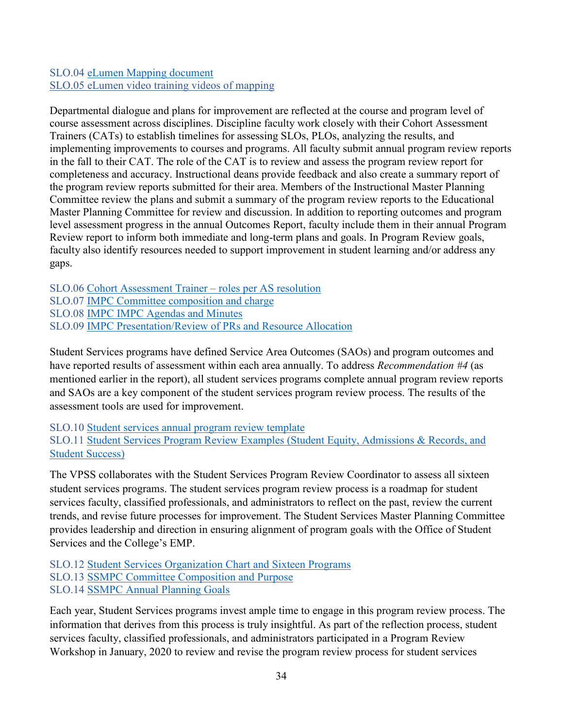## SLO.04 eLumen Mapping document SLO.05 [eLumen video training videos of mapping](https://www.youtube.com/watch?v=jLuOMHWMsJY&list=PL-NVFcAvhcj5SXM8J6c8e3Ya-vF8oIdk6&index=9)

Departmental dialogue and plans for improvement are reflected at the course and program level of course assessment across disciplines. Discipline faculty work closely with their Cohort Assessment Trainers (CATs) to establish timelines for assessing SLOs, PLOs, analyzing the results, and implementing improvements to courses and programs. All faculty submit annual program review reports in the fall to their CAT. The role of the CAT is to review and assess the program review report for completeness and accuracy. Instructional deans provide feedback and also create a summary report of the program review reports submitted for their area. Members of the Instructional Master Planning Committee review the plans and submit a summary of the program review reports to the Educational Master Planning Committee for review and discussion. In addition to reporting outcomes and program level assessment progress in the annual Outcomes Report, faculty include them in their annual Program Review report to inform both immediate and long-term plans and goals. In Program Review goals, faculty also identify resources needed to support improvement in student learning and/or address any gaps.

SLO.06 Cohort Assessment Trainer – roles per AS resolution SLO.07 IMPC Committee composition and charge SLO.08 IMPC IMPC Agendas and Minutes SLO.09 IMPC Presentation/Review of PRs and Resource Allocation

Student Services programs have defined Service Area Outcomes (SAOs) and program outcomes and have reported results of assessment within each area annually. To address *Recommendation #4* (as mentioned earlier in the report), all student services programs complete annual program review reports and SAOs are a key component of the student services program review process. The results of the assessment tools are used for improvement.

SLO.10 Student services annual program review template SLO.11 Student Services Program Review Examples (Student Equity, Admissions & Records, and Student Success)

The VPSS collaborates with the Student Services Program Review Coordinator to assess all sixteen student services programs. The student services program review process is a roadmap for student services faculty, classified professionals, and administrators to reflect on the past, review the current trends, and revise future processes for improvement. The Student Services Master Planning Committee provides leadership and direction in ensuring alignment of program goals with the Office of Student Services and the College's EMP.

SLO.12 Student Services Organization Chart and Sixteen Programs SLO.13 SSMPC Committee Composition and Purpose SLO.14 SSMPC Annual Planning Goals

Each year, Student Services programs invest ample time to engage in this program review process. The information that derives from this process is truly insightful. As part of the reflection process, student services faculty, classified professionals, and administrators participated in a Program Review Workshop in January, 2020 to review and revise the program review process for student services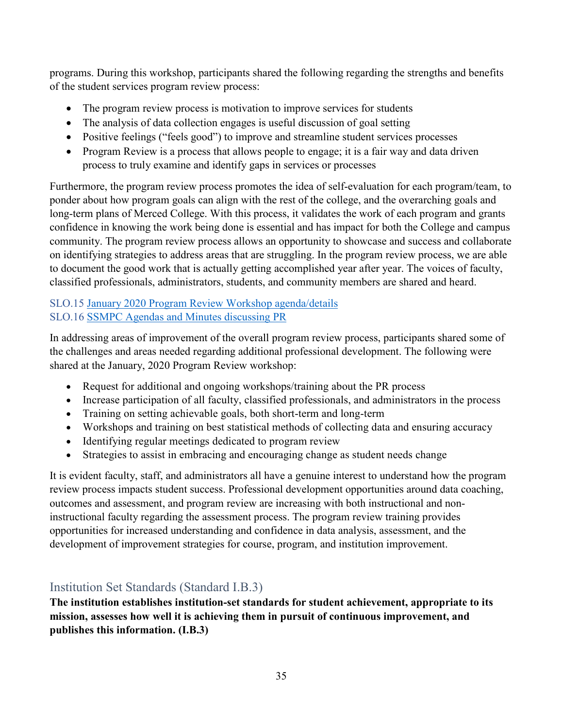programs. During this workshop, participants shared the following regarding the strengths and benefits of the student services program review process:

- The program review process is motivation to improve services for students
- The analysis of data collection engages is useful discussion of goal setting
- Positive feelings ("feels good") to improve and streamline student services processes
- Program Review is a process that allows people to engage; it is a fair way and data driven process to truly examine and identify gaps in services or processes

Furthermore, the program review process promotes the idea of self-evaluation for each program/team, to ponder about how program goals can align with the rest of the college, and the overarching goals and long-term plans of Merced College. With this process, it validates the work of each program and grants confidence in knowing the work being done is essential and has impact for both the College and campus community. The program review process allows an opportunity to showcase and success and collaborate on identifying strategies to address areas that are struggling. In the program review process, we are able to document the good work that is actually getting accomplished year after year. The voices of faculty, classified professionals, administrators, students, and community members are shared and heard.

## SLO.15 January 2020 Program Review Workshop agenda/details SLO.16 SSMPC Agendas and Minutes discussing PR

In addressing areas of improvement of the overall program review process, participants shared some of the challenges and areas needed regarding additional professional development. The following were shared at the January, 2020 Program Review workshop:

- Request for additional and ongoing workshops/training about the PR process
- Increase participation of all faculty, classified professionals, and administrators in the process
- Training on setting achievable goals, both short-term and long-term
- Workshops and training on best statistical methods of collecting data and ensuring accuracy
- Identifying regular meetings dedicated to program review
- Strategies to assist in embracing and encouraging change as student needs change

It is evident faculty, staff, and administrators all have a genuine interest to understand how the program review process impacts student success. Professional development opportunities around data coaching, outcomes and assessment, and program review are increasing with both instructional and noninstructional faculty regarding the assessment process. The program review training provides opportunities for increased understanding and confidence in data analysis, assessment, and the development of improvement strategies for course, program, and institution improvement.

# <span id="page-34-0"></span>Institution Set Standards (Standard I.B.3)

**The institution establishes institution-set standards for student achievement, appropriate to its mission, assesses how well it is achieving them in pursuit of continuous improvement, and publishes this information. (I.B.3)**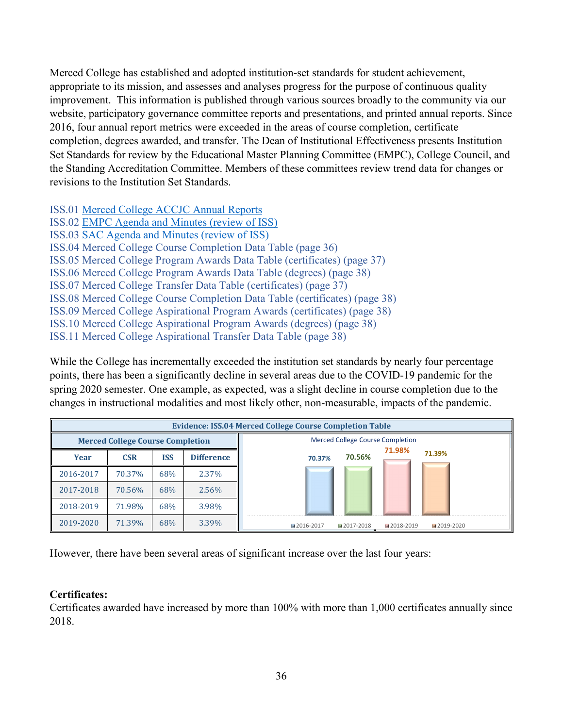Merced College has established and adopted institution-set standards for student achievement, appropriate to its mission, and assesses and analyses progress for the purpose of continuous quality improvement. This information is published through various sources broadly to the community via our website, participatory governance committee reports and presentations, and printed annual reports. Since 2016, four annual report metrics were exceeded in the areas of course completion, certificate completion, degrees awarded, and transfer. The Dean of Institutional Effectiveness presents Institution Set Standards for review by the Educational Master Planning Committee (EMPC), College Council, and the Standing Accreditation Committee. Members of these committees review trend data for changes or revisions to the Institution Set Standards.

ISS.01 Merced College ACCJC Annual Reports

ISS.02 EMPC Agenda and Minutes (review of ISS) ISS.03 SAC Agenda and Minutes (review of ISS) ISS.04 Merced College Course Completion Data Table (page 36) ISS.05 Merced College Program Awards Data Table (certificates) (page 37) ISS.06 Merced College Program Awards Data Table (degrees) (page 38) ISS.07 Merced College Transfer Data Table (certificates) (page 37) ISS.08 Merced College Course Completion Data Table (certificates) (page 38) ISS.09 Merced College Aspirational Program Awards (certificates) (page 38) ISS.10 Merced College Aspirational Program Awards (degrees) (page 38) ISS.11 Merced College Aspirational Transfer Data Table (page 38)

While the College has incrementally exceeded the institution set standards by nearly four percentage points, there has been a significantly decline in several areas due to the COVID-19 pandemic for the spring 2020 semester. One example, as expected, was a slight decline in course completion due to the changes in instructional modalities and most likely other, non-measurable, impacts of the pandemic.

|                                         |            |            |                   | <b>Evidence: ISS.04 Merced College Course Completion Table</b> |  |                                         |
|-----------------------------------------|------------|------------|-------------------|----------------------------------------------------------------|--|-----------------------------------------|
| <b>Merced College Course Completion</b> |            |            |                   |                                                                |  | <b>Merced College Course Completion</b> |
| Year                                    | <b>CSR</b> | <b>ISS</b> | <b>Difference</b> | 71.98%<br>71.39%<br>70.56%<br>70.37%                           |  |                                         |
| 2016-2017                               | 70.37%     | 68%        | 2.37%             |                                                                |  |                                         |
| 2017-2018                               | 70.56%     | 68%        | 2.56%             |                                                                |  |                                         |
| 2018-2019                               | 71.98%     | 68%        | 3.98%             |                                                                |  |                                         |
| 2019-2020                               | 71.39%     | 68%        | 3.39%             | ■2016-2017<br>■2017-2018<br>■2018-2019<br>■2019-2020           |  |                                         |

However, there have been several areas of significant increase over the last four years:

## **Certificates:**

Certificates awarded have increased by more than 100% with more than 1,000 certificates annually since 2018.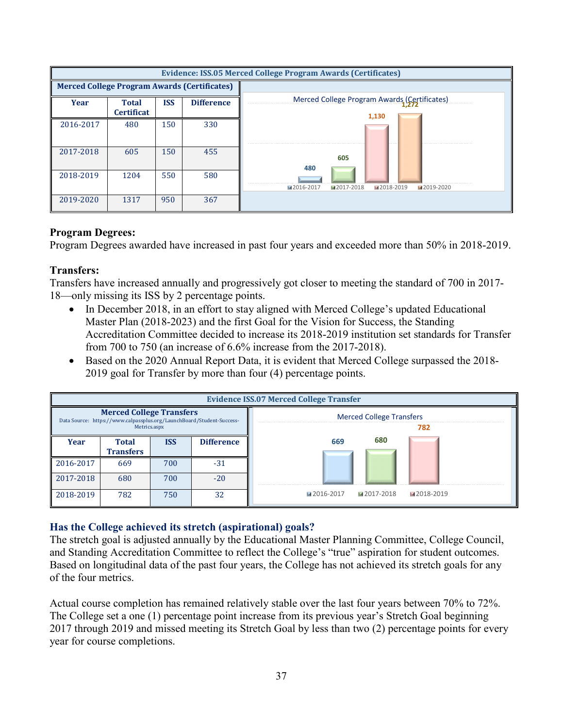|                                                     |                                   |            |                   | Evidence: ISS.05 Merced College Program Awards (Certificates) |
|-----------------------------------------------------|-----------------------------------|------------|-------------------|---------------------------------------------------------------|
| <b>Merced College Program Awards (Certificates)</b> |                                   |            |                   |                                                               |
| <b>Year</b>                                         | <b>Total</b><br><b>Certificat</b> | <b>ISS</b> | <b>Difference</b> | Merced College Program Awards (Certificates)<br>1,130         |
| 2016-2017                                           | 480                               | 150        | 330               |                                                               |
| 2017-2018                                           | 605                               | 150        | 455               | 605<br>480                                                    |
| 2018-2019                                           | 1204                              | 550        | 580               | ■2017-2018<br>■2016-2017<br>■2018-2019<br>■2019-2020          |
| 2019-2020                                           | 1317                              | 950        | 367               |                                                               |

#### **Program Degrees:**

Program Degrees awarded have increased in past four years and exceeded more than 50% in 2018-2019.

#### **Transfers:**

Transfers have increased annually and progressively got closer to meeting the standard of 700 in 2017- 18—only missing its ISS by 2 percentage points.

- In December 2018, in an effort to stay aligned with Merced College's updated Educational Master Plan (2018-2023) and the first Goal for the Vision for Success, the Standing Accreditation Committee decided to increase its 2018-2019 institution set standards for Transfer from 700 to 750 (an increase of 6.6% increase from the 2017-2018).
- Based on the 2020 Annual Report Data, it is evident that Merced College surpassed the 2018-2019 goal for Transfer by more than four (4) percentage points.

|                                                                                                          | <b>Evidence ISS.07 Merced College Transfer</b> |            |                   |                                        |  |
|----------------------------------------------------------------------------------------------------------|------------------------------------------------|------------|-------------------|----------------------------------------|--|
| <b>Merced College Transfers</b><br>Data Source: https://www.calpassplus.org/LaunchBoard/Student-Success- |                                                |            |                   | <b>Merced College Transfers</b>        |  |
| Metrics.aspx                                                                                             |                                                |            |                   | 782                                    |  |
| Year                                                                                                     | <b>Total</b>                                   | <b>ISS</b> | <b>Difference</b> | 680<br>669                             |  |
|                                                                                                          | <b>Transfers</b>                               |            |                   |                                        |  |
| 2016-2017                                                                                                | 669                                            | 700        | $-31$             |                                        |  |
| 2017-2018                                                                                                | 680                                            | 700        | $-20$             |                                        |  |
| 2018-2019                                                                                                | 782                                            | 750        | 32                | ■2017-2018<br>■2016-2017<br>■2018-2019 |  |

#### **Has the College achieved its stretch (aspirational) goals?**

The stretch goal is adjusted annually by the Educational Master Planning Committee, College Council, and Standing Accreditation Committee to reflect the College's "true" aspiration for student outcomes. Based on longitudinal data of the past four years, the College has not achieved its stretch goals for any of the four metrics.

Actual course completion has remained relatively stable over the last four years between 70% to 72%. The College set a one (1) percentage point increase from its previous year's Stretch Goal beginning 2017 through 2019 and missed meeting its Stretch Goal by less than two (2) percentage points for every year for course completions.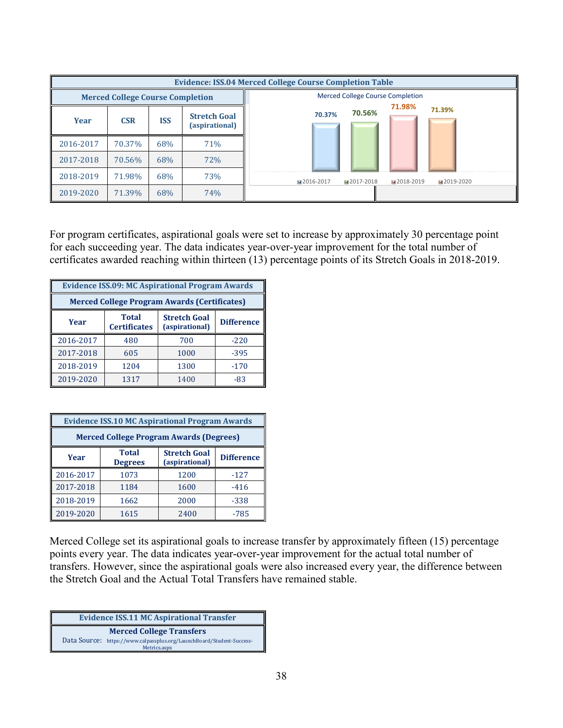|                                         | <b>Evidence: ISS.04 Merced College Course Completion Table</b> |            |                                       |                                                      |
|-----------------------------------------|----------------------------------------------------------------|------------|---------------------------------------|------------------------------------------------------|
| <b>Merced College Course Completion</b> |                                                                |            |                                       | <b>Merced College Course Completion</b>              |
| Year                                    | <b>CSR</b>                                                     | <b>ISS</b> | <b>Stretch Goal</b><br>(aspirational) | 71.98%<br>71.39%<br>70.56%<br>70.37%                 |
| 2016-2017                               | 70.37%                                                         | 68%        | 71%                                   |                                                      |
| 2017-2018                               | 70.56%                                                         | 68%        | 72%                                   |                                                      |
| 2018-2019                               | 71.98%                                                         | 68%        | 73%                                   | ■2016-2017<br>■2017-2018<br>■2018-2019<br>■2019-2020 |
| 2019-2020                               | 71.39%                                                         | 68%        | 74%                                   |                                                      |

For program certificates, aspirational goals were set to increase by approximately 30 percentage point for each succeeding year. The data indicates year-over-year improvement for the total number of certificates awarded reaching within thirteen (13) percentage points of its Stretch Goals in 2018-2019.

| <b>Evidence ISS.09: MC Aspirational Program Awards</b> |                                     |                                       |                   |
|--------------------------------------------------------|-------------------------------------|---------------------------------------|-------------------|
| <b>Merced College Program Awards (Certificates)</b>    |                                     |                                       |                   |
| Year                                                   | <b>Total</b><br><b>Certificates</b> | <b>Stretch Goal</b><br>(aspirational) | <b>Difference</b> |
| 2016-2017                                              | 480                                 | 700                                   | $-220$            |
| 2017-2018                                              | 605                                 | 1000                                  | $-395$            |
| 2018-2019                                              | 1204                                | 1300                                  | $-170$            |
| 2019-2020                                              | 1317                                | 1400                                  | $-83$             |

| <b>Evidence ISS.10 MC Aspirational Program Awards</b> |                                |                                       |                   |
|-------------------------------------------------------|--------------------------------|---------------------------------------|-------------------|
| <b>Merced College Program Awards (Degrees)</b>        |                                |                                       |                   |
| Year                                                  | <b>Total</b><br><b>Degrees</b> | <b>Stretch Goal</b><br>(aspirational) | <b>Difference</b> |
| 2016-2017                                             | 1073                           | 1200                                  | $-127$            |
| 2017-2018                                             | 1184                           | 1600                                  | $-416$            |
| 2018-2019                                             | 1662                           | 2000                                  | $-338$            |
| 2019-2020                                             | 1615                           | 2400                                  | $-785$            |

Merced College set its aspirational goals to increase transfer by approximately fifteen (15) percentage points every year. The data indicates year-over-year improvement for the actual total number of transfers. However, since the aspirational goals were also increased every year, the difference between the Stretch Goal and the Actual Total Transfers have remained stable.

| <b>Evidence ISS.11 MC Aspirational Transfer</b> |                                                                                       |  |
|-------------------------------------------------|---------------------------------------------------------------------------------------|--|
|                                                 | <b>Merced College Transfers</b>                                                       |  |
|                                                 | Data Source: https://www.calpassplus.org/LaunchBoard/Student-Success-<br>Metrics.aspx |  |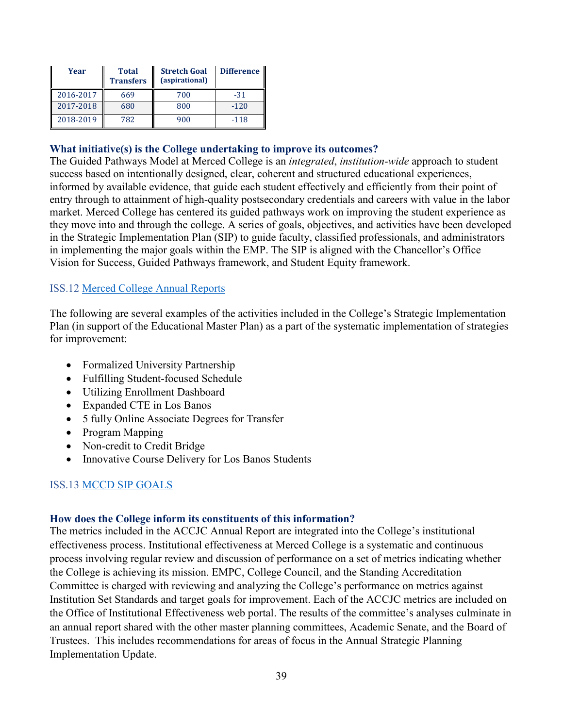| Year      | <b>Total</b><br><b>Transfers</b> | <b>Stretch Goal</b><br>(aspirational) | <b>Difference</b> |
|-----------|----------------------------------|---------------------------------------|-------------------|
| 2016-2017 | 669                              | 700                                   | $-31$             |
| 2017-2018 | 680                              | 800                                   | $-120$            |
| 2018-2019 | 782                              | 900                                   | $-118$            |

#### **What initiative(s) is the College undertaking to improve its outcomes?**

The Guided Pathways Model at Merced College is an *integrated*, *institution-wide* approach to student success based on intentionally designed, clear, coherent and structured educational experiences, informed by available evidence, that guide each student effectively and efficiently from their point of entry through to attainment of high-quality postsecondary credentials and careers with value in the labor market. Merced College has centered its guided pathways work on improving the student experience as they move into and through the college. A series of goals, objectives, and activities have been developed in the Strategic Implementation Plan (SIP) to guide faculty, classified professionals, and administrators in implementing the major goals within the EMP. The SIP is aligned with the Chancellor's Office Vision for Success, Guided Pathways framework, and Student Equity framework.

#### ISS.12 Merced College Annual Reports

The following are several examples of the activities included in the College's Strategic Implementation Plan (in support of the Educational Master Plan) as a part of the systematic implementation of strategies for improvement:

- Formalized University Partnership
- Fulfilling Student-focused Schedule
- Utilizing Enrollment Dashboard
- Expanded CTE in Los Banos
- 5 fully Online Associate Degrees for Transfer
- Program Mapping
- Non-credit to Credit Bridge
- Innovative Course Delivery for Los Banos Students

#### ISS.13 MCCD SIP GOALS

#### **How does the College inform its constituents of this information?**

The metrics included in the ACCJC Annual Report are integrated into the College's institutional effectiveness process. Institutional effectiveness at Merced College is a systematic and continuous process involving regular review and discussion of performance on a set of metrics indicating whether the College is achieving its mission. EMPC, College Council, and the Standing Accreditation Committee is charged with reviewing and analyzing the College's performance on metrics against Institution Set Standards and target goals for improvement. Each of the ACCJC metrics are included on the Office of Institutional Effectiveness web portal. The results of the committee's analyses culminate in an annual report shared with the other master planning committees, Academic Senate, and the Board of Trustees. This includes recommendations for areas of focus in the Annual Strategic Planning Implementation Update.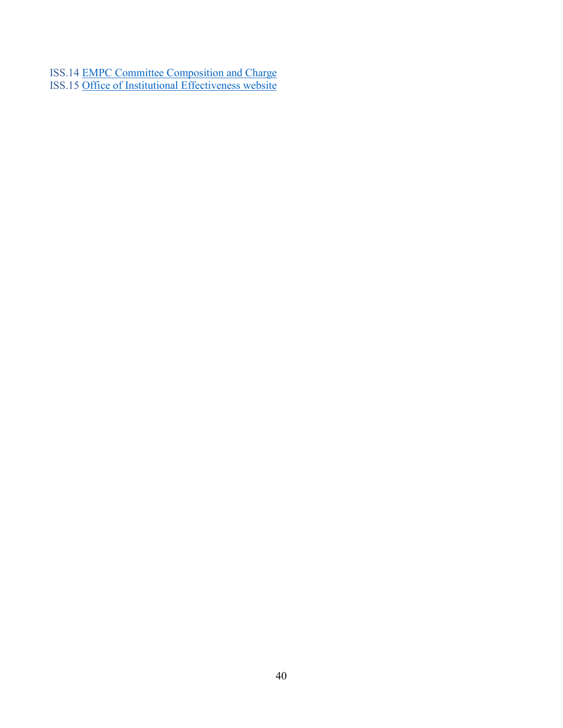ISS.14 EMPC Committee Composition and Charge ISS.15 Office of Institutional Effectiveness website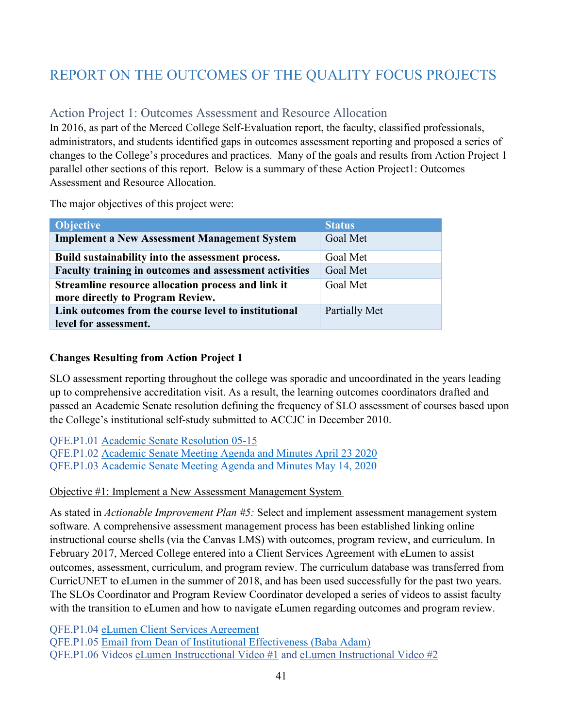# <span id="page-40-0"></span>REPORT ON THE OUTCOMES OF THE QUALITY FOCUS PROJECTS

# <span id="page-40-1"></span>Action Project 1: Outcomes Assessment and Resource Allocation

In 2016, as part of the Merced College Self-Evaluation report, the faculty, classified professionals, administrators, and students identified gaps in outcomes assessment reporting and proposed a series of changes to the College's procedures and practices. Many of the goals and results from Action Project 1 parallel other sections of this report. Below is a summary of these Action Project1: Outcomes Assessment and Resource Allocation.

The major objectives of this project were:

| <b>Objective</b>                                                                       | <b>Status</b>   |
|----------------------------------------------------------------------------------------|-----------------|
| <b>Implement a New Assessment Management System</b>                                    | <b>Goal Met</b> |
| Build sustainability into the assessment process.                                      | Goal Met        |
| Faculty training in outcomes and assessment activities                                 | Goal Met        |
| Streamline resource allocation process and link it<br>more directly to Program Review. | Goal Met        |
| Link outcomes from the course level to institutional                                   | Partially Met   |
| level for assessment.                                                                  |                 |

## **Changes Resulting from Action Project 1**

SLO assessment reporting throughout the college was sporadic and uncoordinated in the years leading up to comprehensive accreditation visit. As a result, the learning outcomes coordinators drafted and passed an Academic Senate resolution defining the frequency of SLO assessment of courses based upon the College's institutional self-study submitted to ACCJC in December 2010.

QFE.P1.01 Academic Senate Resolution 05-15 QFE.P1.02 Academic Senate Meeting Agenda and Minutes April 23 2020 QFE.P1.03 Academic Senate Meeting Agenda and Minutes May 14, 2020

Objective #1: Implement a New Assessment Management System 

As stated in *Actionable Improvement Plan #5:* Select and implement assessment management system software. A comprehensive assessment management process has been established linking online instructional course shells (via the Canvas LMS) with outcomes, program review, and curriculum. In February 2017, Merced College entered into a Client Services Agreement with eLumen to assist outcomes, assessment, curriculum, and program review. The curriculum database was transferred from CurricUNET to eLumen in the summer of 2018, and has been used successfully for the past two years. The SLOs Coordinator and Program Review Coordinator developed a series of videos to assist faculty with the transition to eLumen and how to navigate eLumen regarding outcomes and program review.

QFE.P1.04 eLumen Client Services Agreement

QFE.P1.05 Email from Dean of Institutional Effectiveness (Baba Adam)

QFE.P1.06 Videos [eLumen Instrucctional Video #1](https://www.youtube.com/watch?v=k_UYxxqKbxw&feature=youtu.be) and [eLumen Instructional Video #2](https://www.youtube.com/watch?v=jLuOMHWMsJY&feature=youtu.be)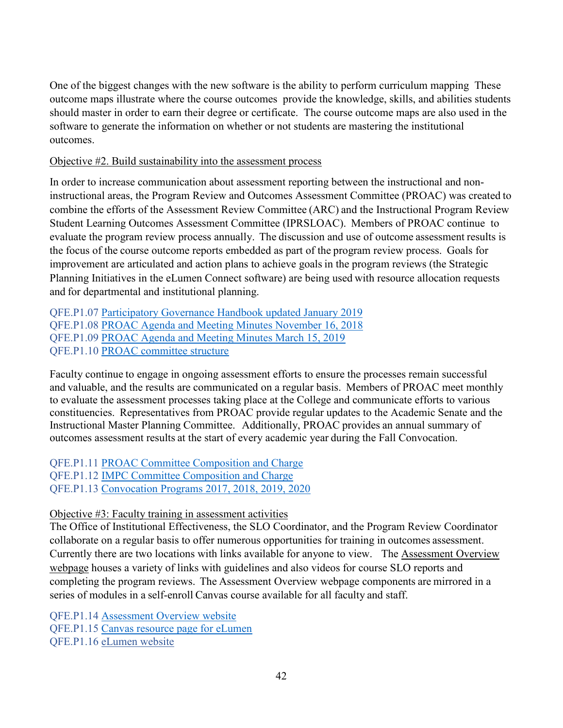One of the biggest changes with the new software is the ability to perform curriculum mapping These outcome maps illustrate where the course outcomes provide the knowledge, skills, and abilities students should master in order to earn their degree or certificate. The course outcome maps are also used in the software to generate the information on whether or not students are mastering the institutional outcomes.

### Objective #2. Build sustainability into the assessment process

In order to increase communication about assessment reporting between the instructional and noninstructional areas, the Program Review and Outcomes Assessment Committee (PROAC) was created to combine the efforts of the Assessment Review Committee (ARC) and the Instructional Program Review Student Learning Outcomes Assessment Committee (IPRSLOAC).  Members of PROAC continue to evaluate the program review process annually.  The discussion and use of outcome assessment results is the focus of the course outcome reports embedded as part of the program review process.  Goals for improvement are articulated and action plans to achieve goals in the program reviews (the Strategic Planning Initiatives in the eLumen Connect software) are being used with resource allocation requests and for departmental and institutional planning.

QFE.P1.07 Participatory Governance Handbook updated January 2019 QFE.P1.08 PROAC Agenda and Meeting Minutes November 16, 2018 QFE.P1.09 PROAC Agenda and Meeting Minutes March 15, 2019 QFE.P1.10 PROAC committee structure

Faculty continue to engage in ongoing assessment efforts to ensure the processes remain successful and valuable, and the results are communicated on a regular basis.  Members of PROAC meet monthly to evaluate the assessment processes taking place at the College and communicate efforts to various constituencies.  Representatives from PROAC provide regular updates to the Academic Senate and the Instructional Master Planning Committee.   Additionally, PROAC provides an annual summary of outcomes assessment results at the start of every academic year during the Fall Convocation.  

QFE.P1.11 PROAC Committee Composition and Charge QFE.P1.12 IMPC Committee Composition and Charge QFE.P1.13 Convocation Programs 2017, 2018, 2019, 2020

## Objective #3: Faculty training in assessment activities

The Office of Institutional Effectiveness, the SLO Coordinator, and the Program Review Coordinator collaborate on a regular basis to offer numerous opportunities for training in outcomes assessment.  Currently there are two locations with links available for anyone to view. The Assessment Overview webpage houses a variety of links with guidelines and also videos for course SLO reports and completing the program reviews.  The Assessment Overview webpage components are mirrored in a series of modules in a self-enroll Canvas course available for all faculty and staff.   

QFE.P1.14 Assessment Overview website QFE.P1.15 Canvas resource page for eLumen QFE.P1.16 [eLumen website](https://mccd.instructure.com/courses/6935)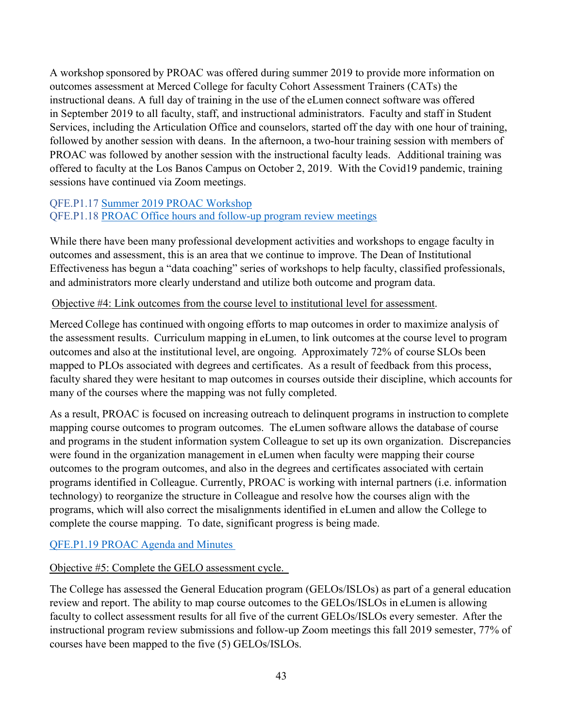A workshop sponsored by PROAC was offered during summer 2019 to provide more information on outcomes assessment at Merced College for faculty Cohort Assessment Trainers (CATs) the instructional deans. A full day of training in the use of the eLumen connect software was offered in September 2019 to all faculty, staff, and instructional administrators.  Faculty and staff in Student Services, including the Articulation Office and counselors, started off the day with one hour of training, followed by another session with deans.  In the afternoon, a two-hour training session with members of PROAC was followed by another session with the instructional faculty leads.   Additional training was offered to faculty at the Los Banos Campus on October 2, 2019. With the Covid19 pandemic, training sessions have continued via Zoom meetings.  

## QFE.P1.17 Summer 2019 PROAC Workshop QFE.P1.18 PROAC Office hours and follow-up program review meetings

While there have been many professional development activities and workshops to engage faculty in outcomes and assessment, this is an area that we continue to improve. The Dean of Institutional Effectiveness has begun a "data coaching" series of workshops to help faculty, classified professionals, and administrators more clearly understand and utilize both outcome and program data.

## Objective #4: Link outcomes from the course level to institutional level for assessment.

Merced College has continued with ongoing efforts to map outcomes in order to maximize analysis of the assessment results.  Curriculum mapping in eLumen, to link outcomes at the course level to program outcomes and also at the institutional level, are ongoing.  Approximately 72% of course SLOs been mapped to PLOs associated with degrees and certificates.  As a result of feedback from this process, faculty shared they were hesitant to map outcomes in courses outside their discipline, which accounts for many of the courses where the mapping was not fully completed.

As a result, PROAC is focused on increasing outreach to delinquent programs in instruction to complete mapping course outcomes to program outcomes. The eLumen software allows the database of course and programs in the student information system Colleague to set up its own organization. Discrepancies were found in the organization management in eLumen when faculty were mapping their course outcomes to the program outcomes, and also in the degrees and certificates associated with certain programs identified in Colleague. Currently, PROAC is working with internal partners (i.e. information technology) to reorganize the structure in Colleague and resolve how the courses align with the programs, which will also correct the misalignments identified in eLumen and allow the College to complete the course mapping. To date, significant progress is being made.

## QFE.P1.19 PROAC Agenda and Minutes

## Objective #5: Complete the GELO assessment cycle.

The College has assessed the General Education program (GELOs/ISLOs) as part of a general education review and report. The ability to map course outcomes to the GELOs/ISLOs in eLumen is allowing faculty to collect assessment results for all five of the current GELOs/ISLOs every semester.  After the instructional program review submissions and follow-up Zoom meetings this fall 2019 semester, 77% of courses have been mapped to the five (5) GELOs/ISLOs.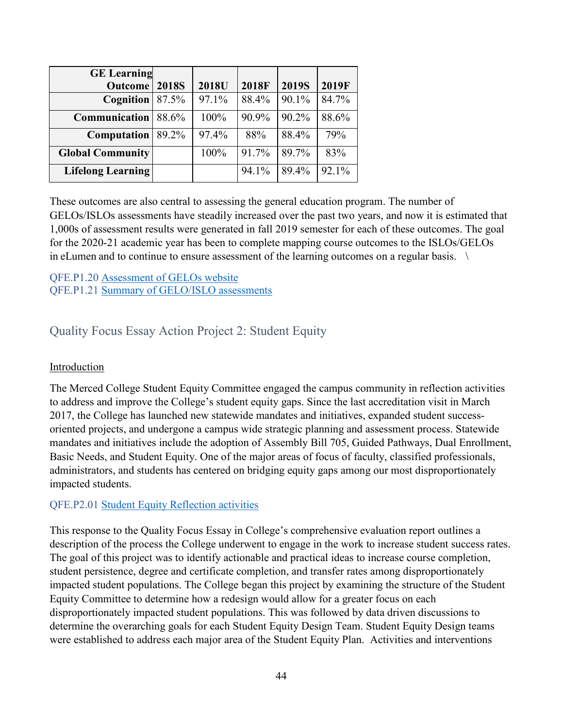| <b>GE</b> Learning       |              |       |              |              |       |
|--------------------------|--------------|-------|--------------|--------------|-------|
| Outcome                  | <b>2018S</b> | 2018U | <b>2018F</b> | <b>2019S</b> | 2019F |
| <b>Cognition</b> 87.5%   |              | 97.1% | 88.4%        | 90.1%        | 84.7% |
| <b>Communication</b>     | 88.6%        | 100%  | 90.9%        | 90.2%        | 88.6% |
| Computation              | 89.2%        | 97.4% | 88%          | 88.4%        | 79%   |
| <b>Global Community</b>  |              | 100%  | 91.7%        | 89.7%        | 83%   |
| <b>Lifelong Learning</b> |              |       | 94.1%        | 89.4%        | 92.1% |

These outcomes are also central to assessing the general education program. The number of GELOs/ISLOs assessments have steadily increased over the past two years, and now it is estimated that 1,000s of assessment results were generated in fall 2019 semester for each of these outcomes. The goal for the 2020-21 academic year has been to complete mapping course outcomes to the ISLOs/GELOs in eLumen and to continue to ensure assessment of the learning outcomes on a regular basis.    \

#### QFE.P1.20 Assessment of GELOs website QFE.P1.21 Summary of GELO/ISLO assessments

# <span id="page-43-0"></span>Quality Focus Essay Action Project 2: Student Equity

## Introduction

The Merced College Student Equity Committee engaged the campus community in reflection activities to address and improve the College's student equity gaps. Since the last accreditation visit in March 2017, the College has launched new statewide mandates and initiatives, expanded student successoriented projects, and undergone a campus wide strategic planning and assessment process. Statewide mandates and initiatives include the adoption of Assembly Bill 705, Guided Pathways, Dual Enrollment, Basic Needs, and Student Equity. One of the major areas of focus of faculty, classified professionals, administrators, and students has centered on bridging equity gaps among our most disproportionately impacted students.

## QFE.P2.01 Student Equity Reflection activities

This response to the Quality Focus Essay in College's comprehensive evaluation report outlines a description of the process the College underwent to engage in the work to increase student success rates. The goal of this project was to identify actionable and practical ideas to increase course completion, student persistence, degree and certificate completion, and transfer rates among disproportionately impacted student populations. The College began this project by examining the structure of the Student Equity Committee to determine how a redesign would allow for a greater focus on each disproportionately impacted student populations. This was followed by data driven discussions to determine the overarching goals for each Student Equity Design Team. Student Equity Design teams were established to address each major area of the Student Equity Plan. Activities and interventions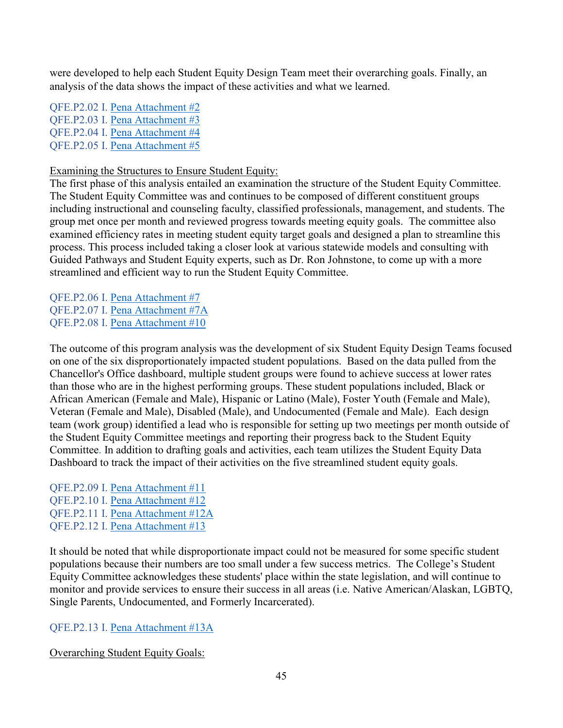were developed to help each Student Equity Design Team meet their overarching goals. Finally, an analysis of the data shows the impact of these activities and what we learned.

QFE.P2.02 I. Pena Attachment #2 QFE.P2.03 I. Pena Attachment #3 QFE.P2.04 I. Pena Attachment #4 QFE.P2.05 I. Pena Attachment #5

### Examining the Structures to Ensure Student Equity:

The first phase of this analysis entailed an examination the structure of the Student Equity Committee. The Student Equity Committee was and continues to be composed of different constituent groups including instructional and counseling faculty, classified professionals, management, and students. The group met once per month and reviewed progress towards meeting equity goals. The committee also examined efficiency rates in meeting student equity target goals and designed a plan to streamline this process. This process included taking a closer look at various statewide models and consulting with Guided Pathways and Student Equity experts, such as Dr. Ron Johnstone, to come up with a more streamlined and efficient way to run the Student Equity Committee.

QFE.P2.06 I. Pena Attachment #7 QFE.P2.07 I. Pena Attachment #7A QFE.P2.08 I. Pena Attachment #10

The outcome of this program analysis was the development of six Student Equity Design Teams focused on one of the six disproportionately impacted student populations. Based on the data pulled from the Chancellor's Office dashboard, multiple student groups were found to achieve success at lower rates than those who are in the highest performing groups. These student populations included, Black or African American (Female and Male), Hispanic or Latino (Male), Foster Youth (Female and Male), Veteran (Female and Male), Disabled (Male), and Undocumented (Female and Male). Each design team (work group) identified a lead who is responsible for setting up two meetings per month outside of the Student Equity Committee meetings and reporting their progress back to the Student Equity Committee. In addition to drafting goals and activities, each team utilizes the Student Equity Data Dashboard to track the impact of their activities on the five streamlined student equity goals.

QFE.P2.09 I. Pena Attachment #11 QFE.P2.10 I. Pena Attachment #12 QFE.P2.11 I. Pena Attachment #12A QFE.P2.12 I. Pena Attachment #13

It should be noted that while disproportionate impact could not be measured for some specific student populations because their numbers are too small under a few success metrics. The College's Student Equity Committee acknowledges these students' place within the state legislation, and will continue to monitor and provide services to ensure their success in all areas (i.e. Native American/Alaskan, LGBTQ, Single Parents, Undocumented, and Formerly Incarcerated).

QFE.P2.13 I. Pena Attachment #13A

Overarching Student Equity Goals: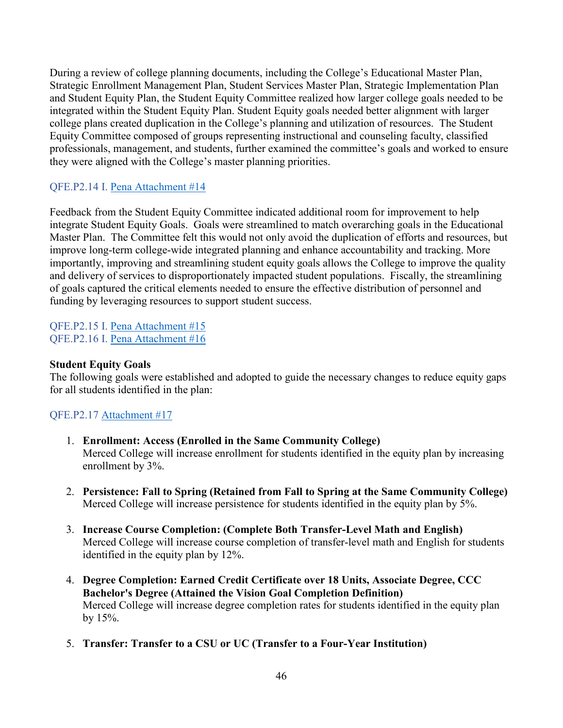During a review of college planning documents, including the College's Educational Master Plan, Strategic Enrollment Management Plan, Student Services Master Plan, Strategic Implementation Plan and Student Equity Plan, the Student Equity Committee realized how larger college goals needed to be integrated within the Student Equity Plan. Student Equity goals needed better alignment with larger college plans created duplication in the College's planning and utilization of resources. The Student Equity Committee composed of groups representing instructional and counseling faculty, classified professionals, management, and students, further examined the committee's goals and worked to ensure they were aligned with the College's master planning priorities.

## QFE.P2.14 I. Pena Attachment #14

Feedback from the Student Equity Committee indicated additional room for improvement to help integrate Student Equity Goals. Goals were streamlined to match overarching goals in the Educational Master Plan. The Committee felt this would not only avoid the duplication of efforts and resources, but improve long-term college-wide integrated planning and enhance accountability and tracking. More importantly, improving and streamlining student equity goals allows the College to improve the quality and delivery of services to disproportionately impacted student populations. Fiscally, the streamlining of goals captured the critical elements needed to ensure the effective distribution of personnel and funding by leveraging resources to support student success.

QFE.P2.15 I. Pena Attachment #15 QFE.P2.16 I. Pena Attachment #16

### **Student Equity Goals**

The following goals were established and adopted to guide the necessary changes to reduce equity gaps for all students identified in the plan:

## QFE.P2.17 Attachment #17

- 1. **Enrollment: Access (Enrolled in the Same Community College)** Merced College will increase enrollment for students identified in the equity plan by increasing enrollment by 3%.
- 2. **Persistence: Fall to Spring (Retained from Fall to Spring at the Same Community College)** Merced College will increase persistence for students identified in the equity plan by 5%.
- 3. **Increase Course Completion: (Complete Both Transfer-Level Math and English)** Merced College will increase course completion of transfer-level math and English for students identified in the equity plan by 12%.
- 4. **Degree Completion: Earned Credit Certificate over 18 Units, Associate Degree, CCC Bachelor's Degree (Attained the Vision Goal Completion Definition)**  Merced College will increase degree completion rates for students identified in the equity plan by 15%.
- 5. **Transfer: Transfer to a CSU or UC (Transfer to a Four-Year Institution)**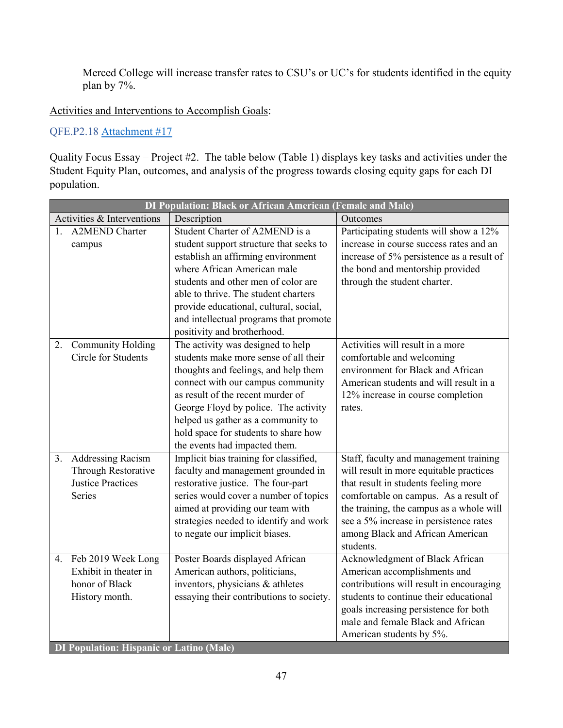Merced College will increase transfer rates to CSU's or UC's for students identified in the equity plan by 7%.

Activities and Interventions to Accomplish Goals:

QFE.P2.18 Attachment #17

Quality Focus Essay – Project #2. The table below (Table 1) displays key tasks and activities under the Student Equity Plan, outcomes, and analysis of the progress towards closing equity gaps for each DI population.

|    | <b>DI Population: Black or African American (Female and Male)</b> |                                          |                                           |  |
|----|-------------------------------------------------------------------|------------------------------------------|-------------------------------------------|--|
|    | Activities & Interventions                                        | Description                              | Outcomes                                  |  |
| 1. | <b>A2MEND Charter</b>                                             | Student Charter of A2MEND is a           | Participating students will show a 12%    |  |
|    | campus                                                            | student support structure that seeks to  | increase in course success rates and an   |  |
|    |                                                                   | establish an affirming environment       | increase of 5% persistence as a result of |  |
|    |                                                                   | where African American male              | the bond and mentorship provided          |  |
|    |                                                                   | students and other men of color are      | through the student charter.              |  |
|    |                                                                   | able to thrive. The student charters     |                                           |  |
|    |                                                                   | provide educational, cultural, social,   |                                           |  |
|    |                                                                   | and intellectual programs that promote   |                                           |  |
|    |                                                                   | positivity and brotherhood.              |                                           |  |
| 2. | <b>Community Holding</b>                                          | The activity was designed to help        | Activities will result in a more          |  |
|    | <b>Circle for Students</b>                                        | students make more sense of all their    | comfortable and welcoming                 |  |
|    |                                                                   | thoughts and feelings, and help them     | environment for Black and African         |  |
|    |                                                                   | connect with our campus community        | American students and will result in a    |  |
|    |                                                                   | as result of the recent murder of        | 12% increase in course completion         |  |
|    |                                                                   | George Floyd by police. The activity     | rates.                                    |  |
|    |                                                                   | helped us gather as a community to       |                                           |  |
|    |                                                                   | hold space for students to share how     |                                           |  |
|    |                                                                   | the events had impacted them.            |                                           |  |
| 3. | <b>Addressing Racism</b>                                          | Implicit bias training for classified,   | Staff, faculty and management training    |  |
|    | Through Restorative                                               | faculty and management grounded in       | will result in more equitable practices   |  |
|    | <b>Justice Practices</b>                                          | restorative justice. The four-part       | that result in students feeling more      |  |
|    | <b>Series</b>                                                     | series would cover a number of topics    | comfortable on campus. As a result of     |  |
|    |                                                                   | aimed at providing our team with         | the training, the campus as a whole will  |  |
|    |                                                                   | strategies needed to identify and work   | see a 5% increase in persistence rates    |  |
|    |                                                                   | to negate our implicit biases.           | among Black and African American          |  |
|    |                                                                   |                                          | students.                                 |  |
|    | 4. Feb 2019 Week Long                                             | Poster Boards displayed African          | Acknowledgment of Black African           |  |
|    | Exhibit in theater in                                             | American authors, politicians,           | American accomplishments and              |  |
|    | honor of Black                                                    | inventors, physicians & athletes         | contributions will result in encouraging  |  |
|    | History month.                                                    | essaying their contributions to society. | students to continue their educational    |  |
|    |                                                                   |                                          | goals increasing persistence for both     |  |
|    |                                                                   |                                          | male and female Black and African         |  |
|    |                                                                   |                                          | American students by 5%.                  |  |
|    | <b>DI Population: Hispanic or Latino (Male)</b>                   |                                          |                                           |  |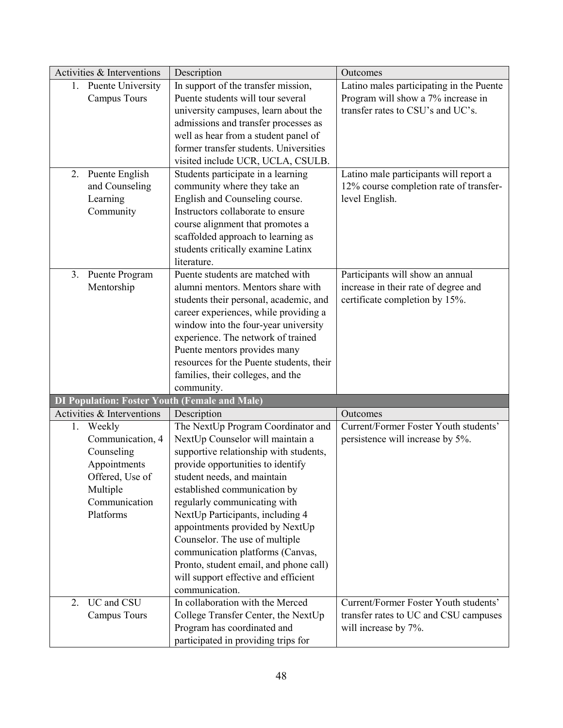| Activities & Interventions                           | Description                              | Outcomes                                 |
|------------------------------------------------------|------------------------------------------|------------------------------------------|
| 1. Puente University                                 | In support of the transfer mission,      | Latino males participating in the Puente |
| <b>Campus Tours</b>                                  | Puente students will tour several        | Program will show a 7% increase in       |
|                                                      | university campuses, learn about the     | transfer rates to CSU's and UC's.        |
|                                                      | admissions and transfer processes as     |                                          |
|                                                      | well as hear from a student panel of     |                                          |
|                                                      | former transfer students. Universities   |                                          |
|                                                      | visited include UCR, UCLA, CSULB.        |                                          |
| 2. Puente English                                    | Students participate in a learning       | Latino male participants will report a   |
| and Counseling                                       | community where they take an             | 12% course completion rate of transfer-  |
| Learning                                             | English and Counseling course.           | level English.                           |
| Community                                            | Instructors collaborate to ensure        |                                          |
|                                                      | course alignment that promotes a         |                                          |
|                                                      | scaffolded approach to learning as       |                                          |
|                                                      | students critically examine Latinx       |                                          |
|                                                      | literature.                              |                                          |
| 3. Puente Program                                    | Puente students are matched with         | Participants will show an annual         |
| Mentorship                                           | alumni mentors. Mentors share with       | increase in their rate of degree and     |
|                                                      | students their personal, academic, and   | certificate completion by 15%.           |
|                                                      | career experiences, while providing a    |                                          |
|                                                      | window into the four-year university     |                                          |
|                                                      | experience. The network of trained       |                                          |
|                                                      | Puente mentors provides many             |                                          |
|                                                      | resources for the Puente students, their |                                          |
|                                                      | families, their colleges, and the        |                                          |
|                                                      | community.                               |                                          |
| <b>DI Population: Foster Youth (Female and Male)</b> |                                          |                                          |
| Activities & Interventions                           | Description                              | Outcomes                                 |
| 1. Weekly                                            | The NextUp Program Coordinator and       | Current/Former Foster Youth students'    |
| Communication, 4                                     | NextUp Counselor will maintain a         | persistence will increase by 5%.         |
| Counseling                                           | supportive relationship with students,   |                                          |
| Appointments                                         | provide opportunities to identify        |                                          |
| Offered, Use of                                      | student needs, and maintain              |                                          |
| Multiple                                             | established communication by             |                                          |
| Communication                                        | regularly communicating with             |                                          |
| Platforms                                            | NextUp Participants, including 4         |                                          |
|                                                      | appointments provided by NextUp          |                                          |
|                                                      | Counselor. The use of multiple           |                                          |
|                                                      | communication platforms (Canvas,         |                                          |
|                                                      | Pronto, student email, and phone call)   |                                          |
|                                                      | will support effective and efficient     |                                          |
|                                                      | communication.                           |                                          |
| UC and CSU<br>2.                                     | In collaboration with the Merced         | Current/Former Foster Youth students'    |
| <b>Campus Tours</b>                                  | College Transfer Center, the NextUp      | transfer rates to UC and CSU campuses    |
|                                                      | Program has coordinated and              | will increase by 7%.                     |
|                                                      | participated in providing trips for      |                                          |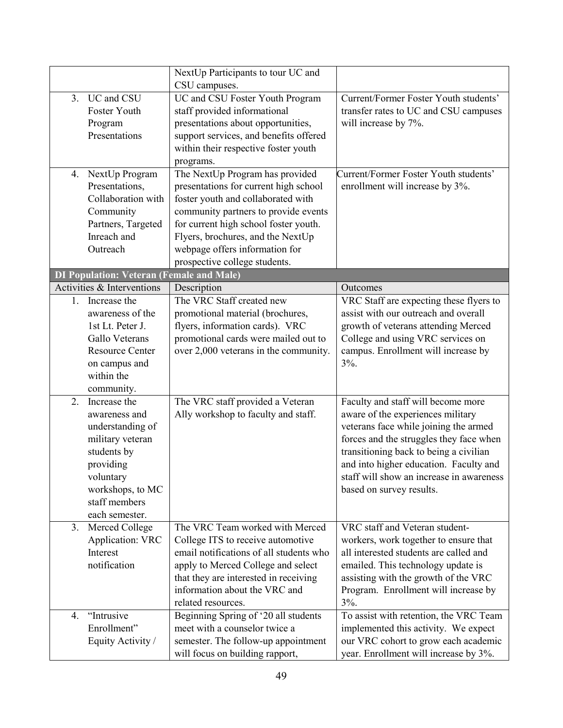|              |                                                 | NextUp Participants to tour UC and      |                                          |
|--------------|-------------------------------------------------|-----------------------------------------|------------------------------------------|
|              |                                                 | CSU campuses.                           |                                          |
| 3.           | UC and CSU                                      | UC and CSU Foster Youth Program         | Current/Former Foster Youth students'    |
|              | Foster Youth                                    | staff provided informational            | transfer rates to UC and CSU campuses    |
|              | Program                                         | presentations about opportunities,      | will increase by 7%.                     |
|              | Presentations                                   | support services, and benefits offered  |                                          |
|              |                                                 | within their respective foster youth    |                                          |
|              |                                                 | programs.                               |                                          |
| 4.           | NextUp Program                                  | The NextUp Program has provided         | Current/Former Foster Youth students'    |
|              | Presentations,                                  | presentations for current high school   | enrollment will increase by 3%.          |
|              | Collaboration with                              | foster youth and collaborated with      |                                          |
|              | Community                                       | community partners to provide events    |                                          |
|              | Partners, Targeted                              | for current high school foster youth.   |                                          |
|              | Inreach and                                     | Flyers, brochures, and the NextUp       |                                          |
|              | Outreach                                        | webpage offers information for          |                                          |
|              |                                                 | prospective college students.           |                                          |
|              | <b>DI Population: Veteran (Female and Male)</b> |                                         |                                          |
|              | Activities & Interventions                      | Description                             | Outcomes                                 |
| $1_{\ldots}$ | Increase the                                    | The VRC Staff created new               | VRC Staff are expecting these flyers to  |
|              | awareness of the                                | promotional material (brochures,        | assist with our outreach and overall     |
|              | 1st Lt. Peter J.                                | flyers, information cards). VRC         | growth of veterans attending Merced      |
|              | Gallo Veterans                                  | promotional cards were mailed out to    | College and using VRC services on        |
|              | <b>Resource Center</b>                          | over 2,000 veterans in the community.   | campus. Enrollment will increase by      |
|              | on campus and                                   |                                         | 3%.                                      |
|              | within the                                      |                                         |                                          |
|              | community.                                      |                                         |                                          |
| 2.           | Increase the                                    | The VRC staff provided a Veteran        | Faculty and staff will become more       |
|              | awareness and                                   | Ally workshop to faculty and staff.     | aware of the experiences military        |
|              | understanding of                                |                                         | veterans face while joining the armed    |
|              | military veteran                                |                                         | forces and the struggles they face when  |
|              | students by                                     |                                         | transitioning back to being a civilian   |
|              | providing                                       |                                         | and into higher education. Faculty and   |
|              | voluntary                                       |                                         | staff will show an increase in awareness |
|              | workshops, to MC                                |                                         | based on survey results.                 |
|              | staff members                                   |                                         |                                          |
|              | each semester.                                  |                                         |                                          |
| 3.           | Merced College                                  | The VRC Team worked with Merced         | VRC staff and Veteran student-           |
|              | <b>Application: VRC</b>                         | College ITS to receive automotive       | workers, work together to ensure that    |
|              | Interest                                        | email notifications of all students who | all interested students are called and   |
|              | notification                                    | apply to Merced College and select      | emailed. This technology update is       |
|              |                                                 | that they are interested in receiving   | assisting with the growth of the VRC     |
|              |                                                 | information about the VRC and           | Program. Enrollment will increase by     |
|              |                                                 | related resources.                      | $3%$ .                                   |
| 4.           | "Intrusive                                      | Beginning Spring of '20 all students    | To assist with retention, the VRC Team   |
|              | Enrollment"                                     | meet with a counselor twice a           | implemented this activity. We expect     |
|              | Equity Activity /                               | semester. The follow-up appointment     | our VRC cohort to grow each academic     |
|              |                                                 | will focus on building rapport,         | year. Enrollment will increase by 3%.    |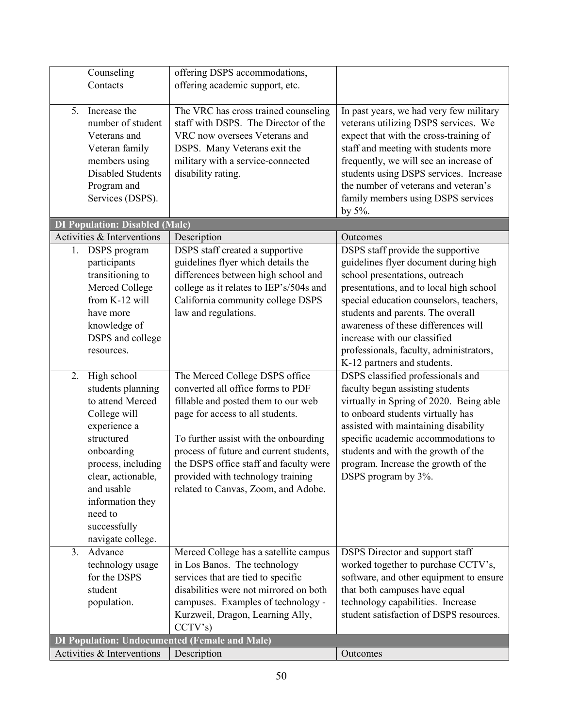| Counseling                                           | offering DSPS accommodations,           |                                         |
|------------------------------------------------------|-----------------------------------------|-----------------------------------------|
| Contacts                                             | offering academic support, etc.         |                                         |
|                                                      |                                         |                                         |
| Increase the<br>5.                                   | The VRC has cross trained counseling    | In past years, we had very few military |
| number of student                                    | staff with DSPS. The Director of the    | veterans utilizing DSPS services. We    |
| Veterans and                                         | VRC now oversees Veterans and           | expect that with the cross-training of  |
| Veteran family                                       | DSPS. Many Veterans exit the            | staff and meeting with students more    |
| members using                                        | military with a service-connected       | frequently, we will see an increase of  |
| Disabled Students                                    | disability rating.                      | students using DSPS services. Increase  |
| Program and                                          |                                         | the number of veterans and veteran's    |
| Services (DSPS).                                     |                                         | family members using DSPS services      |
|                                                      |                                         | by $5\%$ .                              |
| <b>DI Population: Disabled (Male)</b>                |                                         |                                         |
| Activities & Interventions                           | Description                             | Outcomes                                |
| 1. DSPS program                                      | DSPS staff created a supportive         | DSPS staff provide the supportive       |
| participants                                         | guidelines flyer which details the      | guidelines flyer document during high   |
| transitioning to                                     | differences between high school and     | school presentations, outreach          |
| Merced College                                       | college as it relates to IEP's/504s and | presentations, and to local high school |
| from K-12 will                                       | California community college DSPS       | special education counselors, teachers, |
| have more                                            | law and regulations.                    | students and parents. The overall       |
| knowledge of                                         |                                         | awareness of these differences will     |
| DSPS and college                                     |                                         | increase with our classified            |
| resources.                                           |                                         | professionals, faculty, administrators, |
|                                                      |                                         | K-12 partners and students.             |
| 2.<br>High school                                    | The Merced College DSPS office          | DSPS classified professionals and       |
| students planning                                    | converted all office forms to PDF       | faculty began assisting students        |
| to attend Merced                                     | fillable and posted them to our web     | virtually in Spring of 2020. Being able |
| College will                                         | page for access to all students.        | to onboard students virtually has       |
| experience a                                         |                                         | assisted with maintaining disability    |
| structured                                           | To further assist with the onboarding   | specific academic accommodations to     |
| onboarding                                           | process of future and current students, | students and with the growth of the     |
| process, including                                   | the DSPS office staff and faculty were  | program. Increase the growth of the     |
| clear, actionable,                                   | provided with technology training       | DSPS program by 3%.                     |
| and usable                                           | related to Canvas, Zoom, and Adobe.     |                                         |
| information they                                     |                                         |                                         |
| need to                                              |                                         |                                         |
| successfully                                         |                                         |                                         |
| navigate college.                                    |                                         |                                         |
| Advance<br>3.                                        | Merced College has a satellite campus   | <b>DSPS</b> Director and support staff  |
| technology usage                                     | in Los Banos. The technology            | worked together to purchase CCTV's,     |
| for the DSPS                                         | services that are tied to specific      | software, and other equipment to ensure |
| student                                              | disabilities were not mirrored on both  | that both campuses have equal           |
| population.                                          | campuses. Examples of technology -      | technology capabilities. Increase       |
|                                                      | Kurzweil, Dragon, Learning Ally,        | student satisfaction of DSPS resources. |
|                                                      | CCTV's                                  |                                         |
| <b>DI Population: Undocumented (Female and Male)</b> |                                         |                                         |
| Activities & Interventions                           | Description                             | Outcomes                                |
|                                                      |                                         |                                         |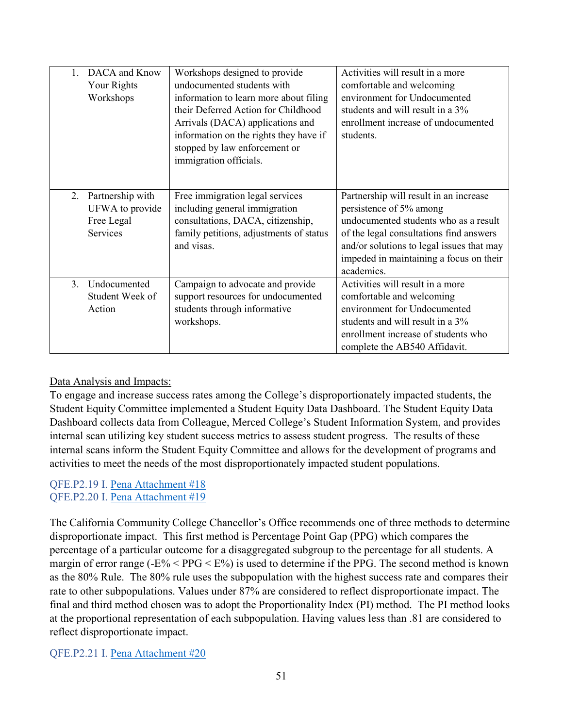| DACA and Know<br>Your Rights<br>Workshops        |                               | Workshops designed to provide<br>undocumented students with<br>information to learn more about filing<br>their Deferred Action for Childhood<br>Arrivals (DACA) applications and<br>information on the rights they have if<br>stopped by law enforcement or<br>immigration officials. | Activities will result in a more<br>comfortable and welcoming<br>environment for Undocumented<br>students and will result in a 3%<br>enrollment increase of undocumented<br>students.                                                                       |
|--------------------------------------------------|-------------------------------|---------------------------------------------------------------------------------------------------------------------------------------------------------------------------------------------------------------------------------------------------------------------------------------|-------------------------------------------------------------------------------------------------------------------------------------------------------------------------------------------------------------------------------------------------------------|
| Partnership with<br>2.<br>Free Legal<br>Services | UFWA to provide<br>and visas. | Free immigration legal services<br>including general immigration<br>consultations, DACA, citizenship,<br>family petitions, adjustments of status                                                                                                                                      | Partnership will result in an increase<br>persistence of 5% among<br>undocumented students who as a result<br>of the legal consultations find answers<br>and/or solutions to legal issues that may<br>impeded in maintaining a focus on their<br>academics. |
| 3.<br>Undocumented<br>Student Week of<br>Action  | workshops.                    | Campaign to advocate and provide<br>support resources for undocumented<br>students through informative                                                                                                                                                                                | Activities will result in a more<br>comfortable and welcoming<br>environment for Undocumented<br>students and will result in a 3%<br>enrollment increase of students who<br>complete the AB540 Affidavit.                                                   |

## Data Analysis and Impacts:

To engage and increase success rates among the College's disproportionately impacted students, the Student Equity Committee implemented a Student Equity Data Dashboard. The Student Equity Data Dashboard collects data from Colleague, Merced College's Student Information System, and provides internal scan utilizing key student success metrics to assess student progress. The results of these internal scans inform the Student Equity Committee and allows for the development of programs and activities to meet the needs of the most disproportionately impacted student populations.

#### QFE.P2.19 I. Pena Attachment #18 QFE.P2.20 I. Pena Attachment #19

The California Community College Chancellor's Office recommends one of three methods to determine disproportionate impact. This first method is Percentage Point Gap (PPG) which compares the percentage of a particular outcome for a disaggregated subgroup to the percentage for all students. A margin of error range ( $-E\%$  < PPG <  $E\%$ ) is used to determine if the PPG. The second method is known as the 80% Rule. The 80% rule uses the subpopulation with the highest success rate and compares their rate to other subpopulations. Values under 87% are considered to reflect disproportionate impact. The final and third method chosen was to adopt the Proportionality Index (PI) method. The PI method looks at the proportional representation of each subpopulation. Having values less than .81 are considered to reflect disproportionate impact.

QFE.P2.21 I. Pena Attachment #20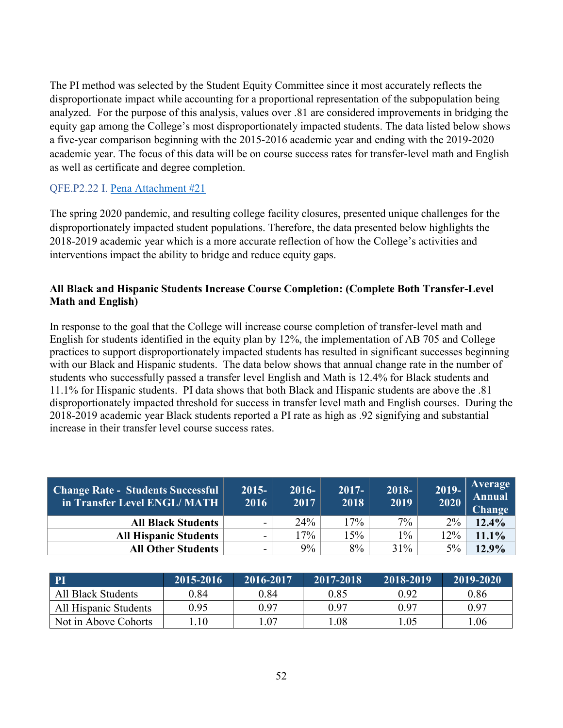The PI method was selected by the Student Equity Committee since it most accurately reflects the disproportionate impact while accounting for a proportional representation of the subpopulation being analyzed. For the purpose of this analysis, values over .81 are considered improvements in bridging the equity gap among the College's most disproportionately impacted students. The data listed below shows a five-year comparison beginning with the 2015-2016 academic year and ending with the 2019-2020 academic year. The focus of this data will be on course success rates for transfer-level math and English as well as certificate and degree completion.

#### QFE.P2.22 I. Pena Attachment #21

The spring 2020 pandemic, and resulting college facility closures, presented unique challenges for the disproportionately impacted student populations. Therefore, the data presented below highlights the 2018-2019 academic year which is a more accurate reflection of how the College's activities and interventions impact the ability to bridge and reduce equity gaps.

## **All Black and Hispanic Students Increase Course Completion: (Complete Both Transfer-Level Math and English)**

In response to the goal that the College will increase course completion of transfer-level math and English for students identified in the equity plan by 12%, the implementation of AB 705 and College practices to support disproportionately impacted students has resulted in significant successes beginning with our Black and Hispanic students. The data below shows that annual change rate in the number of students who successfully passed a transfer level English and Math is 12.4% for Black students and 11.1% for Hispanic students. PI data shows that both Black and Hispanic students are above the .81 disproportionately impacted threshold for success in transfer level math and English courses. During the 2018-2019 academic year Black students reported a PI rate as high as .92 signifying and substantial increase in their transfer level course success rates.

| <b>Change Rate - Students Successful</b><br>in Transfer Level ENGL/MATH | $2015 -$<br>2016         | $2016 -$<br>2017 | $2017 -$<br>2018 | $2018-$<br>2019 | 2019-<br>2020 | Average<br>Annual<br>Change |
|-------------------------------------------------------------------------|--------------------------|------------------|------------------|-----------------|---------------|-----------------------------|
| <b>All Black Students</b>                                               | $\overline{\phantom{0}}$ | 24%              | 17%              | $7\%$           | $2\%$         | 12.4%                       |
| <b>All Hispanic Students</b>                                            | $\overline{\phantom{0}}$ | 17%              | 15%              | $1\%$           | 12%           | 11.1%                       |
| <b>All Other Students</b>                                               | ۰                        | $9\%$            | 8%               | 31%             | $5\%$         | $12.9\%$                    |

| PI                    | 2015-2016 | 2016-2017 | $2017 - 2018$ | 2018-2019 | 2019-2020 |
|-----------------------|-----------|-----------|---------------|-----------|-----------|
| All Black Students    | 0.84      | 0.84      | 0.85          | 0.92      | 0.86      |
| All Hispanic Students | 0.95      | 0.97      | 0.97          | 0.97      | 0.97      |
| Not in Above Cohorts  | .10       | .07       | 1.08          | .05       | 1.06      |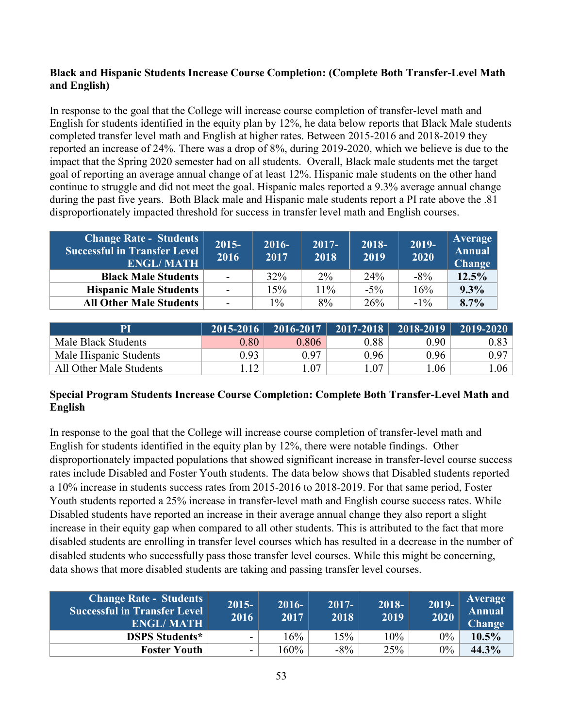## **Black and Hispanic Students Increase Course Completion: (Complete Both Transfer-Level Math and English)**

In response to the goal that the College will increase course completion of transfer-level math and English for students identified in the equity plan by 12%, he data below reports that Black Male students completed transfer level math and English at higher rates. Between 2015-2016 and 2018-2019 they reported an increase of 24%. There was a drop of 8%, during 2019-2020, which we believe is due to the impact that the Spring 2020 semester had on all students. Overall, Black male students met the target goal of reporting an average annual change of at least 12%. Hispanic male students on the other hand continue to struggle and did not meet the goal. Hispanic males reported a 9.3% average annual change during the past five years. Both Black male and Hispanic male students report a PI rate above the .81 disproportionately impacted threshold for success in transfer level math and English courses.

| <b>Change Rate - Students</b><br><b>Successful in Transfer Level</b><br><b>ENGL/MATH</b> | $2015 -$<br>2016 | $2016-$<br>2017 | $2017 -$<br>2018 | 2018-<br>2019 | $2019-$<br>2020 | <b>Average</b><br><b>Annual</b><br><b>Change</b> |
|------------------------------------------------------------------------------------------|------------------|-----------------|------------------|---------------|-----------------|--------------------------------------------------|
| <b>Black Male Students</b>                                                               | $\sim$           | 32%             | $2\%$            | 24%           | $-8\%$          | 12.5%                                            |
| <b>Hispanic Male Students</b>                                                            | $\sim$           | $15\%$          | 11%              | $-5\%$        | 16%             | 9.3%                                             |
| <b>All Other Male Students</b>                                                           | $\sim$           | $\frac{0}{0}$   | 8%               | 26%           | $-1\%$          | 8.7%                                             |

| PI                      |      |       |      | 2015-2016   2016-2017   2017-2018   2018-2019 | $\vert$ 2019-2020 $\vert$ |
|-------------------------|------|-------|------|-----------------------------------------------|---------------------------|
| Male Black Students     | 0.80 | 0.806 | 0.88 | 0.90                                          | $0.83$                    |
| Male Hispanic Students  | 0.93 | 0.97  | 0.96 | 0.96                                          | 0.97                      |
| All Other Male Students |      | .07   | .07  | .06                                           | .06 <sub>1</sub>          |

## **Special Program Students Increase Course Completion: Complete Both Transfer-Level Math and English**

In response to the goal that the College will increase course completion of transfer-level math and English for students identified in the equity plan by 12%, there were notable findings. Other disproportionately impacted populations that showed significant increase in transfer-level course success rates include Disabled and Foster Youth students. The data below shows that Disabled students reported a 10% increase in students success rates from 2015-2016 to 2018-2019. For that same period, Foster Youth students reported a 25% increase in transfer-level math and English course success rates. While Disabled students have reported an increase in their average annual change they also report a slight increase in their equity gap when compared to all other students. This is attributed to the fact that more disabled students are enrolling in transfer level courses which has resulted in a decrease in the number of disabled students who successfully pass those transfer level courses. While this might be concerning, data shows that more disabled students are taking and passing transfer level courses.

| <b>Change Rate - Students</b><br><b>Successful in Transfer Level</b><br><b>ENGL/MATH</b> | $2015 -$<br>2016         | $2016 -$<br>2017 | $2017 -$<br>2018 | $2018 -$<br> 2019 | 2019-<br>2020 | <b>Average</b><br><b>Annual</b><br><b>Change</b> |
|------------------------------------------------------------------------------------------|--------------------------|------------------|------------------|-------------------|---------------|--------------------------------------------------|
| <b>DSPS Students*</b>                                                                    | $\overline{\phantom{0}}$ | 16%              | $5\%$            | 10%               | $0\%$         | 10.5%                                            |
| <b>Foster Youth</b>                                                                      | $\blacksquare$           | 160%             | $-8\%$           | 25%               | $0\%$         | 44.3%                                            |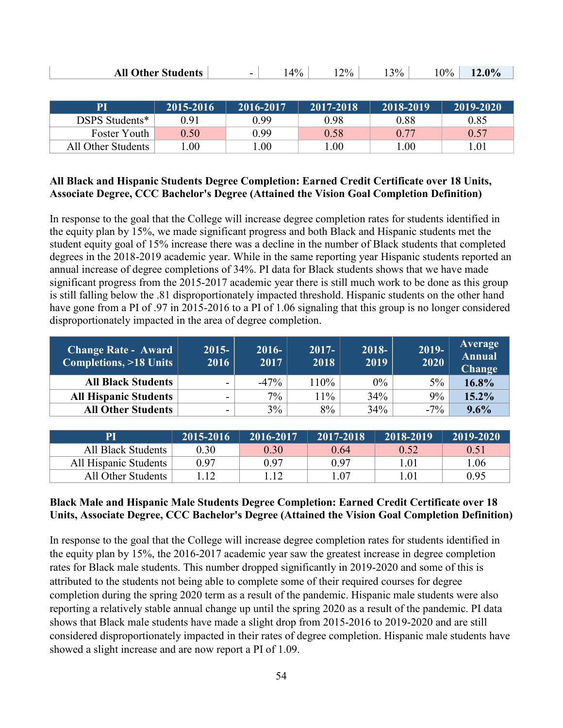| <b>All Other Students</b> |  | $4\%$ | $2\%$ | $3\%$ | $0\%$ | 12.0% |
|---------------------------|--|-------|-------|-------|-------|-------|
|---------------------------|--|-------|-------|-------|-------|-------|

| PI                 | 2015-2016 | 2016-2017 | 2017-2018 | 2018-2019 | $(2019 - 2020)$ |
|--------------------|-----------|-----------|-----------|-----------|-----------------|
| DSPS Students*     | 0.91      | 0.99      | 0.98      | 0.88      | 0.85            |
| Foster Youth       | 0.50      | 0.99      | 0.58      | 0.77      | 0.57            |
| All Other Students | .00.      | .00.      | .00.      | .00.      | .01             |

#### **All Black and Hispanic Students Degree Completion: Earned Credit Certificate over 18 Units, Associate Degree, CCC Bachelor's Degree (Attained the Vision Goal Completion Definition)**

In response to the goal that the College will increase degree completion rates for students identified in the equity plan by 15%, we made significant progress and both Black and Hispanic students met the student equity goal of 15% increase there was a decline in the number of Black students that completed degrees in the 2018-2019 academic year. While in the same reporting year Hispanic students reported an annual increase of degree completions of 34%. PI data for Black students shows that we have made significant progress from the 2015-2017 academic year there is still much work to be done as this group is still falling below the .81 disproportionately impacted threshold. Hispanic students on the other hand have gone from a PI of .97 in 2015-2016 to a PI of 1.06 signaling that this group is no longer considered disproportionately impacted in the area of degree completion.

| <b>Change Rate - Award</b><br>Completions, >18 Units | $2015 -$<br>2016 | $2016 -$<br>2017 | $2017 -$<br>2018 | 2018-<br>2019 | $2019 -$<br>2020 | Average<br>Annual<br><b>Change</b> |
|------------------------------------------------------|------------------|------------------|------------------|---------------|------------------|------------------------------------|
| <b>All Black Students</b>                            |                  | $-47\%$          | 110%             | $0\%$         | $5\%$            | 16.8%                              |
| <b>All Hispanic Students</b>                         |                  | $7\%$            | $1\%$            | 34%           | 9%               | 15.2%                              |
| <b>All Other Students</b>                            |                  | 3%               | 8%               | 34%           | $-7\%$           | 9.6%                               |

|                       | 2015-2016 | 2016-2017 | $12017 - 2018$ | 2018-2019                   | 2019-2020 |
|-----------------------|-----------|-----------|----------------|-----------------------------|-----------|
| All Black Students    | 0.30      | 0.30      | 0.64           | 0.52                        | 0.51      |
| All Hispanic Students | 0.97      | 0.97      | 0.97           | .01                         | 1.06      |
| All Other Students    |           |           | $1.07\,$       | $.0^{\scriptscriptstyle +}$ | 0.95      |

## **Black Male and Hispanic Male Students Degree Completion: Earned Credit Certificate over 18 Units, Associate Degree, CCC Bachelor's Degree (Attained the Vision Goal Completion Definition)**

In response to the goal that the College will increase degree completion rates for students identified in the equity plan by 15%, the 2016-2017 academic year saw the greatest increase in degree completion rates for Black male students. This number dropped significantly in 2019-2020 and some of this is attributed to the students not being able to complete some of their required courses for degree completion during the spring 2020 term as a result of the pandemic. Hispanic male students were also reporting a relatively stable annual change up until the spring 2020 as a result of the pandemic. PI data shows that Black male students have made a slight drop from 2015-2016 to 2019-2020 and are still considered disproportionately impacted in their rates of degree completion. Hispanic male students have showed a slight increase and are now report a PI of 1.09.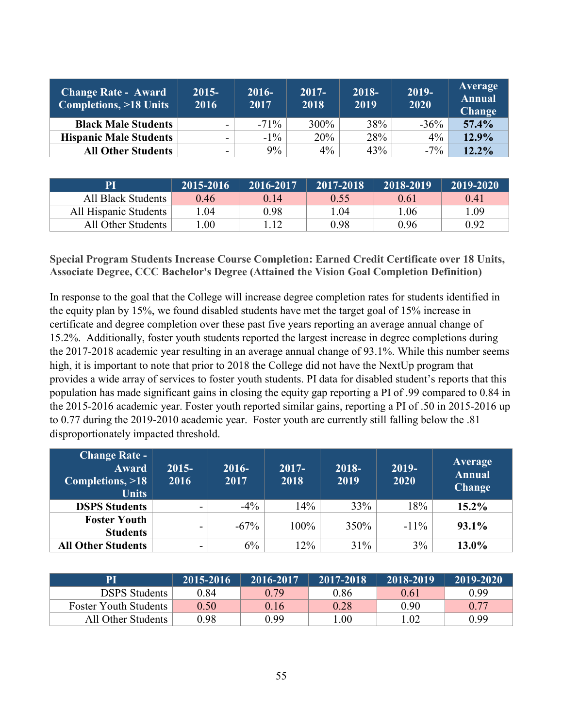| <b>Change Rate - Award</b><br>Completions, >18 Units | $2015 -$<br>2016         | $2016-$<br>2017 | $2017 -$<br>2018 | 2018-<br>2019 | $\overline{20}19$ -<br>2020 | Average<br><b>Annual</b><br><b>Change</b> |
|------------------------------------------------------|--------------------------|-----------------|------------------|---------------|-----------------------------|-------------------------------------------|
| <b>Black Male Students</b>                           | $\overline{\phantom{a}}$ | $-71\%$         | 300%             | 38%           | $-36%$                      | 57.4%                                     |
| <b>Hispanic Male Students</b>                        | $\overline{\phantom{0}}$ | $-1\%$          | 20%              | 28%           | $4\%$                       | 12.9%                                     |
| <b>All Other Students</b>                            | $\overline{\phantom{0}}$ | 9%              | $4\%$            | 43%           | $-7\%$                      | 12.2%                                     |

|                       | 2015-2016 | 2016-2017 | 2017-2018 | 2018-2019 | 2019-2020 |
|-----------------------|-----------|-----------|-----------|-----------|-----------|
| All Black Students    | 0.46      | 0.14      | 0.55      | 0.61      | 0.41      |
| All Hispanic Students | .04       | 0.98      | l .04     | 1.06      | 0.09      |
| All Other Students    | $.00\,$   |           | 0.98      | 0.96      | 0.92      |

#### **Special Program Students Increase Course Completion: Earned Credit Certificate over 18 Units, Associate Degree, CCC Bachelor's Degree (Attained the Vision Goal Completion Definition)**

In response to the goal that the College will increase degree completion rates for students identified in the equity plan by 15%, we found disabled students have met the target goal of 15% increase in certificate and degree completion over these past five years reporting an average annual change of 15.2%. Additionally, foster youth students reported the largest increase in degree completions during the 2017-2018 academic year resulting in an average annual change of 93.1%. While this number seems high, it is important to note that prior to 2018 the College did not have the NextUp program that provides a wide array of services to foster youth students. PI data for disabled student's reports that this population has made significant gains in closing the equity gap reporting a PI of .99 compared to 0.84 in the 2015-2016 academic year. Foster youth reported similar gains, reporting a PI of .50 in 2015-2016 up to 0.77 during the 2019-2010 academic year. Foster youth are currently still falling below the .81 disproportionately impacted threshold.

| <b>Change Rate -</b><br><b>Award</b><br>Completions, >18<br><b>Units</b> | $2015 -$<br>$20\overline{16}$ | $2016 -$<br>2017 | $2017 -$<br>2018 | $2018 -$<br>2019 | 2019-<br>2020 | Average<br><b>Annual</b><br><b>Change</b> |
|--------------------------------------------------------------------------|-------------------------------|------------------|------------------|------------------|---------------|-------------------------------------------|
| <b>DSPS Students</b>                                                     |                               | $-4\%$           | 14%              | 33%              | 18%           | $15.2\%$                                  |
| <b>Foster Youth</b><br><b>Students</b>                                   | -                             | $-67\%$          | 100%             | 350%             | $-11\%$       | 93.1%                                     |
| <b>All Other Students</b>                                                | ۰                             | 6%               | 12%              | 31%              | 3%            | 13.0%                                     |

|                              | 2015-2016 | 2016-2017 | $\sqrt{2017}$ -2018 <sup>1</sup> | 2018-2019 | $12019 - 2020$ |
|------------------------------|-----------|-----------|----------------------------------|-----------|----------------|
| <b>DSPS</b> Students         | 0.84      | 0.79      | 0.86                             | 0.61      | 0.99           |
| <b>Foster Youth Students</b> | 0.50      | 0.16      | 0.28                             | 0.90      | 0.77           |
| All Other Students           | 0.98      | 0.99      | .00.                             | 1.02      | 0.99           |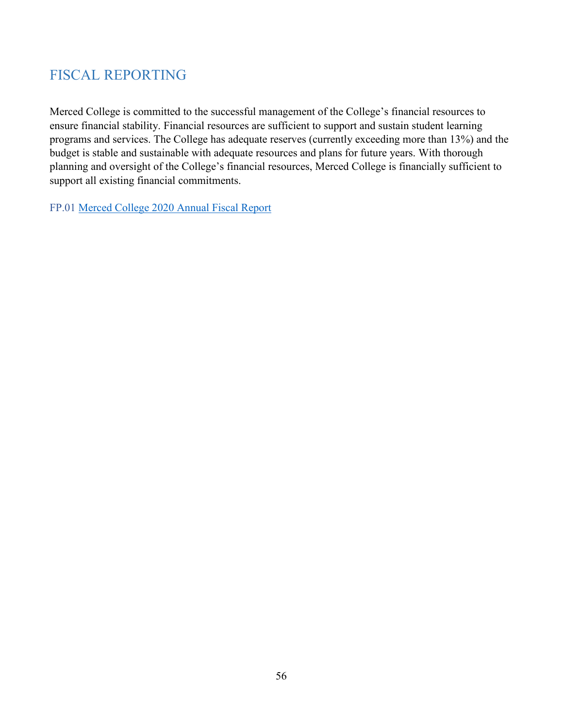# <span id="page-55-0"></span>FISCAL REPORTING

Merced College is committed to the successful management of the College's financial resources to ensure financial stability. Financial resources are sufficient to support and sustain student learning programs and services. The College has adequate reserves (currently exceeding more than 13%) and the budget is stable and sustainable with adequate resources and plans for future years. With thorough planning and oversight of the College's financial resources, Merced College is financially sufficient to support all existing financial commitments.

FP.01 Merced College 2020 Annual Fiscal Report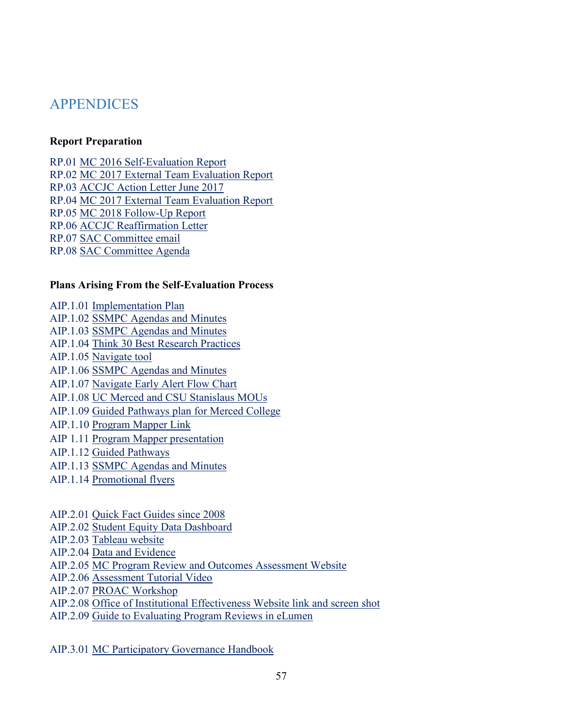# <span id="page-56-0"></span>APPENDICES

#### **Report Preparation**

RP.01 MC 2016 Self-Evaluation Report RP.02 MC 2017 External Team Evaluation Report RP.03 ACCJC Action Letter June 2017 RP.04 MC 2017 External Team Evaluation Report RP.05 MC 2018 Follow-Up Report RP.06 ACCJC Reaffirmation Letter RP.07 SAC Committee email RP.08 SAC Committee Agenda

#### **Plans Arising From the Self-Evaluation Process**

AIP.1.01 Implementation Plan AIP.1.02 SSMPC Agendas and Minutes AIP.1.03 SSMPC Agendas and Minutes AIP.1.04 Think 30 Best Research Practices AIP.1.05 Navigate tool AIP.1.06 SSMPC Agendas and Minutes AIP.1.07 Navigate Early Alert Flow Chart AIP.1.08 UC Merced and CSU Stanislaus MOUs AIP.1.09 Guided Pathways plan for Merced College AIP.1.10 Program Mapper Link AIP 1.11 Program Mapper presentation AIP.1.12 Guided Pathways AIP.1.13 SSMPC Agendas and Minutes AIP.1.14 Promotional flyers

AIP.2.01 Quick Fact Guides since 2008 AIP.2.02 Student Equity Data Dashboard AIP.2.03 Tableau website AIP.2.04 Data and Evidence AIP.2.05 MC Program Review and Outcomes Assessment Website AIP.2.06 Assessment Tutorial Video AIP.2.07 PROAC Workshop AIP.2.08 Office of Institutional Effectiveness Website link and screen shot AIP.2.09 Guide to Evaluating Program Reviews in eLumen

AIP.3.01 MC Participatory Governance Handbook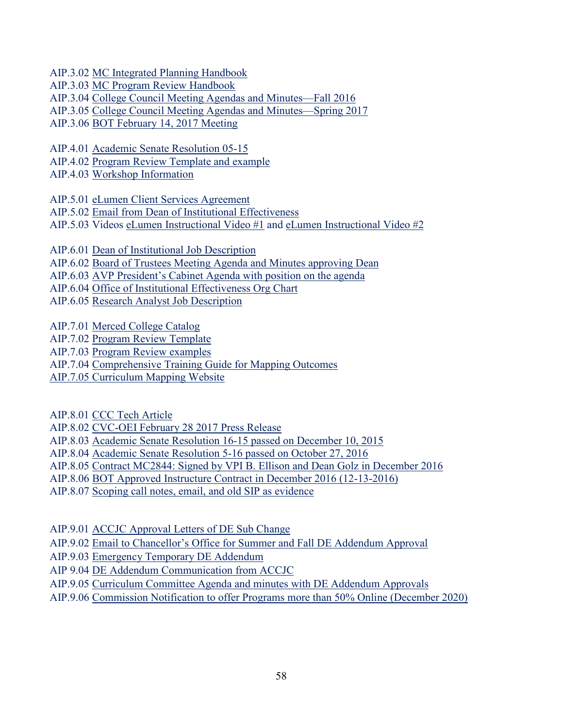AIP.3.02 MC Integrated Planning Handbook

AIP.3.03 MC Program Review Handbook

AIP.3.04 College Council Meeting Agendas and Minutes—Fall 2016

AIP.3.05 College Council Meeting Agendas and Minutes—Spring 2017

AIP.3.06 BOT February 14, 2017 Meeting

AIP.4.01 Academic Senate Resolution 05-15 AIP.4.02 Program Review Template and example

AIP.4.03 Workshop Information

AIP.5.01 eLumen Client Services Agreement

AIP.5.02 Email from Dean of Institutional Effectiveness

AIP.5.03 Videos [eLumen Instructional](https://www.youtube.com/watch?v=k_UYxxqKbxw&feature=youtu.be) Video #1 and [eLumen Instructional Video #2](https://www.youtube.com/watch?v=jLuOMHWMsJY&feature=youtu.be)

AIP.6.01 Dean of Institutional Job Description AIP.6.02 Board of Trustees Meeting Agenda and Minutes approving Dean AIP.6.03 AVP President's Cabinet Agenda with position on the agenda AIP.6.04 Office of Institutional Effectiveness Org Chart AIP.6.05 Research Analyst Job Description

AIP.7.01 Merced College Catalog

AIP.7.02 Program Review Template

AIP.7.03 Program Review examples

AIP.7.04 Comprehensive Training Guide for Mapping Outcomes

AIP.7.05 Curriculum Mapping Website

AIP.8.01 CCC Tech Article

AIP.8.02 CVC-OEI February 28 2017 Press Release

AIP.8.03 Academic Senate Resolution 16-15 passed on December 10, 2015

AIP.8.04 Academic Senate Resolution 5-16 passed on October 27, 2016

AIP.8.05 Contract MC2844: Signed by VPI B. Ellison and Dean Golz in December 2016

AIP.8.06 BOT Approved Instructure Contract in December 2016 (12-13-2016)

AIP.8.07 Scoping call notes, email, and old SIP as evidence

AIP.9.01 ACCJC Approval Letters of DE Sub Change

AIP.9.02 Email to Chancellor's Office for Summer and Fall DE Addendum Approval

AIP.9.03 Emergency Temporary DE Addendum

AIP 9.04 DE Addendum Communication from ACCJC

AIP.9.05 Curriculum Committee Agenda and minutes with DE Addendum Approvals

AIP.9.06 Commission Notification to offer Programs more than 50% Online (December 2020)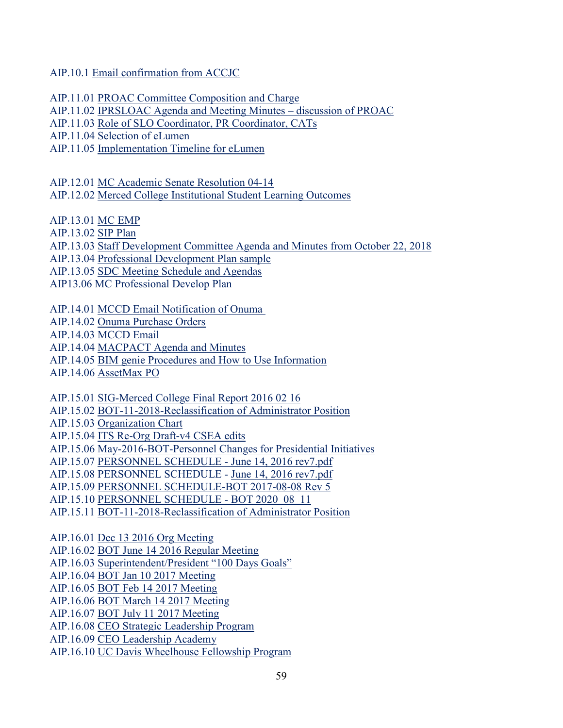AIP.10.1 Email confirmation from ACCJC

AIP.11.01 PROAC Committee Composition and Charge

AIP.11.02 IPRSLOAC Agenda and Meeting Minutes – discussion of PROAC

AIP.11.03 Role of SLO Coordinator, PR Coordinator, CATs

AIP.11.04 Selection of eLumen

AIP.11.05 Implementation Timeline for eLumen

AIP.12.01 MC Academic Senate Resolution 04-14

AIP.12.02 Merced College Institutional Student Learning Outcomes

AIP.13.01 MC EMP

AIP.13.02 SIP Plan

AIP.13.03 Staff Development Committee Agenda and Minutes from October 22, 2018

AIP.13.04 Professional Development Plan sample

AIP.13.05 SDC Meeting Schedule and Agendas

AIP13.06 MC Professional Develop Plan

AIP.14.01 MCCD Email Notification of Onuma

AIP.14.02 Onuma Purchase Orders

AIP.14.03 MCCD Email

AIP.14.04 MACPACT Agenda and Minutes

AIP.14.05 BIM genie Procedures and How to Use Information

AIP.14.06 AssetMax PO

AIP.15.01 SIG-Merced College Final Report 2016 02 16

AIP.15.02 BOT-11-2018-Reclassification of Administrator Position

AIP.15.03 Organization Chart

AIP.15.04 ITS Re-Org Draft-v4 CSEA edits

AIP.15.06 May-2016-BOT-Personnel Changes for Presidential Initiatives

AIP.15.07 PERSONNEL SCHEDULE - June 14, 2016 rev7.pdf

AIP.15.08 PERSONNEL SCHEDULE - June 14, 2016 rev7.pdf

AIP.15.09 PERSONNEL SCHEDULE-BOT 2017-08-08 Rev 5

AIP.15.10 PERSONNEL SCHEDULE - BOT 2020\_08\_11

AIP.15.11 BOT-11-2018-Reclassification of Administrator Position

AIP.16.01 Dec 13 2016 Org Meeting

AIP.16.02 BOT June 14 2016 Regular Meeting

AIP.16.03 Superintendent/President "100 Days Goals"

AIP.16.04 BOT Jan 10 2017 Meeting

AIP.16.05 BOT Feb 14 2017 Meeting

AIP.16.06 BOT March 14 2017 Meeting

AIP.16.07 BOT July 11 2017 Meeting

AIP.16.08 CEO Strategic Leadership Program

AIP.16.09 CEO Leadership Academy

AIP.16.10 UC Davis Wheelhouse Fellowship Program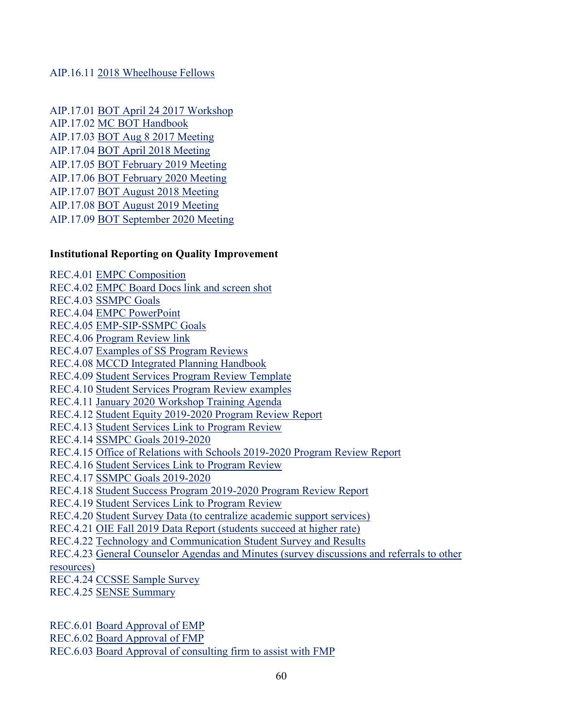#### AIP.16.11 2018 Wheelhouse Fellows

AIP.17.01 BOT April 24 2017 Workshop AIP.17.02 MC BOT Handbook AIP.17.03 BOT Aug 8 2017 Meeting AIP.17.04 BOT April 2018 Meeting AIP.17.05 BOT February 2019 Meeting AIP.17.06 BOT February 2020 Meeting AIP.17.07 BOT August 2018 Meeting AIP.17.08 BOT August 2019 Meeting AIP.17.09 BOT September 2020 Meeting

#### **Institutional Reporting on Quality Improvement**

REC.4.01 EMPC Composition REC.4.02 EMPC Board Docs link and screen shot REC.4.03 SSMPC Goals REC.4.04 EMPC PowerPoint REC.4.05 EMP-SIP-SSMPC Goals REC.4.06 Program Review link REC.4.07 Examples of SS Program Reviews REC.4.08 MCCD Integrated Planning Handbook REC.4.09 Student Services Program Review Template REC.4.10 Student Services Program Review examples REC.4.11 January 2020 Workshop Training Agenda REC.4.12 Student Equity 2019-2020 Program Review Report REC.4.13 Student Services Link to Program Review REC.4.14 SSMPC Goals 2019-2020 REC.4.15 Office of Relations with Schools 2019-2020 Program Review Report REC.4.16 Student Services Link to Program Review REC.4.17 SSMPC Goals 2019-2020 REC.4.18 Student Success Program 2019-2020 Program Review Report REC.4.19 Student Services Link to Program Review REC.4.20 Student Survey Data (to centralize academic support services) REC.4.21 OIE Fall 2019 Data Report (students succeed at higher rate) REC.4.22 Technology and Communication Student Survey and Results REC.4.23 General Counselor Agendas and Minutes (survey discussions and referrals to other resources) REC.4.24 CCSSE Sample Survey REC.4.25 SENSE Summary

REC.6.01 Board Approval of EMP

REC.6.02 Board Approval of FMP

REC.6.03 Board Approval of consulting firm to assist with FMP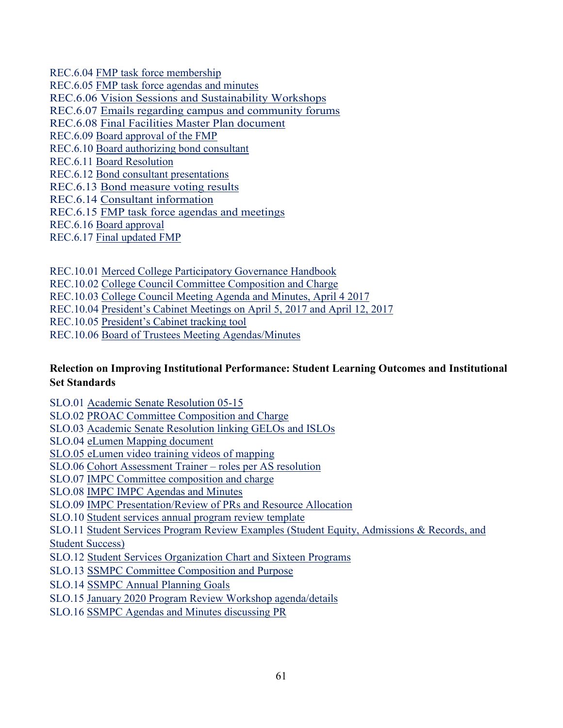REC.6.04 FMP task force membership REC.6.05 FMP task force agendas and minutes REC.6.06 Vision Sessions and Sustainability Workshops REC.6.07 Emails regarding campus and community forums REC.6.08 Final Facilities Master Plan document REC.6.09 Board approval of the FMP REC.6.10 Board authorizing bond consultant REC.6.11 Board Resolution REC.6.12 Bond consultant presentations REC.6.13 Bond measure voting results REC.6.14 Consultant information REC.6.15 FMP task force agendas and meetings REC.6.16 Board approval

REC.6.17 Final updated FMP

REC.10.01 Merced College Participatory Governance Handbook

REC.10.02 College Council Committee Composition and Charge

REC.10.03 College Council Meeting Agenda and Minutes, April 4 2017

REC.10.04 President's Cabinet Meetings on April 5, 2017 and April 12, 2017

REC.10.05 President's Cabinet tracking tool

REC.10.06 Board of Trustees Meeting Agendas/Minutes

### **Relection on Improving Institutional Performance: Student Learning Outcomes and Institutional Set Standards**

SLO.01 Academic Senate Resolution 05-15

SLO.02 PROAC Committee Composition and Charge

SLO.03 Academic Senate Resolution linking GELOs and ISLOs

SLO.04 eLumen Mapping document

SLO.05 [eLumen video training videos of mapping](https://www.youtube.com/watch?v=jLuOMHWMsJY&list=PL-NVFcAvhcj5SXM8J6c8e3Ya-vF8oIdk6&index=9)

SLO.06 Cohort Assessment Trainer – roles per AS resolution

SLO.07 IMPC Committee composition and charge

SLO.08 IMPC IMPC Agendas and Minutes

SLO.09 IMPC Presentation/Review of PRs and Resource Allocation

SLO.10 Student services annual program review template

SLO.11 Student Services Program Review Examples (Student Equity, Admissions & Records, and

Student Success)

SLO.12 Student Services Organization Chart and Sixteen Programs

SLO.13 SSMPC Committee Composition and Purpose

SLO.14 SSMPC Annual Planning Goals

SLO.15 January 2020 Program Review Workshop agenda/details

SLO.16 SSMPC Agendas and Minutes discussing PR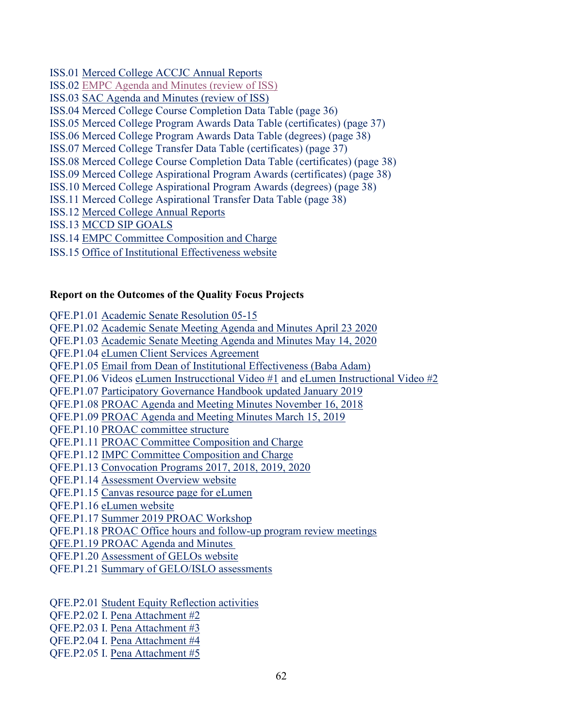- ISS.01 Merced College ACCJC Annual Reports
- ISS.02 EMPC Agenda and Minutes (review of ISS)
- ISS.03 SAC Agenda and Minutes (review of ISS)
- ISS.04 Merced College Course Completion Data Table (page 36)
- ISS.05 Merced College Program Awards Data Table (certificates) (page 37)
- ISS.06 Merced College Program Awards Data Table (degrees) (page 38)
- ISS.07 Merced College Transfer Data Table (certificates) (page 37)
- ISS.08 Merced College Course Completion Data Table (certificates) (page 38)
- ISS.09 Merced College Aspirational Program Awards (certificates) (page 38)
- ISS.10 Merced College Aspirational Program Awards (degrees) (page 38)
- ISS.11 Merced College Aspirational Transfer Data Table (page 38)
- ISS.12 Merced College Annual Reports
- ISS.13 MCCD SIP GOALS
- ISS.14 EMPC Committee Composition and Charge
- ISS.15 Office of Institutional Effectiveness website

#### **Report on the Outcomes of the Quality Focus Projects**

QFE.P1.01 Academic Senate Resolution 05-15 QFE.P1.02 Academic Senate Meeting Agenda and Minutes April 23 2020 QFE.P1.03 Academic Senate Meeting Agenda and Minutes May 14, 2020 QFE.P1.04 eLumen Client Services Agreement QFE.P1.05 Email from Dean of Institutional Effectiveness (Baba Adam) QFE.P1.06 Videos [eLumen Instrucctional Video #1](https://www.youtube.com/watch?v=k_UYxxqKbxw&feature=youtu.be) and [eLumen Instructional Video #2](https://www.youtube.com/watch?v=jLuOMHWMsJY&feature=youtu.be) QFE.P1.07 Participatory Governance Handbook updated January 2019 QFE.P1.08 PROAC Agenda and Meeting Minutes November 16, 2018 QFE.P1.09 PROAC Agenda and Meeting Minutes March 15, 2019 QFE.P1.10 PROAC committee structure QFE.P1.11 PROAC Committee Composition and Charge QFE.P1.12 IMPC Committee Composition and Charge QFE.P1.13 Convocation Programs 2017, 2018, 2019, 2020 QFE.P1.14 Assessment Overview website QFE.P1.15 Canvas resource page for eLumen QFE.P1.16 [eLumen website](https://mccd.instructure.com/courses/6935) QFE.P1.17 Summer 2019 PROAC Workshop QFE.P1.18 PROAC Office hours and follow-up program review meetings QFE.P1.19 PROAC Agenda and Minutes  QFE.P1.20 Assessment of GELOs website

- QFE.P1.21 Summary of GELO/ISLO assessments
- QFE.P2.01 Student Equity Reflection activities
- QFE.P2.02 I. Pena Attachment #2
- QFE.P2.03 I. Pena Attachment #3
- QFE.P2.04 I. Pena Attachment #4
- QFE.P2.05 I. Pena Attachment #5